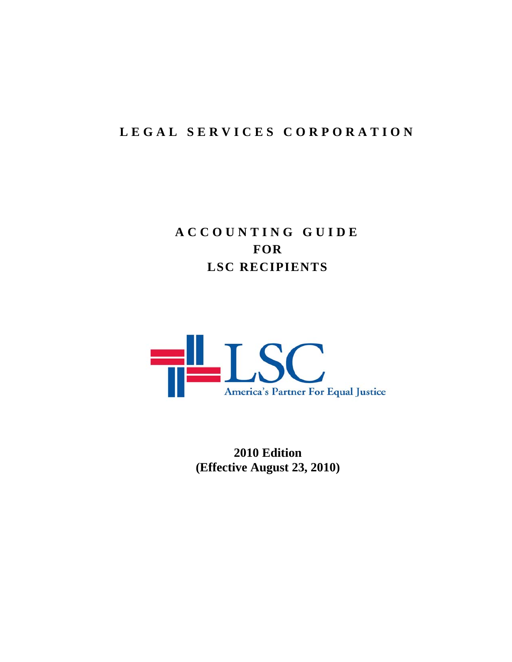# **LEGAL SERVICES CORPORATION**

# **ACCOUNTING GUIDE FOR LSC RECIPIENTS**



**2010 Edition (Effective August 23, 2010)**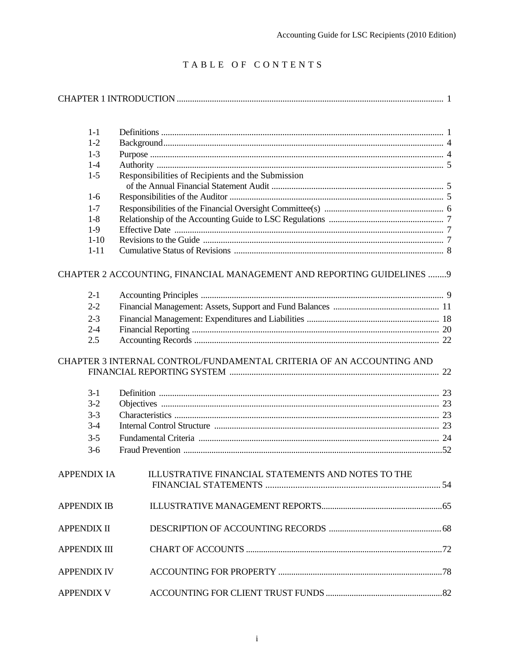## TABLE OF CONTENTS

| $1 - 1$             |                                                                        |  |
|---------------------|------------------------------------------------------------------------|--|
| $1-2$               |                                                                        |  |
| $1-3$               |                                                                        |  |
| $1 - 4$             |                                                                        |  |
| $1-5$               | Responsibilities of Recipients and the Submission                      |  |
|                     |                                                                        |  |
| $1-6$               |                                                                        |  |
| $1 - 7$             |                                                                        |  |
| $1 - 8$             |                                                                        |  |
| $1-9$               |                                                                        |  |
| $1 - 10$            |                                                                        |  |
| $1 - 11$            |                                                                        |  |
|                     | CHAPTER 2 ACCOUNTING, FINANCIAL MANAGEMENT AND REPORTING GUIDELINES  9 |  |
| $2-1$               |                                                                        |  |
| $2 - 2$             |                                                                        |  |
| $2 - 3$             |                                                                        |  |
| $2 - 4$             |                                                                        |  |
| 2.5                 |                                                                        |  |
|                     | CHAPTER 3 INTERNAL CONTROL/FUNDAMENTAL CRITERIA OF AN ACCOUNTING AND   |  |
| $3-1$               |                                                                        |  |
| $3-2$               |                                                                        |  |
| $3 - 3$             |                                                                        |  |
| $3-4$               |                                                                        |  |
| $3 - 5$             |                                                                        |  |
| $3-6$               |                                                                        |  |
| <b>APPENDIX IA</b>  | ILLUSTRATIVE FINANCIAL STATEMENTS AND NOTES TO THE                     |  |
| <b>APPENDIX IB</b>  |                                                                        |  |
| <b>APPENDIX II</b>  |                                                                        |  |
| <b>APPENDIX III</b> |                                                                        |  |
| <b>APPENDIX IV</b>  |                                                                        |  |
|                     |                                                                        |  |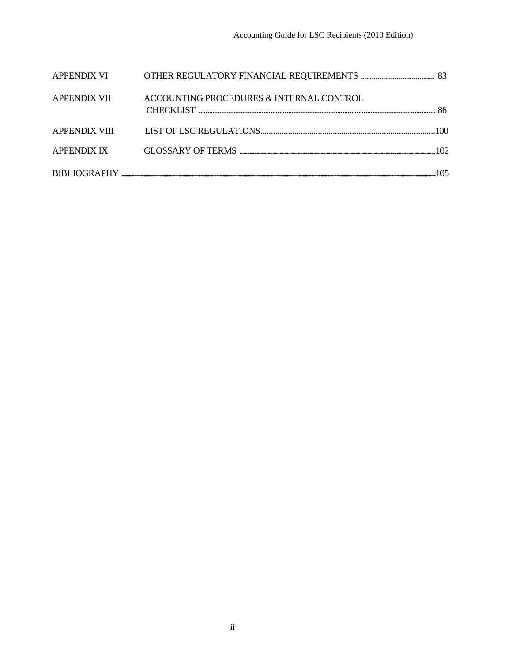| APPENDIX VII       | ACCOUNTING PROCEDURES & INTERNAL CONTROL                                                                                                                                                                                       |     |
|--------------------|--------------------------------------------------------------------------------------------------------------------------------------------------------------------------------------------------------------------------------|-----|
|                    |                                                                                                                                                                                                                                |     |
| <b>APPENDIX IX</b> | GLOSSARY OF TERMS ENTERTAINMENT CONTROLLER TO A SERVICE SERVICE SERVICE SERVICE SERVICE SERVICE SERVICE SERVICE SERVICE SERVICE SERVICE SERVICE SERVICE SERVICE SERVICE SERVICE SERVICE SERVICE SERVICE SERVICE SERVICE SERVIC | 102 |
|                    |                                                                                                                                                                                                                                | 105 |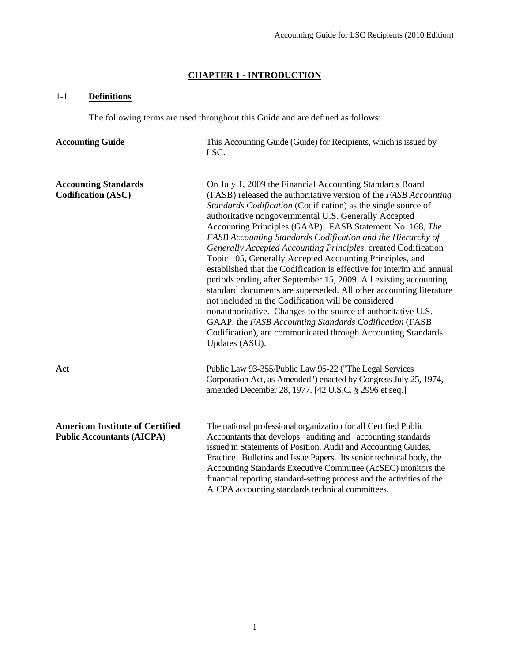## **CHAPTER 1 - INTRODUCTION**

## 1-1 **Definitions**

The following terms are used throughout this Guide and are defined as follows:

| <b>Accounting Guide</b>                                                     | This Accounting Guide (Guide) for Recipients, which is issued by<br>LSC.                                                                                                                                                                                                                                                                                                                                                                                                                                                                                                                                                                                                                                                                                                                                                                                                                                                                                                                                |
|-----------------------------------------------------------------------------|---------------------------------------------------------------------------------------------------------------------------------------------------------------------------------------------------------------------------------------------------------------------------------------------------------------------------------------------------------------------------------------------------------------------------------------------------------------------------------------------------------------------------------------------------------------------------------------------------------------------------------------------------------------------------------------------------------------------------------------------------------------------------------------------------------------------------------------------------------------------------------------------------------------------------------------------------------------------------------------------------------|
| <b>Accounting Standards</b><br><b>Codification (ASC)</b>                    | On July 1, 2009 the Financial Accounting Standards Board<br>(FASB) released the authoritative version of the FASB Accounting<br>Standards Codification (Codification) as the single source of<br>authoritative nongovernmental U.S. Generally Accepted<br>Accounting Principles (GAAP). FASB Statement No. 168, The<br>FASB Accounting Standards Codification and the Hierarchy of<br>Generally Accepted Accounting Principles, created Codification<br>Topic 105, Generally Accepted Accounting Principles, and<br>established that the Codification is effective for interim and annual<br>periods ending after September 15, 2009. All existing accounting<br>standard documents are superseded. All other accounting literature<br>not included in the Codification will be considered<br>nonauthoritative. Changes to the source of authoritative U.S.<br>GAAP, the FASB Accounting Standards Codification (FASB<br>Codification), are communicated through Accounting Standards<br>Updates (ASU). |
| Act                                                                         | Public Law 93-355/Public Law 95-22 ("The Legal Services<br>Corporation Act, as Amended") enacted by Congress July 25, 1974,<br>amended December 28, 1977. [42 U.S.C. § 2996 et seq.]                                                                                                                                                                                                                                                                                                                                                                                                                                                                                                                                                                                                                                                                                                                                                                                                                    |
| <b>American Institute of Certified</b><br><b>Public Accountants (AICPA)</b> | The national professional organization for all Certified Public<br>Accountants that develops auditing and accounting standards<br>issued in Statements of Position, Audit and Accounting Guides,<br>Practice Bulletins and Issue Papers. Its senior technical body, the<br>Accounting Standards Executive Committee (AcSEC) monitors the<br>financial reporting standard-setting process and the activities of the<br>AICPA accounting standards technical committees.                                                                                                                                                                                                                                                                                                                                                                                                                                                                                                                                  |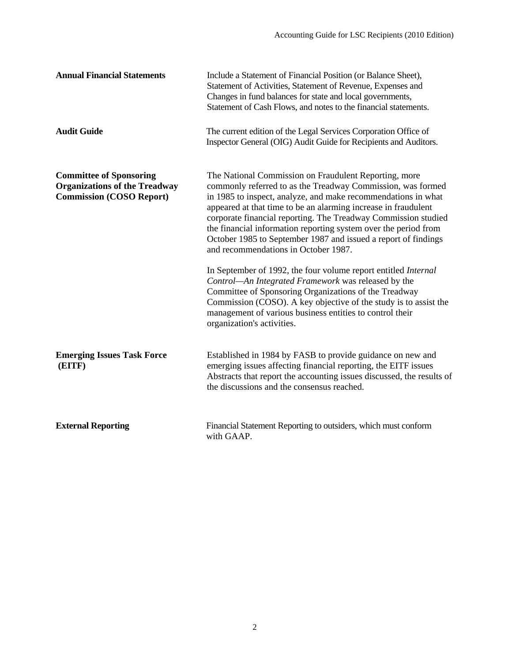| <b>Annual Financial Statements</b>                                                                        | Include a Statement of Financial Position (or Balance Sheet),<br>Statement of Activities, Statement of Revenue, Expenses and<br>Changes in fund balances for state and local governments,<br>Statement of Cash Flows, and notes to the financial statements.                                                                                                                                                                                                                                                                                                                                                                                                                                                                                                                                                                    |
|-----------------------------------------------------------------------------------------------------------|---------------------------------------------------------------------------------------------------------------------------------------------------------------------------------------------------------------------------------------------------------------------------------------------------------------------------------------------------------------------------------------------------------------------------------------------------------------------------------------------------------------------------------------------------------------------------------------------------------------------------------------------------------------------------------------------------------------------------------------------------------------------------------------------------------------------------------|
| <b>Audit Guide</b>                                                                                        | The current edition of the Legal Services Corporation Office of<br>Inspector General (OIG) Audit Guide for Recipients and Auditors.                                                                                                                                                                                                                                                                                                                                                                                                                                                                                                                                                                                                                                                                                             |
| <b>Committee of Sponsoring</b><br><b>Organizations of the Treadway</b><br><b>Commission (COSO Report)</b> | The National Commission on Fraudulent Reporting, more<br>commonly referred to as the Treadway Commission, was formed<br>in 1985 to inspect, analyze, and make recommendations in what<br>appeared at that time to be an alarming increase in fraudulent<br>corporate financial reporting. The Treadway Commission studied<br>the financial information reporting system over the period from<br>October 1985 to September 1987 and issued a report of findings<br>and recommendations in October 1987.<br>In September of 1992, the four volume report entitled <i>Internal</i><br>Control—An Integrated Framework was released by the<br>Committee of Sponsoring Organizations of the Treadway<br>Commission (COSO). A key objective of the study is to assist the<br>management of various business entities to control their |
|                                                                                                           | organization's activities.                                                                                                                                                                                                                                                                                                                                                                                                                                                                                                                                                                                                                                                                                                                                                                                                      |
| <b>Emerging Issues Task Force</b><br>(EITF)                                                               | Established in 1984 by FASB to provide guidance on new and<br>emerging issues affecting financial reporting, the EITF issues<br>Abstracts that report the accounting issues discussed, the results of<br>the discussions and the consensus reached.                                                                                                                                                                                                                                                                                                                                                                                                                                                                                                                                                                             |
| <b>External Reporting</b>                                                                                 | Financial Statement Reporting to outsiders, which must conform<br>with GAAP.                                                                                                                                                                                                                                                                                                                                                                                                                                                                                                                                                                                                                                                                                                                                                    |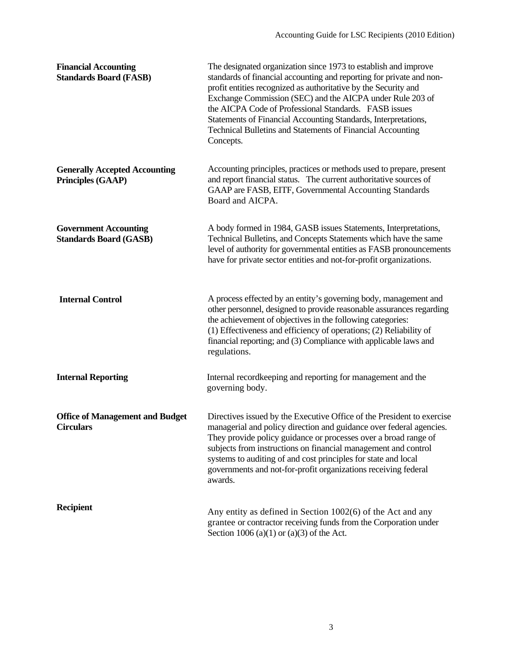| <b>Financial Accounting</b><br><b>Standards Board (FASB)</b>     | The designated organization since 1973 to establish and improve<br>standards of financial accounting and reporting for private and non-<br>profit entities recognized as authoritative by the Security and<br>Exchange Commission (SEC) and the AICPA under Rule 203 of<br>the AICPA Code of Professional Standards. FASB issues<br>Statements of Financial Accounting Standards, Interpretations,<br>Technical Bulletins and Statements of Financial Accounting<br>Concepts. |
|------------------------------------------------------------------|-------------------------------------------------------------------------------------------------------------------------------------------------------------------------------------------------------------------------------------------------------------------------------------------------------------------------------------------------------------------------------------------------------------------------------------------------------------------------------|
| <b>Generally Accepted Accounting</b><br><b>Principles (GAAP)</b> | Accounting principles, practices or methods used to prepare, present<br>and report financial status. The current authoritative sources of<br>GAAP are FASB, EITF, Governmental Accounting Standards<br>Board and AICPA.                                                                                                                                                                                                                                                       |
| <b>Government Accounting</b><br><b>Standards Board (GASB)</b>    | A body formed in 1984, GASB issues Statements, Interpretations,<br>Technical Bulletins, and Concepts Statements which have the same<br>level of authority for governmental entities as FASB pronouncements<br>have for private sector entities and not-for-profit organizations.                                                                                                                                                                                              |
| <b>Internal Control</b>                                          | A process effected by an entity's governing body, management and<br>other personnel, designed to provide reasonable assurances regarding<br>the achievement of objectives in the following categories:<br>(1) Effectiveness and efficiency of operations; (2) Reliability of<br>financial reporting; and (3) Compliance with applicable laws and<br>regulations.                                                                                                              |
| <b>Internal Reporting</b>                                        | Internal record keeping and reporting for management and the<br>governing body.                                                                                                                                                                                                                                                                                                                                                                                               |
| <b>Office of Management and Budget</b><br><b>Circulars</b>       | Directives issued by the Executive Office of the President to exercise<br>managerial and policy direction and guidance over federal agencies.<br>They provide policy guidance or processes over a broad range of<br>subjects from instructions on financial management and control<br>systems to auditing of and cost principles for state and local<br>governments and not-for-profit organizations receiving federal<br>awards.                                             |
| <b>Recipient</b>                                                 | Any entity as defined in Section $1002(6)$ of the Act and any<br>grantee or contractor receiving funds from the Corporation under<br>Section 1006 (a)(1) or (a)(3) of the Act.                                                                                                                                                                                                                                                                                                |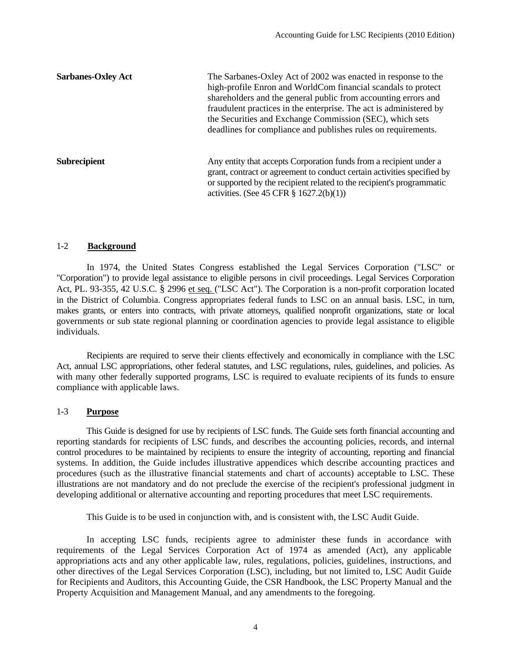| <b>Sarbanes-Oxley Act</b> | The Sarbanes-Oxley Act of 2002 was enacted in response to the<br>high-profile Enron and WorldCom financial scandals to protect<br>shareholders and the general public from accounting errors and<br>fraudulent practices in the enterprise. The act is administered by<br>the Securities and Exchange Commission (SEC), which sets<br>deadlines for compliance and publishes rules on requirements. |
|---------------------------|-----------------------------------------------------------------------------------------------------------------------------------------------------------------------------------------------------------------------------------------------------------------------------------------------------------------------------------------------------------------------------------------------------|
| <b>Subrecipient</b>       | Any entity that accepts Corporation funds from a recipient under a<br>grant, contract or agreement to conduct certain activities specified by<br>or supported by the recipient related to the recipient's programmatic<br>activities. (See 45 CFR $\S$ 1627.2(b)(1))                                                                                                                                |

#### 1-2 **Background**

In 1974, the United States Congress established the Legal Services Corporation ("LSC" or "Corporation") to provide legal assistance to eligible persons in civil proceedings. Legal Services Corporation Act, PL. 93-355, 42 U.S.C. § 2996 et seq. ("LSC Act"). The Corporation is a non-profit corporation located in the District of Columbia. Congress appropriates federal funds to LSC on an annual basis. LSC, in turn, makes grants, or enters into contracts, with private attorneys, qualified nonprofit organizations, state or local governments or sub state regional planning or coordination agencies to provide legal assistance to eligible individuals.

Recipients are required to serve their clients effectively and economically in compliance with the LSC Act, annual LSC appropriations, other federal statutes, and LSC regulations, rules, guidelines, and policies. As with many other federally supported programs, LSC is required to evaluate recipients of its funds to ensure compliance with applicable laws.

#### 1-3 **Purpose**

This Guide is designed for use by recipients of LSC funds. The Guide sets forth financial accounting and reporting standards for recipients of LSC funds, and describes the accounting policies, records, and internal control procedures to be maintained by recipients to ensure the integrity of accounting, reporting and financial systems. In addition, the Guide includes illustrative appendices which describe accounting practices and procedures (such as the illustrative financial statements and chart of accounts) acceptable to LSC. These illustrations are not mandatory and do not preclude the exercise of the recipient's professional judgment in developing additional or alternative accounting and reporting procedures that meet LSC requirements.

This Guide is to be used in conjunction with, and is consistent with, the LSC Audit Guide.

In accepting LSC funds, recipients agree to administer these funds in accordance with requirements of the Legal Services Corporation Act of 1974 as amended (Act), any applicable appropriations acts and any other applicable law, rules, regulations, policies, guidelines, instructions, and other directives of the Legal Services Corporation (LSC), including, but not limited to, LSC Audit Guide for Recipients and Auditors, this Accounting Guide, the CSR Handbook, the LSC Property Manual and the Property Acquisition and Management Manual, and any amendments to the foregoing.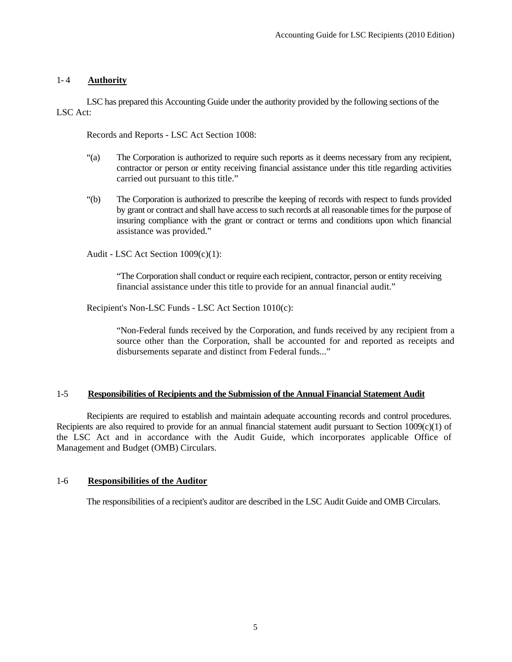#### 1- 4 **Authority**

LSC has prepared this Accounting Guide under the authority provided by the following sections of the LSC Act:

Records and Reports - LSC Act Section 1008:

- "(a) The Corporation is authorized to require such reports as it deems necessary from any recipient, contractor or person or entity receiving financial assistance under this title regarding activities carried out pursuant to this title."
- "(b) The Corporation is authorized to prescribe the keeping of records with respect to funds provided by grant or contract and shall have access to such records at all reasonable times for the purpose of insuring compliance with the grant or contract or terms and conditions upon which financial assistance was provided."

Audit - LSC Act Section 1009(c)(1):

"The Corporation shall conduct or require each recipient, contractor, person or entity receiving financial assistance under this title to provide for an annual financial audit."

Recipient's Non-LSC Funds - LSC Act Section 1010(c):

"Non-Federal funds received by the Corporation, and funds received by any recipient from a source other than the Corporation, shall be accounted for and reported as receipts and disbursements separate and distinct from Federal funds..."

#### 1-5 **Responsibilities of Recipients and the Submission of the Annual Financial Statement Audit**

Recipients are required to establish and maintain adequate accounting records and control procedures. Recipients are also required to provide for an annual financial statement audit pursuant to Section 1009(c)(1) of the LSC Act and in accordance with the Audit Guide, which incorporates applicable Office of Management and Budget (OMB) Circulars.

#### 1-6 **Responsibilities of the Auditor**

The responsibilities of a recipient's auditor are described in the LSC Audit Guide and OMB Circulars.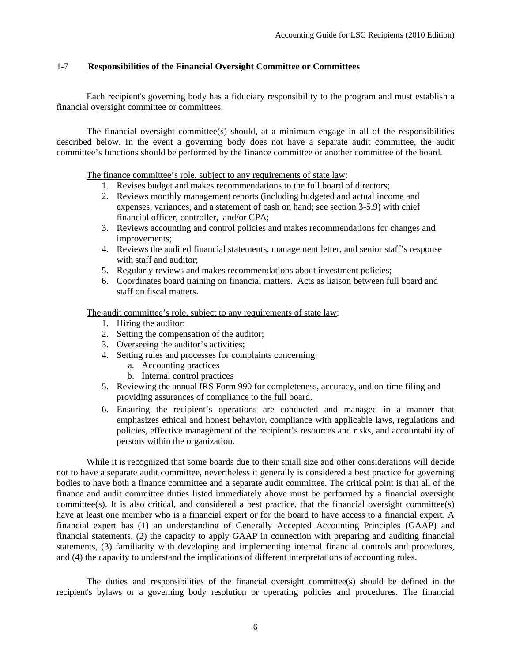#### 1-7 **Responsibilities of the Financial Oversight Committee or Committees**

Each recipient's governing body has a fiduciary responsibility to the program and must establish a financial oversight committee or committees.

The financial oversight committee(s) should, at a minimum engage in all of the responsibilities described below. In the event a governing body does not have a separate audit committee, the audit committee's functions should be performed by the finance committee or another committee of the board.

The finance committee's role, subject to any requirements of state law:

- 1. Revises budget and makes recommendations to the full board of directors;
- 2. Reviews monthly management reports (including budgeted and actual income and expenses, variances, and a statement of cash on hand; see section 3-5.9) with chief financial officer, controller, and/or CPA;
- 3. Reviews accounting and control policies and makes recommendations for changes and improvements;
- 4. Reviews the audited financial statements, management letter, and senior staff's response with staff and auditor;
- 5. Regularly reviews and makes recommendations about investment policies;
- 6. Coordinates board training on financial matters. Acts as liaison between full board and staff on fiscal matters.

The audit committee's role, subject to any requirements of state law:

- 1. Hiring the auditor;
- 2. Setting the compensation of the auditor;
- 3. Overseeing the auditor's activities;
- 4. Setting rules and processes for complaints concerning:
	- a. Accounting practices
	- b. Internal control practices
- 5. Reviewing the annual IRS Form 990 for completeness, accuracy, and on-time filing and providing assurances of compliance to the full board.
- 6. Ensuring the recipient's operations are conducted and managed in a manner that emphasizes ethical and honest behavior, compliance with applicable laws, regulations and policies, effective management of the recipient's resources and risks, and accountability of persons within the organization.

While it is recognized that some boards due to their small size and other considerations will decide not to have a separate audit committee, nevertheless it generally is considered a best practice for governing bodies to have both a finance committee and a separate audit committee. The critical point is that all of the finance and audit committee duties listed immediately above must be performed by a financial oversight committee(s). It is also critical, and considered a best practice, that the financial oversight committee(s) have at least one member who is a financial expert or for the board to have access to a financial expert. A financial expert has (1) an understanding of Generally Accepted Accounting Principles (GAAP) and financial statements, (2) the capacity to apply GAAP in connection with preparing and auditing financial statements, (3) familiarity with developing and implementing internal financial controls and procedures, and (4) the capacity to understand the implications of different interpretations of accounting rules.

The duties and responsibilities of the financial oversight committee(s) should be defined in the recipient's bylaws or a governing body resolution or operating policies and procedures. The financial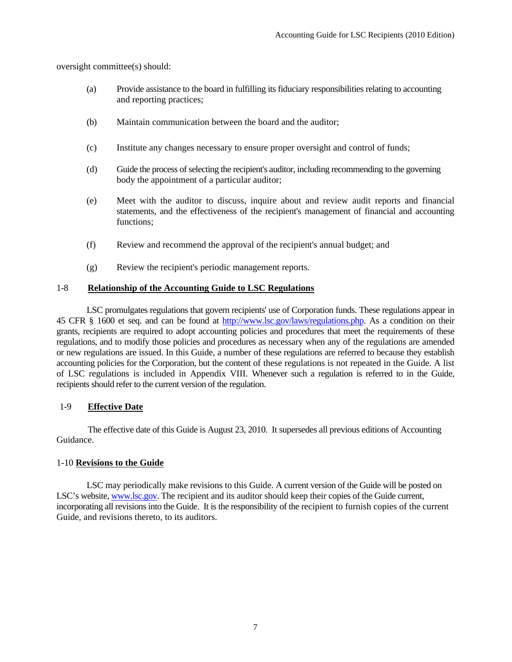oversight committee(s) should:

- (a) Provide assistance to the board in fulfilling its fiduciary responsibilities relating to accounting and reporting practices;
- (b) Maintain communication between the board and the auditor;
- (c) Institute any changes necessary to ensure proper oversight and control of funds;
- (d) Guide the process of selecting the recipient's auditor, including recommending to the governing body the appointment of a particular auditor;
- (e) Meet with the auditor to discuss, inquire about and review audit reports and financial statements, and the effectiveness of the recipient's management of financial and accounting functions;
- (f) Review and recommend the approval of the recipient's annual budget; and
- (g) Review the recipient's periodic management reports.

#### 1-8 **Relationship of the Accounting Guide to LSC Regulations**

LSC promulgates regulations that govern recipients' use of Corporation funds. These regulations appear in 45 CFR § 1600 et seq. and can be found at http://www.lsc.gov/laws/regulations.php. As a condition on their grants, recipients are required to adopt accounting policies and procedures that meet the requirements of these regulations, and to modify those policies and procedures as necessary when any of the regulations are amended or new regulations are issued. In this Guide, a number of these regulations are referred to because they establish accounting policies for the Corporation, but the content of these regulations is not repeated in the Guide. A list of LSC regulations is included in Appendix VIII. Whenever such a regulation is referred to in the Guide, recipients should refer to the current version of the regulation.

#### 1-9 **Effective Date**

The effective date of this Guide is August 23, 2010. It supersedes all previous editions of Accounting Guidance.

#### 1-10 **Revisions to the Guide**

 LSC may periodically make revisions to this Guide. A current version of the Guide will be posted on LSC's website, www.lsc.gov. The recipient and its auditor should keep their copies of the Guide current, incorporating all revisions into the Guide. It is the responsibility of the recipient to furnish copies of the current Guide, and revisions thereto, to its auditors.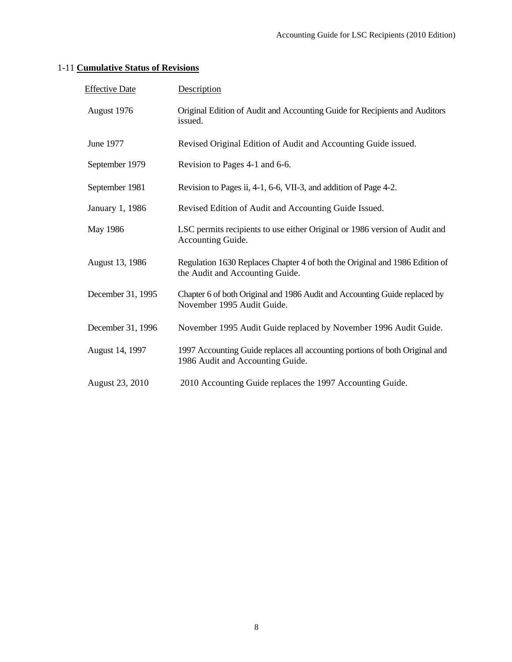## 1-11 **Cumulative Status of Revisions**

| <b>Effective Date</b> | Description                                                                                                     |
|-----------------------|-----------------------------------------------------------------------------------------------------------------|
| August 1976           | Original Edition of Audit and Accounting Guide for Recipients and Auditors<br>issued.                           |
| June 1977             | Revised Original Edition of Audit and Accounting Guide issued.                                                  |
| September 1979        | Revision to Pages 4-1 and 6-6.                                                                                  |
| September 1981        | Revision to Pages ii, 4-1, 6-6, VII-3, and addition of Page 4-2.                                                |
| January 1, 1986       | Revised Edition of Audit and Accounting Guide Issued.                                                           |
| May 1986              | LSC permits recipients to use either Original or 1986 version of Audit and<br>Accounting Guide.                 |
| August 13, 1986       | Regulation 1630 Replaces Chapter 4 of both the Original and 1986 Edition of<br>the Audit and Accounting Guide.  |
| December 31, 1995     | Chapter 6 of both Original and 1986 Audit and Accounting Guide replaced by<br>November 1995 Audit Guide.        |
| December 31, 1996     | November 1995 Audit Guide replaced by November 1996 Audit Guide.                                                |
| August 14, 1997       | 1997 Accounting Guide replaces all accounting portions of both Original and<br>1986 Audit and Accounting Guide. |
| August 23, 2010       | 2010 Accounting Guide replaces the 1997 Accounting Guide.                                                       |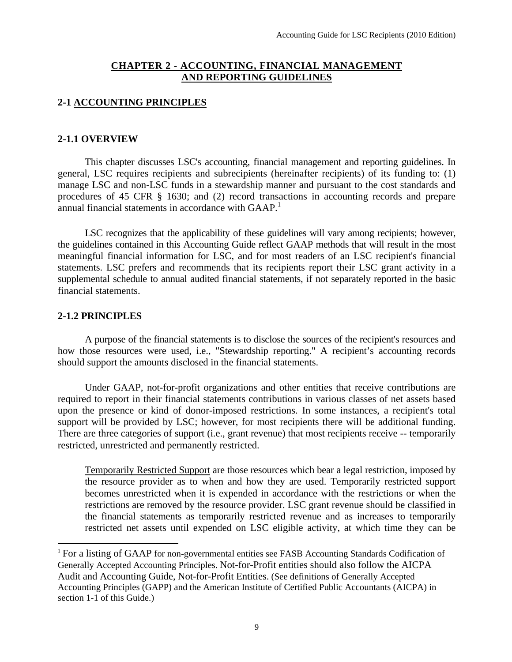### **CHAPTER 2 - ACCOUNTING, FINANCIAL MANAGEMENT AND REPORTING GUIDELINES**

#### **2-1 ACCOUNTING PRINCIPLES**

#### **2-1.1 OVERVIEW**

This chapter discusses LSC's accounting, financial management and reporting guidelines. In general, LSC requires recipients and subrecipients (hereinafter recipients) of its funding to: (1) manage LSC and non-LSC funds in a stewardship manner and pursuant to the cost standards and procedures of 45 CFR § 1630; and (2) record transactions in accounting records and prepare annual financial statements in accordance with  $GAAP<sup>1</sup>$ .

LSC recognizes that the applicability of these guidelines will vary among recipients; however, the guidelines contained in this Accounting Guide reflect GAAP methods that will result in the most meaningful financial information for LSC, and for most readers of an LSC recipient's financial statements. LSC prefers and recommends that its recipients report their LSC grant activity in a supplemental schedule to annual audited financial statements, if not separately reported in the basic financial statements.

#### **2-1.2 PRINCIPLES**

 $\overline{a}$ 

A purpose of the financial statements is to disclose the sources of the recipient's resources and how those resources were used, i.e., "Stewardship reporting." A recipient's accounting records should support the amounts disclosed in the financial statements.

Under GAAP, not-for-profit organizations and other entities that receive contributions are required to report in their financial statements contributions in various classes of net assets based upon the presence or kind of donor-imposed restrictions. In some instances, a recipient's total support will be provided by LSC; however, for most recipients there will be additional funding. There are three categories of support (i.e., grant revenue) that most recipients receive -- temporarily restricted, unrestricted and permanently restricted.

Temporarily Restricted Support are those resources which bear a legal restriction, imposed by the resource provider as to when and how they are used. Temporarily restricted support becomes unrestricted when it is expended in accordance with the restrictions or when the restrictions are removed by the resource provider. LSC grant revenue should be classified in the financial statements as temporarily restricted revenue and as increases to temporarily restricted net assets until expended on LSC eligible activity, at which time they can be

<sup>&</sup>lt;sup>1</sup> For a listing of GAAP for non-governmental entities see FASB Accounting Standards Codification of Generally Accepted Accounting Principles. Not-for-Profit entities should also follow the AICPA Audit and Accounting Guide, Not-for-Profit Entities. (See definitions of Generally Accepted Accounting Principles (GAPP) and the American Institute of Certified Public Accountants (AICPA) in section 1-1 of this Guide.)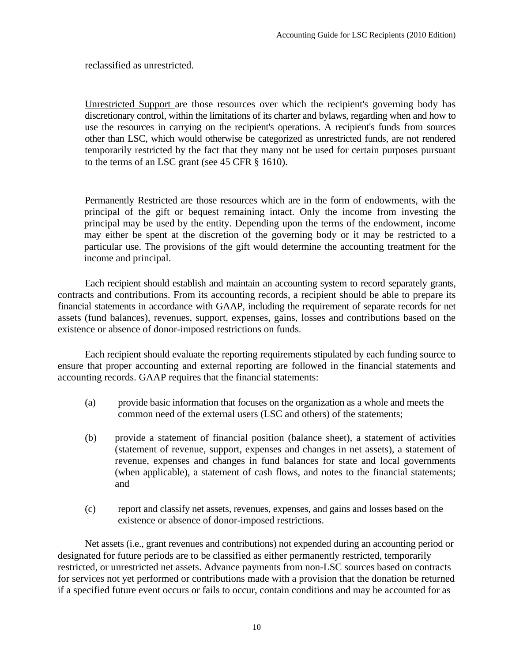reclassified as unrestricted.

Unrestricted Support are those resources over which the recipient's governing body has discretionary control, within the limitations of its charter and bylaws, regarding when and how to use the resources in carrying on the recipient's operations. A recipient's funds from sources other than LSC, which would otherwise be categorized as unrestricted funds, are not rendered temporarily restricted by the fact that they many not be used for certain purposes pursuant to the terms of an LSC grant (see 45 CFR § 1610).

Permanently Restricted are those resources which are in the form of endowments, with the principal of the gift or bequest remaining intact. Only the income from investing the principal may be used by the entity. Depending upon the terms of the endowment, income may either be spent at the discretion of the governing body or it may be restricted to a particular use. The provisions of the gift would determine the accounting treatment for the income and principal.

Each recipient should establish and maintain an accounting system to record separately grants, contracts and contributions. From its accounting records, a recipient should be able to prepare its financial statements in accordance with GAAP, including the requirement of separate records for net assets (fund balances), revenues, support, expenses, gains, losses and contributions based on the existence or absence of donor-imposed restrictions on funds.

Each recipient should evaluate the reporting requirements stipulated by each funding source to ensure that proper accounting and external reporting are followed in the financial statements and accounting records. GAAP requires that the financial statements:

- (a) provide basic information that focuses on the organization as a whole and meets the common need of the external users (LSC and others) of the statements;
- (b) provide a statement of financial position (balance sheet), a statement of activities (statement of revenue, support, expenses and changes in net assets), a statement of revenue, expenses and changes in fund balances for state and local governments (when applicable), a statement of cash flows, and notes to the financial statements; and
- (c) report and classify net assets, revenues, expenses, and gains and losses based on the existence or absence of donor-imposed restrictions.

Net assets (i.e., grant revenues and contributions) not expended during an accounting period or designated for future periods are to be classified as either permanently restricted, temporarily restricted, or unrestricted net assets. Advance payments from non-LSC sources based on contracts for services not yet performed or contributions made with a provision that the donation be returned if a specified future event occurs or fails to occur, contain conditions and may be accounted for as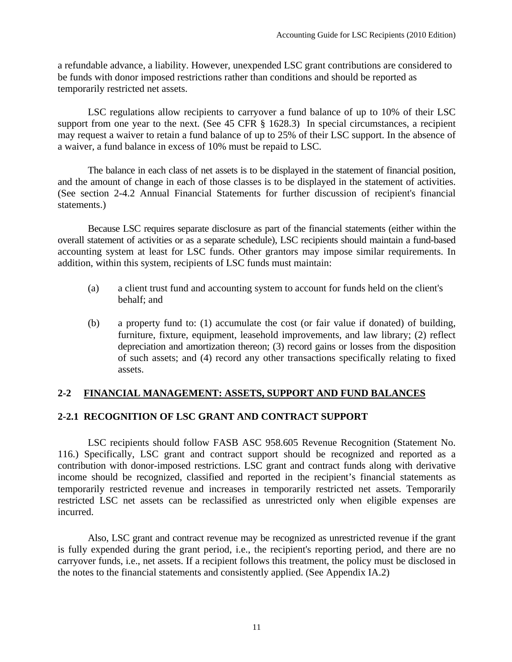a refundable advance, a liability. However, unexpended LSC grant contributions are considered to be funds with donor imposed restrictions rather than conditions and should be reported as temporarily restricted net assets.

LSC regulations allow recipients to carryover a fund balance of up to 10% of their LSC support from one year to the next. (See 45 CFR § 1628.3) In special circumstances, a recipient may request a waiver to retain a fund balance of up to 25% of their LSC support. In the absence of a waiver, a fund balance in excess of 10% must be repaid to LSC.

The balance in each class of net assets is to be displayed in the statement of financial position, and the amount of change in each of those classes is to be displayed in the statement of activities. (See section 2-4.2 Annual Financial Statements for further discussion of recipient's financial statements.)

Because LSC requires separate disclosure as part of the financial statements (either within the overall statement of activities or as a separate schedule), LSC recipients should maintain a fund-based accounting system at least for LSC funds. Other grantors may impose similar requirements. In addition, within this system, recipients of LSC funds must maintain:

- (a) a client trust fund and accounting system to account for funds held on the client's behalf; and
- (b) a property fund to: (1) accumulate the cost (or fair value if donated) of building, furniture, fixture, equipment, leasehold improvements, and law library; (2) reflect depreciation and amortization thereon; (3) record gains or losses from the disposition of such assets; and (4) record any other transactions specifically relating to fixed assets.

## **2-2 FINANCIAL MANAGEMENT: ASSETS, SUPPORT AND FUND BALANCES**

## **2-2.1 RECOGNITION OF LSC GRANT AND CONTRACT SUPPORT**

LSC recipients should follow FASB ASC 958.605 Revenue Recognition (Statement No. 116.) Specifically, LSC grant and contract support should be recognized and reported as a contribution with donor-imposed restrictions. LSC grant and contract funds along with derivative income should be recognized, classified and reported in the recipient's financial statements as temporarily restricted revenue and increases in temporarily restricted net assets. Temporarily restricted LSC net assets can be reclassified as unrestricted only when eligible expenses are incurred.

Also, LSC grant and contract revenue may be recognized as unrestricted revenue if the grant is fully expended during the grant period, i.e., the recipient's reporting period, and there are no carryover funds, i.e., net assets. If a recipient follows this treatment, the policy must be disclosed in the notes to the financial statements and consistently applied. (See Appendix IA.2)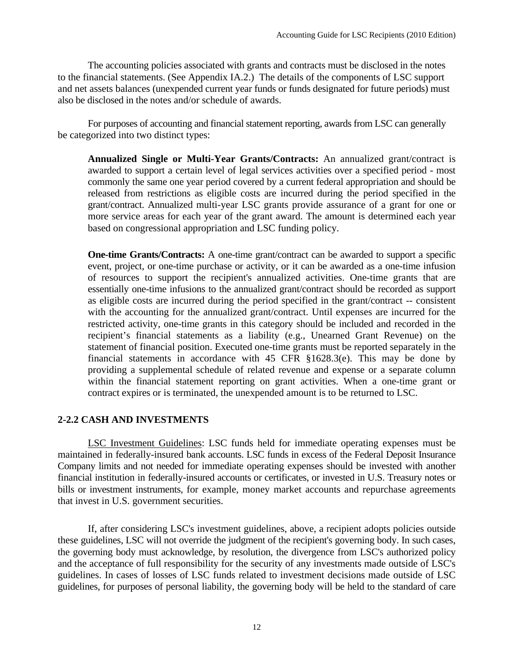The accounting policies associated with grants and contracts must be disclosed in the notes to the financial statements. (See Appendix IA.2.) The details of the components of LSC support and net assets balances (unexpended current year funds or funds designated for future periods) must also be disclosed in the notes and/or schedule of awards.

For purposes of accounting and financial statement reporting, awards from LSC can generally be categorized into two distinct types:

**Annualized Single or Multi-Year Grants/Contracts:** An annualized grant/contract is awarded to support a certain level of legal services activities over a specified period - most commonly the same one year period covered by a current federal appropriation and should be released from restrictions as eligible costs are incurred during the period specified in the grant/contract. Annualized multi-year LSC grants provide assurance of a grant for one or more service areas for each year of the grant award. The amount is determined each year based on congressional appropriation and LSC funding policy.

**One-time Grants/Contracts:** A one-time grant/contract can be awarded to support a specific event, project, or one-time purchase or activity, or it can be awarded as a one-time infusion of resources to support the recipient's annualized activities. One-time grants that are essentially one-time infusions to the annualized grant/contract should be recorded as support as eligible costs are incurred during the period specified in the grant/contract -- consistent with the accounting for the annualized grant/contract. Until expenses are incurred for the restricted activity, one-time grants in this category should be included and recorded in the recipient's financial statements as a liability (e.g., Unearned Grant Revenue) on the statement of financial position. Executed one-time grants must be reported separately in the financial statements in accordance with 45 CFR §1628.3(e). This may be done by providing a supplemental schedule of related revenue and expense or a separate column within the financial statement reporting on grant activities. When a one-time grant or contract expires or is terminated, the unexpended amount is to be returned to LSC.

## **2-2.2 CASH AND INVESTMENTS**

LSC Investment Guidelines: LSC funds held for immediate operating expenses must be maintained in federally-insured bank accounts. LSC funds in excess of the Federal Deposit Insurance Company limits and not needed for immediate operating expenses should be invested with another financial institution in federally-insured accounts or certificates, or invested in U.S. Treasury notes or bills or investment instruments, for example, money market accounts and repurchase agreements that invest in U.S. government securities.

If, after considering LSC's investment guidelines, above, a recipient adopts policies outside these guidelines, LSC will not override the judgment of the recipient's governing body. In such cases, the governing body must acknowledge, by resolution, the divergence from LSC's authorized policy and the acceptance of full responsibility for the security of any investments made outside of LSC's guidelines. In cases of losses of LSC funds related to investment decisions made outside of LSC guidelines, for purposes of personal liability, the governing body will be held to the standard of care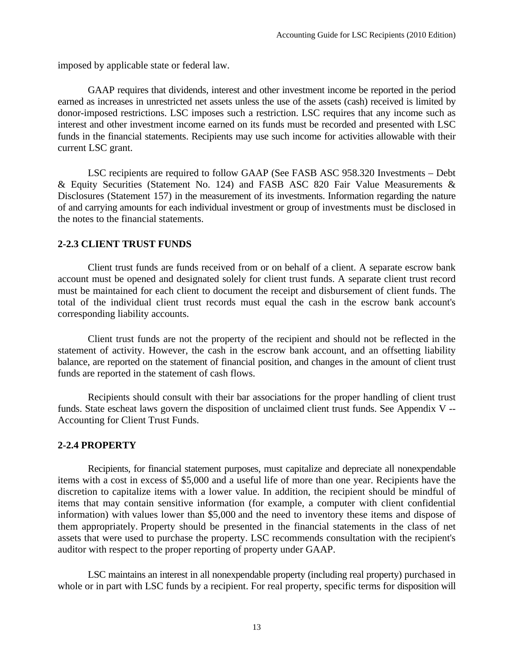imposed by applicable state or federal law.

GAAP requires that dividends, interest and other investment income be reported in the period earned as increases in unrestricted net assets unless the use of the assets (cash) received is limited by donor-imposed restrictions. LSC imposes such a restriction. LSC requires that any income such as interest and other investment income earned on its funds must be recorded and presented with LSC funds in the financial statements. Recipients may use such income for activities allowable with their current LSC grant.

LSC recipients are required to follow GAAP (See FASB ASC 958.320 Investments – Debt & Equity Securities (Statement No. 124) and FASB ASC 820 Fair Value Measurements & Disclosures (Statement 157) in the measurement of its investments. Information regarding the nature of and carrying amounts for each individual investment or group of investments must be disclosed in the notes to the financial statements.

## **2-2.3 CLIENT TRUST FUNDS**

Client trust funds are funds received from or on behalf of a client. A separate escrow bank account must be opened and designated solely for client trust funds. A separate client trust record must be maintained for each client to document the receipt and disbursement of client funds. The total of the individual client trust records must equal the cash in the escrow bank account's corresponding liability accounts.

Client trust funds are not the property of the recipient and should not be reflected in the statement of activity. However, the cash in the escrow bank account, and an offsetting liability balance, are reported on the statement of financial position, and changes in the amount of client trust funds are reported in the statement of cash flows.

Recipients should consult with their bar associations for the proper handling of client trust funds. State escheat laws govern the disposition of unclaimed client trust funds. See Appendix V -- Accounting for Client Trust Funds.

## **2-2.4 PROPERTY**

Recipients, for financial statement purposes, must capitalize and depreciate all nonexpendable items with a cost in excess of \$5,000 and a useful life of more than one year. Recipients have the discretion to capitalize items with a lower value. In addition, the recipient should be mindful of items that may contain sensitive information (for example, a computer with client confidential information) with values lower than \$5,000 and the need to inventory these items and dispose of them appropriately. Property should be presented in the financial statements in the class of net assets that were used to purchase the property. LSC recommends consultation with the recipient's auditor with respect to the proper reporting of property under GAAP.

LSC maintains an interest in all nonexpendable property (including real property) purchased in whole or in part with LSC funds by a recipient. For real property, specific terms for disposition will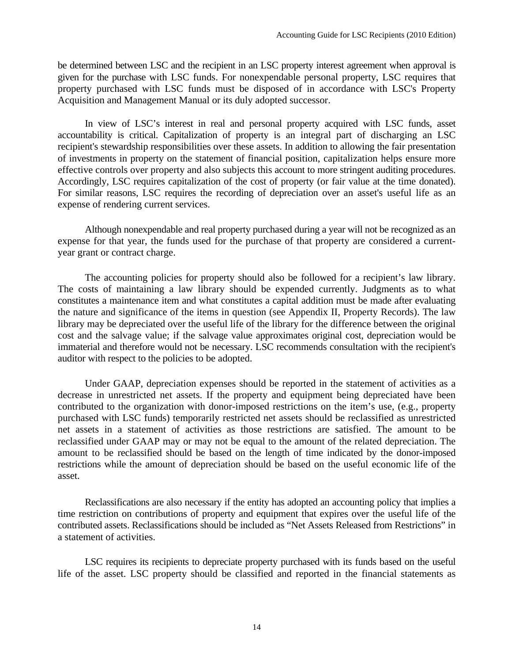be determined between LSC and the recipient in an LSC property interest agreement when approval is given for the purchase with LSC funds. For nonexpendable personal property, LSC requires that property purchased with LSC funds must be disposed of in accordance with LSC's Property Acquisition and Management Manual or its duly adopted successor.

In view of LSC's interest in real and personal property acquired with LSC funds, asset accountability is critical. Capitalization of property is an integral part of discharging an LSC recipient's stewardship responsibilities over these assets. In addition to allowing the fair presentation of investments in property on the statement of financial position, capitalization helps ensure more effective controls over property and also subjects this account to more stringent auditing procedures. Accordingly, LSC requires capitalization of the cost of property (or fair value at the time donated). For similar reasons, LSC requires the recording of depreciation over an asset's useful life as an expense of rendering current services.

Although nonexpendable and real property purchased during a year will not be recognized as an expense for that year, the funds used for the purchase of that property are considered a currentyear grant or contract charge.

The accounting policies for property should also be followed for a recipient's law library. The costs of maintaining a law library should be expended currently. Judgments as to what constitutes a maintenance item and what constitutes a capital addition must be made after evaluating the nature and significance of the items in question (see Appendix II, Property Records). The law library may be depreciated over the useful life of the library for the difference between the original cost and the salvage value; if the salvage value approximates original cost, depreciation would be immaterial and therefore would not be necessary. LSC recommends consultation with the recipient's auditor with respect to the policies to be adopted.

Under GAAP, depreciation expenses should be reported in the statement of activities as a decrease in unrestricted net assets. If the property and equipment being depreciated have been contributed to the organization with donor-imposed restrictions on the item's use, (e.g., property purchased with LSC funds) temporarily restricted net assets should be reclassified as unrestricted net assets in a statement of activities as those restrictions are satisfied. The amount to be reclassified under GAAP may or may not be equal to the amount of the related depreciation. The amount to be reclassified should be based on the length of time indicated by the donor-imposed restrictions while the amount of depreciation should be based on the useful economic life of the asset.

Reclassifications are also necessary if the entity has adopted an accounting policy that implies a time restriction on contributions of property and equipment that expires over the useful life of the contributed assets. Reclassifications should be included as "Net Assets Released from Restrictions" in a statement of activities.

LSC requires its recipients to depreciate property purchased with its funds based on the useful life of the asset. LSC property should be classified and reported in the financial statements as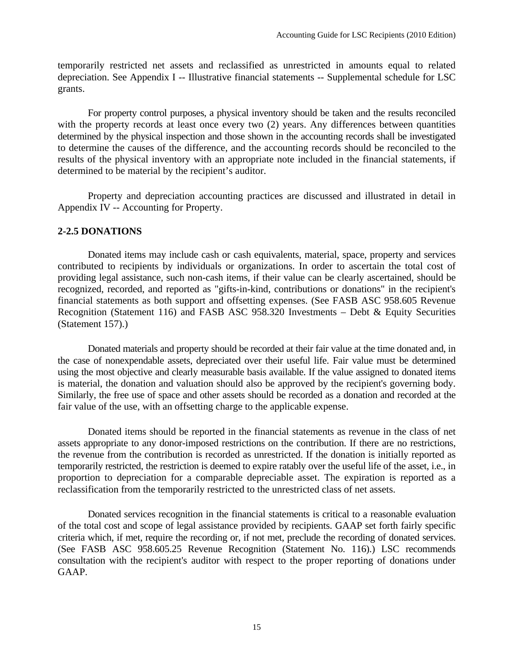temporarily restricted net assets and reclassified as unrestricted in amounts equal to related depreciation. See Appendix I -- Illustrative financial statements -- Supplemental schedule for LSC grants.

For property control purposes, a physical inventory should be taken and the results reconciled with the property records at least once every two  $(2)$  years. Any differences between quantities determined by the physical inspection and those shown in the accounting records shall be investigated to determine the causes of the difference, and the accounting records should be reconciled to the results of the physical inventory with an appropriate note included in the financial statements, if determined to be material by the recipient's auditor.

Property and depreciation accounting practices are discussed and illustrated in detail in Appendix IV -- Accounting for Property.

## **2-2.5 DONATIONS**

Donated items may include cash or cash equivalents, material, space, property and services contributed to recipients by individuals or organizations. In order to ascertain the total cost of providing legal assistance, such non-cash items, if their value can be clearly ascertained, should be recognized, recorded, and reported as "gifts-in-kind, contributions or donations" in the recipient's financial statements as both support and offsetting expenses. (See FASB ASC 958.605 Revenue Recognition (Statement 116) and FASB ASC 958.320 Investments – Debt & Equity Securities (Statement 157).)

Donated materials and property should be recorded at their fair value at the time donated and, in the case of nonexpendable assets, depreciated over their useful life. Fair value must be determined using the most objective and clearly measurable basis available. If the value assigned to donated items is material, the donation and valuation should also be approved by the recipient's governing body. Similarly, the free use of space and other assets should be recorded as a donation and recorded at the fair value of the use, with an offsetting charge to the applicable expense.

Donated items should be reported in the financial statements as revenue in the class of net assets appropriate to any donor-imposed restrictions on the contribution. If there are no restrictions, the revenue from the contribution is recorded as unrestricted. If the donation is initially reported as temporarily restricted, the restriction is deemed to expire ratably over the useful life of the asset, i.e., in proportion to depreciation for a comparable depreciable asset. The expiration is reported as a reclassification from the temporarily restricted to the unrestricted class of net assets.

Donated services recognition in the financial statements is critical to a reasonable evaluation of the total cost and scope of legal assistance provided by recipients. GAAP set forth fairly specific criteria which, if met, require the recording or, if not met, preclude the recording of donated services. (See FASB ASC 958.605.25 Revenue Recognition (Statement No. 116).) LSC recommends consultation with the recipient's auditor with respect to the proper reporting of donations under GAAP.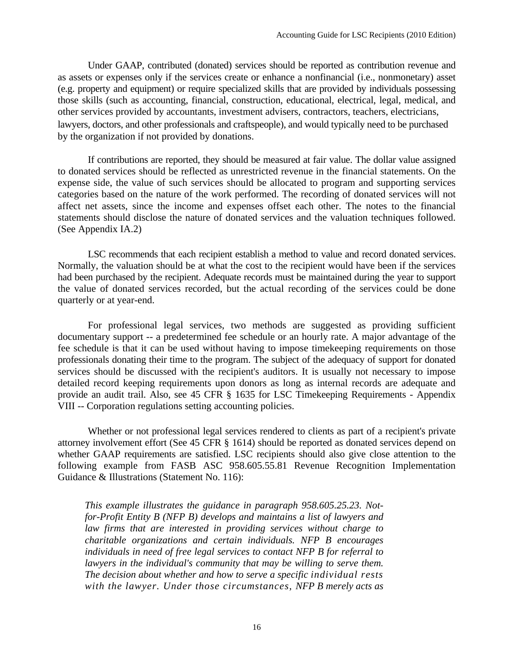Under GAAP, contributed (donated) services should be reported as contribution revenue and as assets or expenses only if the services create or enhance a nonfinancial (i.e., nonmonetary) asset (e.g. property and equipment) or require specialized skills that are provided by individuals possessing those skills (such as accounting, financial, construction, educational, electrical, legal, medical, and other services provided by accountants, investment advisers, contractors, teachers, electricians, lawyers, doctors, and other professionals and craftspeople), and would typically need to be purchased by the organization if not provided by donations.

If contributions are reported, they should be measured at fair value. The dollar value assigned to donated services should be reflected as unrestricted revenue in the financial statements. On the expense side, the value of such services should be allocated to program and supporting services categories based on the nature of the work performed. The recording of donated services will not affect net assets, since the income and expenses offset each other. The notes to the financial statements should disclose the nature of donated services and the valuation techniques followed. (See Appendix IA.2)

LSC recommends that each recipient establish a method to value and record donated services. Normally, the valuation should be at what the cost to the recipient would have been if the services had been purchased by the recipient. Adequate records must be maintained during the year to support the value of donated services recorded, but the actual recording of the services could be done quarterly or at year-end.

For professional legal services, two methods are suggested as providing sufficient documentary support -- a predetermined fee schedule or an hourly rate. A major advantage of the fee schedule is that it can be used without having to impose timekeeping requirements on those professionals donating their time to the program. The subject of the adequacy of support for donated services should be discussed with the recipient's auditors. It is usually not necessary to impose detailed record keeping requirements upon donors as long as internal records are adequate and provide an audit trail. Also, see 45 CFR § 1635 for LSC Timekeeping Requirements - Appendix VIII -- Corporation regulations setting accounting policies.

Whether or not professional legal services rendered to clients as part of a recipient's private attorney involvement effort (See 45 CFR § 1614) should be reported as donated services depend on whether GAAP requirements are satisfied. LSC recipients should also give close attention to the following example from FASB ASC 958.605.55.81 Revenue Recognition Implementation Guidance & Illustrations (Statement No. 116):

*This example illustrates the guidance in paragraph 958.605.25.23. Notfor-Profit Entity B (NFP B) develops and maintains a list of lawyers and law firms that are interested in providing services without charge to charitable organizations and certain individuals. NFP B encourages individuals in need of free legal services to contact NFP B for referral to lawyers in the individual's community that may be willing to serve them. The decision about whether and how to serve a specific individual rests with the lawyer. Under those circumstances, NFP B merely acts as*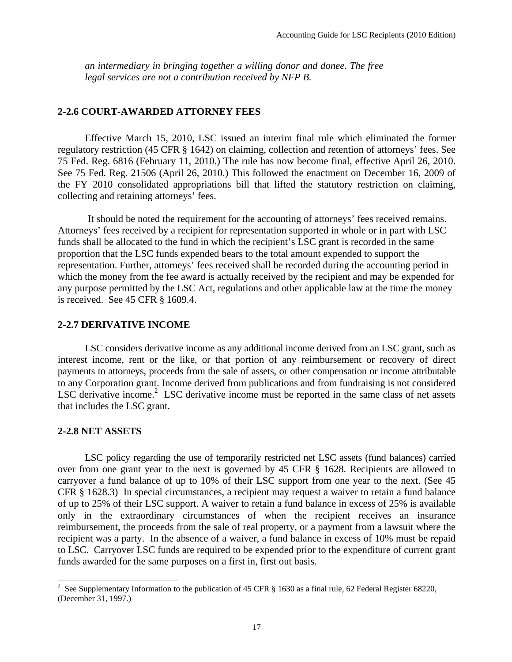*an intermediary in bringing together a willing donor and donee. The free legal services are not a contribution received by NFP B.* 

#### **2-2.6 COURT-AWARDED ATTORNEY FEES**

Effective March 15, 2010, LSC issued an interim final rule which eliminated the former regulatory restriction (45 CFR § 1642) on claiming, collection and retention of attorneys' fees. See 75 Fed. Reg. 6816 (February 11, 2010.) The rule has now become final, effective April 26, 2010. See 75 Fed. Reg. 21506 (April 26, 2010.) This followed the enactment on December 16, 2009 of the FY 2010 consolidated appropriations bill that lifted the statutory restriction on claiming, collecting and retaining attorneys' fees.

It should be noted the requirement for the accounting of attorneys' fees received remains. Attorneys' fees received by a recipient for representation supported in whole or in part with LSC funds shall be allocated to the fund in which the recipient's LSC grant is recorded in the same proportion that the LSC funds expended bears to the total amount expended to support the representation. Further, attorneys' fees received shall be recorded during the accounting period in which the money from the fee award is actually received by the recipient and may be expended for any purpose permitted by the LSC Act, regulations and other applicable law at the time the money is received. See 45 CFR § 1609.4.

#### **2-2.7 DERIVATIVE INCOME**

LSC considers derivative income as any additional income derived from an LSC grant, such as interest income, rent or the like, or that portion of any reimbursement or recovery of direct payments to attorneys, proceeds from the sale of assets, or other compensation or income attributable to any Corporation grant. Income derived from publications and from fundraising is not considered LSC derivative income.<sup>2</sup> LSC derivative income must be reported in the same class of net assets that includes the LSC grant.

#### **2-2.8 NET ASSETS**

LSC policy regarding the use of temporarily restricted net LSC assets (fund balances) carried over from one grant year to the next is governed by 45 CFR § 1628. Recipients are allowed to carryover a fund balance of up to 10% of their LSC support from one year to the next. (See 45 CFR § 1628.3) In special circumstances, a recipient may request a waiver to retain a fund balance of up to 25% of their LSC support. A waiver to retain a fund balance in excess of 25% is available only in the extraordinary circumstances of when the recipient receives an insurance reimbursement, the proceeds from the sale of real property, or a payment from a lawsuit where the recipient was a party. In the absence of a waiver, a fund balance in excess of 10% must be repaid to LSC. Carryover LSC funds are required to be expended prior to the expenditure of current grant funds awarded for the same purposes on a first in, first out basis.

<sup>&</sup>lt;sup>2</sup> See Supplementary Information to the publication of 45 CFR § 1630 as a final rule, 62 Federal Register 68220, (December 31, 1997.)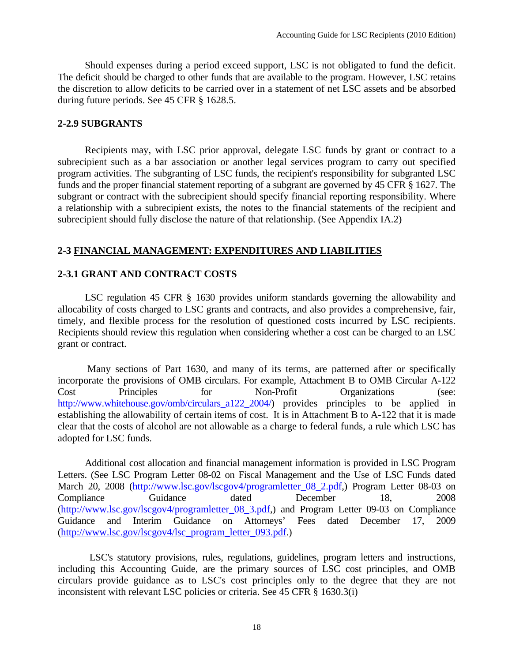Should expenses during a period exceed support, LSC is not obligated to fund the deficit. The deficit should be charged to other funds that are available to the program. However, LSC retains the discretion to allow deficits to be carried over in a statement of net LSC assets and be absorbed during future periods. See 45 CFR § 1628.5.

## **2-2.9 SUBGRANTS**

Recipients may, with LSC prior approval, delegate LSC funds by grant or contract to a subrecipient such as a bar association or another legal services program to carry out specified program activities. The subgranting of LSC funds, the recipient's responsibility for subgranted LSC funds and the proper financial statement reporting of a subgrant are governed by 45 CFR § 1627. The subgrant or contract with the subrecipient should specify financial reporting responsibility. Where a relationship with a subrecipient exists, the notes to the financial statements of the recipient and subrecipient should fully disclose the nature of that relationship. (See Appendix IA.2)

## **2-3 FINANCIAL MANAGEMENT: EXPENDITURES AND LIABILITIES**

## **2-3.1 GRANT AND CONTRACT COSTS**

LSC regulation 45 CFR § 1630 provides uniform standards governing the allowability and allocability of costs charged to LSC grants and contracts, and also provides a comprehensive, fair, timely, and flexible process for the resolution of questioned costs incurred by LSC recipients. Recipients should review this regulation when considering whether a cost can be charged to an LSC grant or contract.

 Many sections of Part 1630, and many of its terms, are patterned after or specifically incorporate the provisions of OMB circulars. For example, Attachment B to OMB Circular A-122 Cost Principles for Non-Profit Organizations (see: http://www.whitehouse.gov/omb/circulars a122 2004/) provides principles to be applied in establishing the allowability of certain items of cost. It is in Attachment B to A-122 that it is made clear that the costs of alcohol are not allowable as a charge to federal funds, a rule which LSC has adopted for LSC funds.

Additional cost allocation and financial management information is provided in LSC Program Letters. (See LSC Program Letter 08-02 on Fiscal Management and the Use of LSC Funds dated March 20, 2008 (http://www.lsc.gov/lscgov4/programletter 08 2.pdf,) Program Letter 08-03 on<br>Compliance Guidance dated December 18. 2008 Compliance Guidance dated December 18, 2008 (http://www.lsc.gov/lscgov4/programletter\_08\_3.pdf,) and Program Letter 09-03 on Compliance Guidance and Interim Guidance on Attorneys' Fees dated December 17, 2009 (http://www.lsc.gov/lscgov4/lsc\_program\_letter\_093.pdf.)

 LSC's statutory provisions, rules, regulations, guidelines, program letters and instructions, including this Accounting Guide, are the primary sources of LSC cost principles, and OMB circulars provide guidance as to LSC's cost principles only to the degree that they are not inconsistent with relevant LSC policies or criteria. See 45 CFR § 1630.3(i)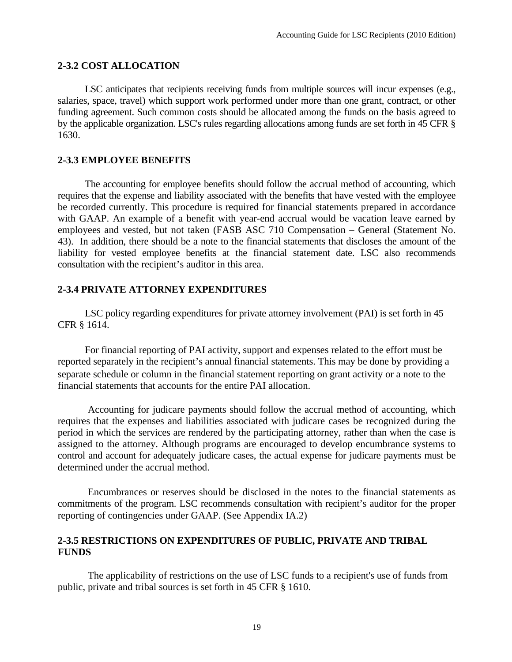#### **2-3.2 COST ALLOCATION**

LSC anticipates that recipients receiving funds from multiple sources will incur expenses (e.g., salaries, space, travel) which support work performed under more than one grant, contract, or other funding agreement. Such common costs should be allocated among the funds on the basis agreed to by the applicable organization. LSC's rules regarding allocations among funds are set forth in 45 CFR § 1630.

### **2-3.3 EMPLOYEE BENEFITS**

The accounting for employee benefits should follow the accrual method of accounting, which requires that the expense and liability associated with the benefits that have vested with the employee be recorded currently. This procedure is required for financial statements prepared in accordance with GAAP. An example of a benefit with year-end accrual would be vacation leave earned by employees and vested, but not taken (FASB ASC 710 Compensation – General (Statement No. 43). In addition, there should be a note to the financial statements that discloses the amount of the liability for vested employee benefits at the financial statement date. LSC also recommends consultation with the recipient's auditor in this area.

## **2-3.4 PRIVATE ATTORNEY EXPENDITURES**

LSC policy regarding expenditures for private attorney involvement (PAI) is set forth in 45 CFR § 1614.

For financial reporting of PAI activity, support and expenses related to the effort must be reported separately in the recipient's annual financial statements. This may be done by providing a separate schedule or column in the financial statement reporting on grant activity or a note to the financial statements that accounts for the entire PAI allocation.

Accounting for judicare payments should follow the accrual method of accounting, which requires that the expenses and liabilities associated with judicare cases be recognized during the period in which the services are rendered by the participating attorney, rather than when the case is assigned to the attorney. Although programs are encouraged to develop encumbrance systems to control and account for adequately judicare cases, the actual expense for judicare payments must be determined under the accrual method.

Encumbrances or reserves should be disclosed in the notes to the financial statements as commitments of the program. LSC recommends consultation with recipient's auditor for the proper reporting of contingencies under GAAP. (See Appendix IA.2)

## **2-3.5 RESTRICTIONS ON EXPENDITURES OF PUBLIC, PRIVATE AND TRIBAL FUNDS**

The applicability of restrictions on the use of LSC funds to a recipient's use of funds from public, private and tribal sources is set forth in 45 CFR § 1610.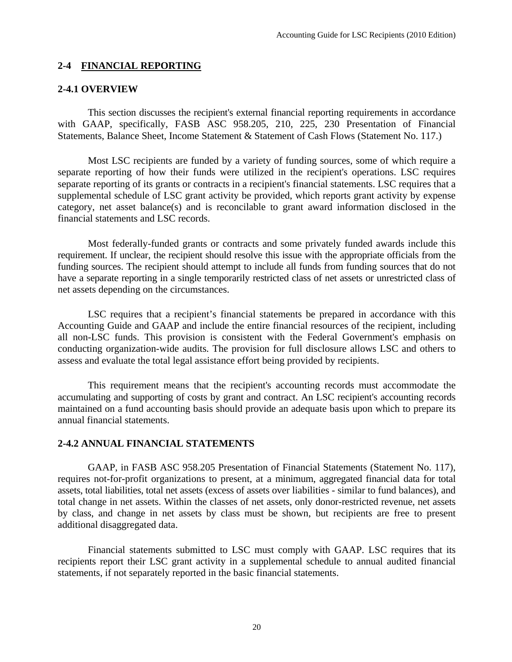## **2-4 FINANCIAL REPORTING**

### **2-4.1 OVERVIEW**

This section discusses the recipient's external financial reporting requirements in accordance with GAAP, specifically, FASB ASC 958.205, 210, 225, 230 Presentation of Financial Statements, Balance Sheet, Income Statement & Statement of Cash Flows (Statement No. 117.)

Most LSC recipients are funded by a variety of funding sources, some of which require a separate reporting of how their funds were utilized in the recipient's operations. LSC requires separate reporting of its grants or contracts in a recipient's financial statements. LSC requires that a supplemental schedule of LSC grant activity be provided, which reports grant activity by expense category, net asset balance(s) and is reconcilable to grant award information disclosed in the financial statements and LSC records.

Most federally-funded grants or contracts and some privately funded awards include this requirement. If unclear, the recipient should resolve this issue with the appropriate officials from the funding sources. The recipient should attempt to include all funds from funding sources that do not have a separate reporting in a single temporarily restricted class of net assets or unrestricted class of net assets depending on the circumstances.

LSC requires that a recipient's financial statements be prepared in accordance with this Accounting Guide and GAAP and include the entire financial resources of the recipient, including all non-LSC funds. This provision is consistent with the Federal Government's emphasis on conducting organization-wide audits. The provision for full disclosure allows LSC and others to assess and evaluate the total legal assistance effort being provided by recipients.

This requirement means that the recipient's accounting records must accommodate the accumulating and supporting of costs by grant and contract. An LSC recipient's accounting records maintained on a fund accounting basis should provide an adequate basis upon which to prepare its annual financial statements.

### **2-4.2 ANNUAL FINANCIAL STATEMENTS**

GAAP, in FASB ASC 958.205 Presentation of Financial Statements (Statement No. 117), requires not-for-profit organizations to present, at a minimum, aggregated financial data for total assets, total liabilities, total net assets (excess of assets over liabilities - similar to fund balances), and total change in net assets. Within the classes of net assets, only donor-restricted revenue, net assets by class, and change in net assets by class must be shown, but recipients are free to present additional disaggregated data.

Financial statements submitted to LSC must comply with GAAP. LSC requires that its recipients report their LSC grant activity in a supplemental schedule to annual audited financial statements, if not separately reported in the basic financial statements.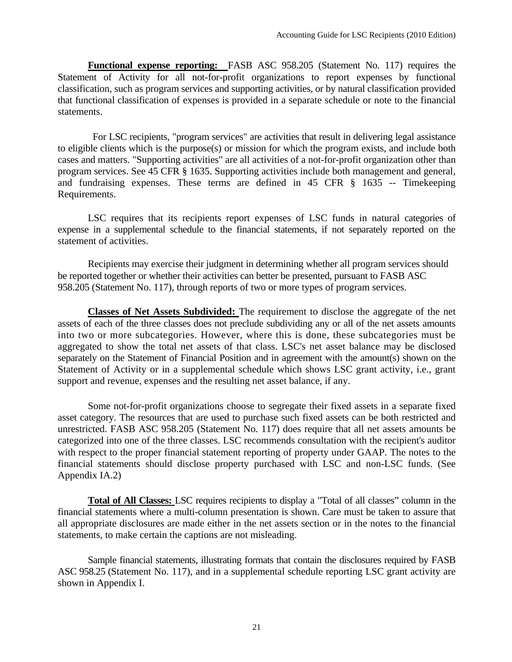**Functional expense reporting:** FASB ASC 958.205 (Statement No. 117) requires the Statement of Activity for all not-for-profit organizations to report expenses by functional classification, such as program services and supporting activities, or by natural classification provided that functional classification of expenses is provided in a separate schedule or note to the financial statements.

 For LSC recipients, "program services" are activities that result in delivering legal assistance to eligible clients which is the purpose(s) or mission for which the program exists, and include both cases and matters. "Supporting activities" are all activities of a not-for-profit organization other than program services. See 45 CFR § 1635. Supporting activities include both management and general, and fundraising expenses. These terms are defined in 45 CFR § 1635 -- Timekeeping Requirements.

LSC requires that its recipients report expenses of LSC funds in natural categories of expense in a supplemental schedule to the financial statements, if not separately reported on the statement of activities.

Recipients may exercise their judgment in determining whether all program services should be reported together or whether their activities can better be presented, pursuant to FASB ASC 958.205 (Statement No. 117), through reports of two or more types of program services.

**Classes of Net Assets Subdivided:** The requirement to disclose the aggregate of the net assets of each of the three classes does not preclude subdividing any or all of the net assets amounts into two or more subcategories. However, where this is done, these subcategories must be aggregated to show the total net assets of that class. LSC's net asset balance may be disclosed separately on the Statement of Financial Position and in agreement with the amount(s) shown on the Statement of Activity or in a supplemental schedule which shows LSC grant activity, i.e., grant support and revenue, expenses and the resulting net asset balance, if any.

Some not-for-profit organizations choose to segregate their fixed assets in a separate fixed asset category. The resources that are used to purchase such fixed assets can be both restricted and unrestricted. FASB ASC 958.205 (Statement No. 117) does require that all net assets amounts be categorized into one of the three classes. LSC recommends consultation with the recipient's auditor with respect to the proper financial statement reporting of property under GAAP. The notes to the financial statements should disclose property purchased with LSC and non-LSC funds. (See Appendix IA.2)

**Total of All Classes:** LSC requires recipients to display a "Total of all classes" column in the financial statements where a multi-column presentation is shown. Care must be taken to assure that all appropriate disclosures are made either in the net assets section or in the notes to the financial statements, to make certain the captions are not misleading.

Sample financial statements, illustrating formats that contain the disclosures required by FASB ASC 958.25 (Statement No. 117), and in a supplemental schedule reporting LSC grant activity are shown in Appendix I.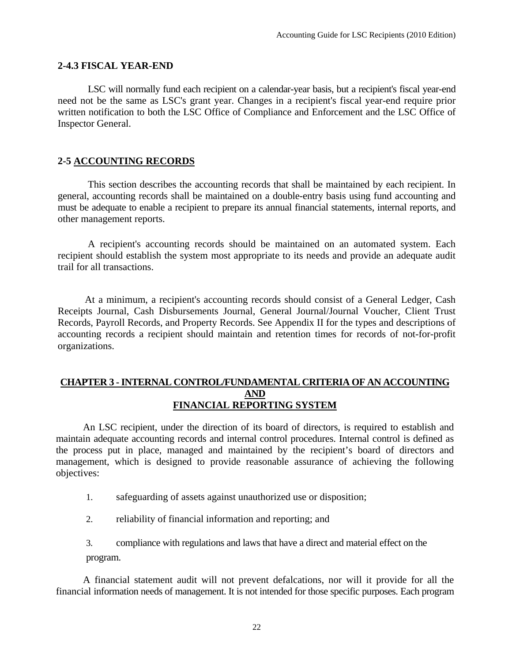### **2-4.3 FISCAL YEAR-END**

LSC will normally fund each recipient on a calendar-year basis, but a recipient's fiscal year-end need not be the same as LSC's grant year. Changes in a recipient's fiscal year-end require prior written notification to both the LSC Office of Compliance and Enforcement and the LSC Office of Inspector General.

## **2-5 ACCOUNTING RECORDS**

This section describes the accounting records that shall be maintained by each recipient. In general, accounting records shall be maintained on a double-entry basis using fund accounting and must be adequate to enable a recipient to prepare its annual financial statements, internal reports, and other management reports.

A recipient's accounting records should be maintained on an automated system. Each recipient should establish the system most appropriate to its needs and provide an adequate audit trail for all transactions.

At a minimum, a recipient's accounting records should consist of a General Ledger, Cash Receipts Journal, Cash Disbursements Journal, General Journal/Journal Voucher, Client Trust Records, Payroll Records, and Property Records. See Appendix II for the types and descriptions of accounting records a recipient should maintain and retention times for records of not-for-profit organizations.

### **CHAPTER 3 - INTERNAL CONTROL/FUNDAMENTAL CRITERIA OF AN ACCOUNTING AND FINANCIAL REPORTING SYSTEM**

An LSC recipient, under the direction of its board of directors, is required to establish and maintain adequate accounting records and internal control procedures. Internal control is defined as the process put in place, managed and maintained by the recipient's board of directors and management, which is designed to provide reasonable assurance of achieving the following objectives:

- 1. safeguarding of assets against unauthorized use or disposition;
- 2. reliability of financial information and reporting; and

3. compliance with regulations and laws that have a direct and material effect on the program.

A financial statement audit will not prevent defalcations, nor will it provide for all the financial information needs of management. It is not intended for those specific purposes. Each program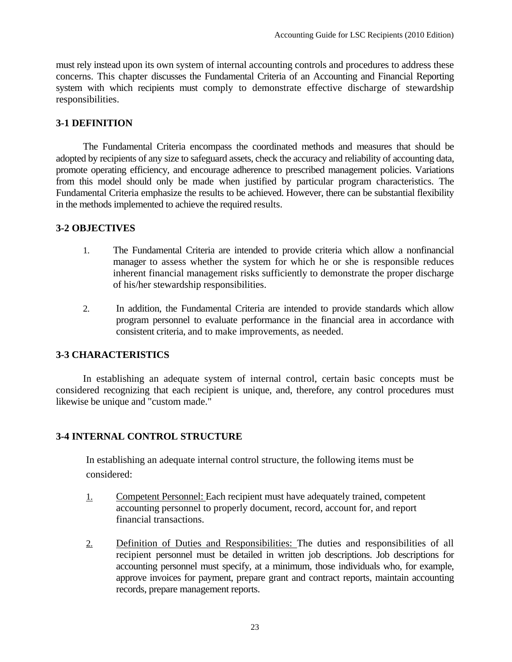must rely instead upon its own system of internal accounting controls and procedures to address these concerns. This chapter discusses the Fundamental Criteria of an Accounting and Financial Reporting system with which recipients must comply to demonstrate effective discharge of stewardship responsibilities.

### **3-1 DEFINITION**

The Fundamental Criteria encompass the coordinated methods and measures that should be adopted by recipients of any size to safeguard assets, check the accuracy and reliability of accounting data, promote operating efficiency, and encourage adherence to prescribed management policies. Variations from this model should only be made when justified by particular program characteristics. The Fundamental Criteria emphasize the results to be achieved. However, there can be substantial flexibility in the methods implemented to achieve the required results.

## **3-2 OBJECTIVES**

- 1. The Fundamental Criteria are intended to provide criteria which allow a nonfinancial manager to assess whether the system for which he or she is responsible reduces inherent financial management risks sufficiently to demonstrate the proper discharge of his/her stewardship responsibilities.
- 2. In addition, the Fundamental Criteria are intended to provide standards which allow program personnel to evaluate performance in the financial area in accordance with consistent criteria, and to make improvements, as needed.

### **3-3 CHARACTERISTICS**

In establishing an adequate system of internal control, certain basic concepts must be considered recognizing that each recipient is unique, and, therefore, any control procedures must likewise be unique and "custom made."

## **3-4 INTERNAL CONTROL STRUCTURE**

In establishing an adequate internal control structure, the following items must be considered:

- 1. Competent Personnel: Each recipient must have adequately trained, competent accounting personnel to properly document, record, account for, and report financial transactions.
- 2. Definition of Duties and Responsibilities: The duties and responsibilities of all recipient personnel must be detailed in written job descriptions. Job descriptions for accounting personnel must specify, at a minimum, those individuals who, for example, approve invoices for payment, prepare grant and contract reports, maintain accounting records, prepare management reports.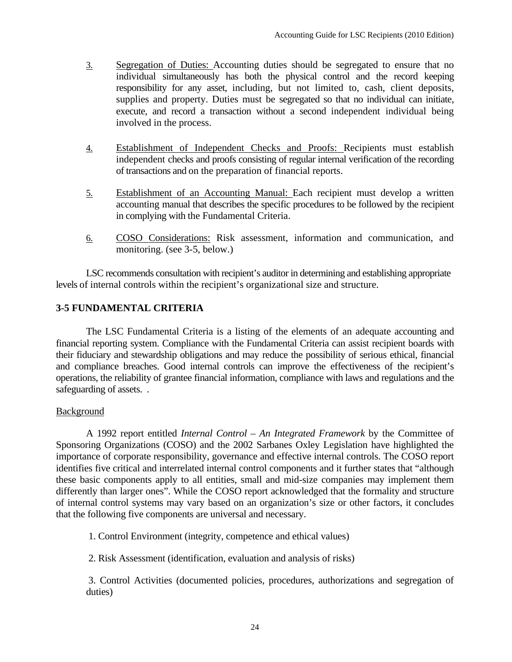- 3. Segregation of Duties: Accounting duties should be segregated to ensure that no individual simultaneously has both the physical control and the record keeping responsibility for any asset, including, but not limited to, cash, client deposits, supplies and property. Duties must be segregated so that no individual can initiate, execute, and record a transaction without a second independent individual being involved in the process.
- 4. Establishment of Independent Checks and Proofs: Recipients must establish independent checks and proofs consisting of regular internal verification of the recording of transactions and on the preparation of financial reports.
- 5. Establishment of an Accounting Manual: Each recipient must develop a written accounting manual that describes the specific procedures to be followed by the recipient in complying with the Fundamental Criteria.
- 6. COSO Considerations: Risk assessment, information and communication, and monitoring. (see 3-5, below.)

LSC recommends consultation with recipient's auditor in determining and establishing appropriate levels of internal controls within the recipient's organizational size and structure.

## **3-5 FUNDAMENTAL CRITERIA**

The LSC Fundamental Criteria is a listing of the elements of an adequate accounting and financial reporting system. Compliance with the Fundamental Criteria can assist recipient boards with their fiduciary and stewardship obligations and may reduce the possibility of serious ethical, financial and compliance breaches. Good internal controls can improve the effectiveness of the recipient's operations, the reliability of grantee financial information, compliance with laws and regulations and the safeguarding of assets. .

## Background

A 1992 report entitled *Internal Control – An Integrated Framework* by the Committee of Sponsoring Organizations (COSO) and the 2002 Sarbanes Oxley Legislation have highlighted the importance of corporate responsibility, governance and effective internal controls. The COSO report identifies five critical and interrelated internal control components and it further states that "although these basic components apply to all entities, small and mid-size companies may implement them differently than larger ones". While the COSO report acknowledged that the formality and structure of internal control systems may vary based on an organization's size or other factors, it concludes that the following five components are universal and necessary.

1. Control Environment (integrity, competence and ethical values)

2. Risk Assessment (identification, evaluation and analysis of risks)

 3. Control Activities (documented policies, procedures, authorizations and segregation of duties)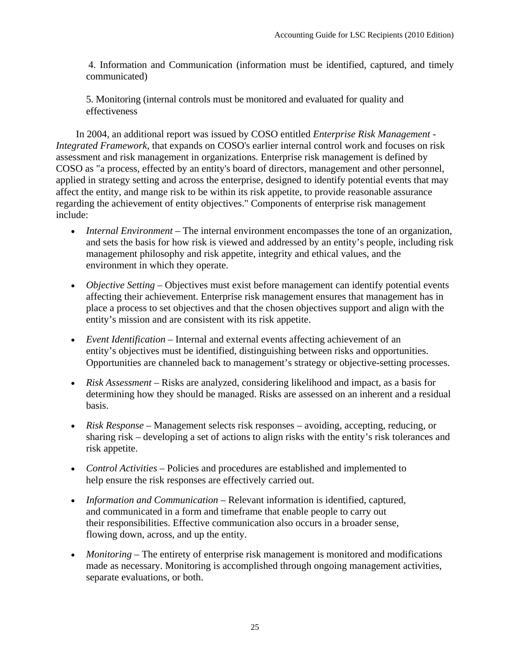4. Information and Communication (information must be identified, captured, and timely communicated)

 5. Monitoring (internal controls must be monitored and evaluated for quality and effectiveness

 In 2004, an additional report was issued by COSO entitled *Enterprise Risk Management - Integrated Framework,* that expands on COSO's earlier internal control work and focuses on risk assessment and risk management in organizations. Enterprise risk management is defined by COSO as "a process, effected by an entity's board of directors, management and other personnel, applied in strategy setting and across the enterprise, designed to identify potential events that may affect the entity, and mange risk to be within its risk appetite, to provide reasonable assurance regarding the achievement of entity objectives." Components of enterprise risk management include:

- *Internal Environment*  The internal environment encompasses the tone of an organization, and sets the basis for how risk is viewed and addressed by an entity's people, including risk management philosophy and risk appetite, integrity and ethical values, and the environment in which they operate.
- Objective Setting Objectives must exist before management can identify potential events affecting their achievement. Enterprise risk management ensures that management has in place a process to set objectives and that the chosen objectives support and align with the entity's mission and are consistent with its risk appetite.
- *Event Identification*  Internal and external events affecting achievement of an entity's objectives must be identified, distinguishing between risks and opportunities. Opportunities are channeled back to management's strategy or objective-setting processes.
- *Risk Assessment*  Risks are analyzed, considering likelihood and impact, as a basis for determining how they should be managed. Risks are assessed on an inherent and a residual basis.
- *Risk Response*  Management selects risk responses avoiding, accepting, reducing, or sharing risk – developing a set of actions to align risks with the entity's risk tolerances and risk appetite.
- *Control Activities*  Policies and procedures are established and implemented to help ensure the risk responses are effectively carried out.
- *Information and Communication*  Relevant information is identified, captured, and communicated in a form and timeframe that enable people to carry out their responsibilities. Effective communication also occurs in a broader sense, flowing down, across, and up the entity.
- *Monitoring* The entirety of enterprise risk management is monitored and modifications made as necessary. Monitoring is accomplished through ongoing management activities, separate evaluations, or both.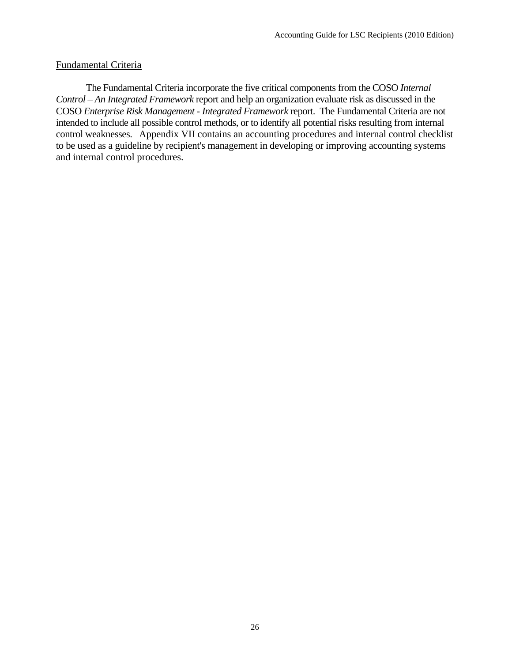### Fundamental Criteria

The Fundamental Criteria incorporate the five critical components from the COSO *Internal Control – An Integrated Framework* report and help an organization evaluate risk as discussed in the COSO *Enterprise Risk Management - Integrated Framework* report. The Fundamental Criteria are not intended to include all possible control methods, or to identify all potential risks resulting from internal control weaknesses. Appendix VII contains an accounting procedures and internal control checklist to be used as a guideline by recipient's management in developing or improving accounting systems and internal control procedures.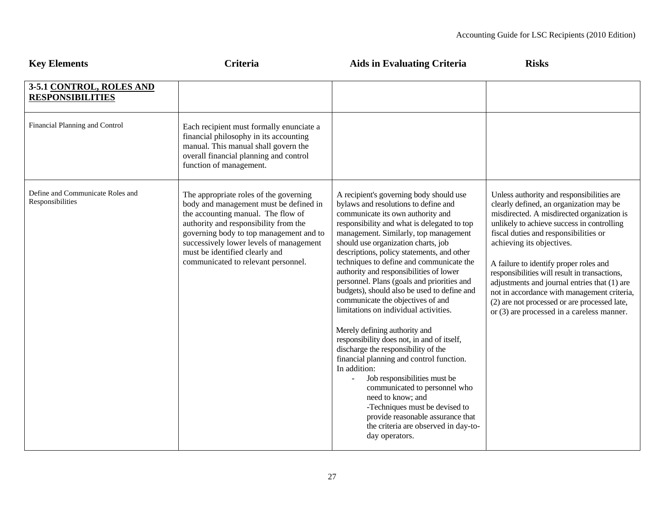| <b>Key Elements</b>                                  | <b>Criteria</b>                                                                                                                                                                                                                                                                                                                | <b>Aids in Evaluating Criteria</b>                                                                                                                                                                                                                                                                                                                                                                                                                                                                                                                                                                                                                                                                                                                                                                                                                                                                                                                                           | <b>Risks</b>                                                                                                                                                                                                                                                                                                                                                                                                                                                                                                                                   |
|------------------------------------------------------|--------------------------------------------------------------------------------------------------------------------------------------------------------------------------------------------------------------------------------------------------------------------------------------------------------------------------------|------------------------------------------------------------------------------------------------------------------------------------------------------------------------------------------------------------------------------------------------------------------------------------------------------------------------------------------------------------------------------------------------------------------------------------------------------------------------------------------------------------------------------------------------------------------------------------------------------------------------------------------------------------------------------------------------------------------------------------------------------------------------------------------------------------------------------------------------------------------------------------------------------------------------------------------------------------------------------|------------------------------------------------------------------------------------------------------------------------------------------------------------------------------------------------------------------------------------------------------------------------------------------------------------------------------------------------------------------------------------------------------------------------------------------------------------------------------------------------------------------------------------------------|
| 3-5.1 CONTROL, ROLES AND<br><b>RESPONSIBILITIES</b>  |                                                                                                                                                                                                                                                                                                                                |                                                                                                                                                                                                                                                                                                                                                                                                                                                                                                                                                                                                                                                                                                                                                                                                                                                                                                                                                                              |                                                                                                                                                                                                                                                                                                                                                                                                                                                                                                                                                |
| Financial Planning and Control                       | Each recipient must formally enunciate a<br>financial philosophy in its accounting<br>manual. This manual shall govern the<br>overall financial planning and control<br>function of management.                                                                                                                                |                                                                                                                                                                                                                                                                                                                                                                                                                                                                                                                                                                                                                                                                                                                                                                                                                                                                                                                                                                              |                                                                                                                                                                                                                                                                                                                                                                                                                                                                                                                                                |
| Define and Communicate Roles and<br>Responsibilities | The appropriate roles of the governing<br>body and management must be defined in<br>the accounting manual. The flow of<br>authority and responsibility from the<br>governing body to top management and to<br>successively lower levels of management<br>must be identified clearly and<br>communicated to relevant personnel. | A recipient's governing body should use<br>bylaws and resolutions to define and<br>communicate its own authority and<br>responsibility and what is delegated to top<br>management. Similarly, top management<br>should use organization charts, job<br>descriptions, policy statements, and other<br>techniques to define and communicate the<br>authority and responsibilities of lower<br>personnel. Plans (goals and priorities and<br>budgets), should also be used to define and<br>communicate the objectives of and<br>limitations on individual activities.<br>Merely defining authority and<br>responsibility does not, in and of itself,<br>discharge the responsibility of the<br>financial planning and control function.<br>In addition:<br>Job responsibilities must be<br>communicated to personnel who<br>need to know; and<br>-Techniques must be devised to<br>provide reasonable assurance that<br>the criteria are observed in day-to-<br>day operators. | Unless authority and responsibilities are<br>clearly defined, an organization may be<br>misdirected. A misdirected organization is<br>unlikely to achieve success in controlling<br>fiscal duties and responsibilities or<br>achieving its objectives.<br>A failure to identify proper roles and<br>responsibilities will result in transactions,<br>adjustments and journal entries that (1) are<br>not in accordance with management criteria,<br>(2) are not processed or are processed late,<br>or (3) are processed in a careless manner. |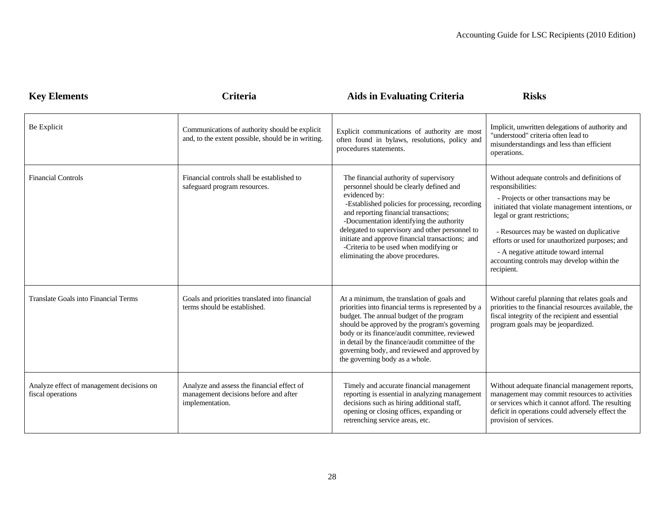| <b>Key Elements</b>                                            | Criteria                                                                                               | <b>Aids in Evaluating Criteria</b>                                                                                                                                                                                                                                                                                                                                                                                               | <b>Risks</b>                                                                                                                                                                                                                                                                                                                                                                                        |
|----------------------------------------------------------------|--------------------------------------------------------------------------------------------------------|----------------------------------------------------------------------------------------------------------------------------------------------------------------------------------------------------------------------------------------------------------------------------------------------------------------------------------------------------------------------------------------------------------------------------------|-----------------------------------------------------------------------------------------------------------------------------------------------------------------------------------------------------------------------------------------------------------------------------------------------------------------------------------------------------------------------------------------------------|
| Be Explicit                                                    | Communications of authority should be explicit<br>and, to the extent possible, should be in writing.   | Explicit communications of authority are most<br>often found in bylaws, resolutions, policy and<br>procedures statements.                                                                                                                                                                                                                                                                                                        | Implicit, unwritten delegations of authority and<br>"understood" criteria often lead to<br>misunderstandings and less than efficient<br>operations.                                                                                                                                                                                                                                                 |
| <b>Financial Controls</b>                                      | Financial controls shall be established to<br>safeguard program resources.                             | The financial authority of supervisory<br>personnel should be clearly defined and<br>evidenced by:<br>-Established policies for processing, recording<br>and reporting financial transactions;<br>-Documentation identifying the authority<br>delegated to supervisory and other personnel to<br>initiate and approve financial transactions; and<br>-Criteria to be used when modifying or<br>eliminating the above procedures. | Without adequate controls and definitions of<br>responsibilities:<br>- Projects or other transactions may be<br>initiated that violate management intentions, or<br>legal or grant restrictions;<br>- Resources may be wasted on duplicative<br>efforts or used for unauthorized purposes; and<br>- A negative attitude toward internal<br>accounting controls may develop within the<br>recipient. |
| <b>Translate Goals into Financial Terms</b>                    | Goals and priorities translated into financial<br>terms should be established.                         | At a minimum, the translation of goals and<br>priorities into financial terms is represented by a<br>budget. The annual budget of the program<br>should be approved by the program's governing<br>body or its finance/audit committee, reviewed<br>in detail by the finance/audit committee of the<br>governing body, and reviewed and approved by<br>the governing body as a whole.                                             | Without careful planning that relates goals and<br>priorities to the financial resources available, the<br>fiscal integrity of the recipient and essential<br>program goals may be jeopardized.                                                                                                                                                                                                     |
| Analyze effect of management decisions on<br>fiscal operations | Analyze and assess the financial effect of<br>management decisions before and after<br>implementation. | Timely and accurate financial management<br>reporting is essential in analyzing management<br>decisions such as hiring additional staff,<br>opening or closing offices, expanding or<br>retrenching service areas, etc.                                                                                                                                                                                                          | Without adequate financial management reports,<br>management may commit resources to activities<br>or services which it cannot afford. The resulting<br>deficit in operations could adversely effect the<br>provision of services.                                                                                                                                                                  |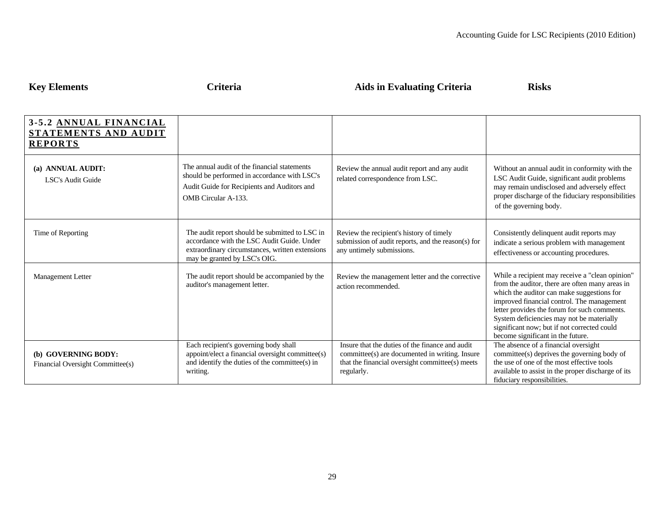|  |  | <b>Key Elements</b> |
|--|--|---------------------|
|--|--|---------------------|

**Key Elements Criteria Aids in Evaluating Criteria Risks** 

| 3-5.2 ANNUAL FINANCIAL<br>STATEMENTS AND AUDIT<br><b>REPORTS</b> |                                                                                                                                                                                 |                                                                                                                                                                    |                                                                                                                                                                                                                                                                                                                                                                                 |
|------------------------------------------------------------------|---------------------------------------------------------------------------------------------------------------------------------------------------------------------------------|--------------------------------------------------------------------------------------------------------------------------------------------------------------------|---------------------------------------------------------------------------------------------------------------------------------------------------------------------------------------------------------------------------------------------------------------------------------------------------------------------------------------------------------------------------------|
| (a) ANNUAL AUDIT:<br>LSC's Audit Guide                           | The annual audit of the financial statements<br>should be performed in accordance with LSC's<br>Audit Guide for Recipients and Auditors and<br><b>OMB</b> Circular A-133.       | Review the annual audit report and any audit<br>related correspondence from LSC.                                                                                   | Without an annual audit in conformity with the<br>LSC Audit Guide, significant audit problems<br>may remain undisclosed and adversely effect<br>proper discharge of the fiduciary responsibilities<br>of the governing body.                                                                                                                                                    |
| Time of Reporting                                                | The audit report should be submitted to LSC in<br>accordance with the LSC Audit Guide. Under<br>extraordinary circumstances, written extensions<br>may be granted by LSC's OIG. | Review the recipient's history of timely<br>submission of audit reports, and the reason(s) for<br>any untimely submissions.                                        | Consistently delinquent audit reports may<br>indicate a serious problem with management<br>effectiveness or accounting procedures.                                                                                                                                                                                                                                              |
| Management Letter                                                | The audit report should be accompanied by the<br>auditor's management letter.                                                                                                   | Review the management letter and the corrective<br>action recommended.                                                                                             | While a recipient may receive a "clean opinion"<br>from the auditor, there are often many areas in<br>which the auditor can make suggestions for<br>improved financial control. The management<br>letter provides the forum for such comments.<br>System deficiencies may not be materially<br>significant now; but if not corrected could<br>become significant in the future. |
| (b) GOVERNING BODY:<br>Financial Oversight Committee(s)          | Each recipient's governing body shall<br>appoint/elect a financial oversight committee(s)<br>and identify the duties of the committee(s) in<br>writing.                         | Insure that the duties of the finance and audit<br>committee(s) are documented in writing. Insure<br>that the financial oversight committee(s) meets<br>regularly. | The absence of a financial oversight<br>committee(s) deprives the governing body of<br>the use of one of the most effective tools<br>available to assist in the proper discharge of its<br>fiduciary responsibilities.                                                                                                                                                          |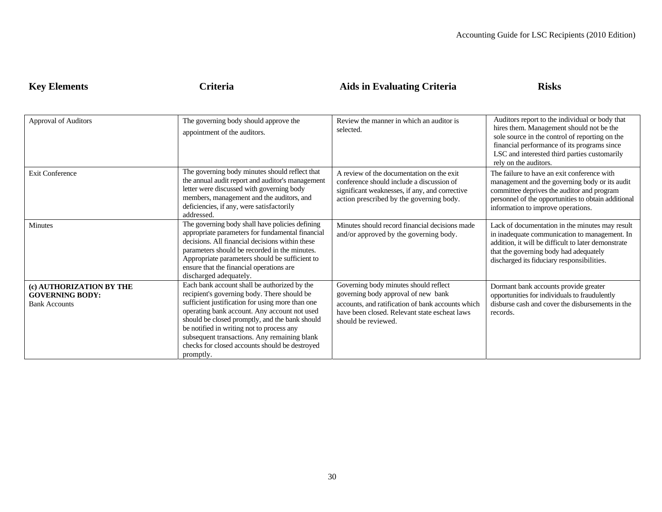# Key Elements **Criteria** Criteria **Aids in Evaluating Criteria** Risks

| Approval of Auditors                                                       | The governing body should approve the<br>appointment of the auditors.                                                                                                                                                                                                                                                                                                                                         | Review the manner in which an auditor is<br>selected.                                                                                                                                                     | Auditors report to the individual or body that<br>hires them. Management should not be the<br>sole source in the control of reporting on the<br>financial performance of its programs since<br>LSC and interested third parties customarily<br>rely on the auditors. |
|----------------------------------------------------------------------------|---------------------------------------------------------------------------------------------------------------------------------------------------------------------------------------------------------------------------------------------------------------------------------------------------------------------------------------------------------------------------------------------------------------|-----------------------------------------------------------------------------------------------------------------------------------------------------------------------------------------------------------|----------------------------------------------------------------------------------------------------------------------------------------------------------------------------------------------------------------------------------------------------------------------|
| <b>Exit Conference</b>                                                     | The governing body minutes should reflect that<br>the annual audit report and auditor's management<br>letter were discussed with governing body<br>members, management and the auditors, and<br>deficiencies, if any, were satisfactorily<br>addressed.                                                                                                                                                       | A review of the documentation on the exit<br>conference should include a discussion of<br>significant weaknesses, if any, and corrective<br>action prescribed by the governing body.                      | The failure to have an exit conference with<br>management and the governing body or its audit<br>committee deprives the auditor and program<br>personnel of the opportunities to obtain additional<br>information to improve operations.                             |
| <b>Minutes</b>                                                             | The governing body shall have policies defining<br>appropriate parameters for fundamental financial<br>decisions. All financial decisions within these<br>parameters should be recorded in the minutes.<br>Appropriate parameters should be sufficient to<br>ensure that the financial operations are<br>discharged adequately.                                                                               | Minutes should record financial decisions made<br>and/or approved by the governing body.                                                                                                                  | Lack of documentation in the minutes may result<br>in inadequate communication to management. In<br>addition, it will be difficult to later demonstrate<br>that the governing body had adequately<br>discharged its fiduciary responsibilities.                      |
| (c) AUTHORIZATION BY THE<br><b>GOVERNING BODY:</b><br><b>Bank Accounts</b> | Each bank account shall be authorized by the<br>recipient's governing body. There should be<br>sufficient justification for using more than one<br>operating bank account. Any account not used<br>should be closed promptly, and the bank should<br>be notified in writing not to process any<br>subsequent transactions. Any remaining blank<br>checks for closed accounts should be destroyed<br>promptly. | Governing body minutes should reflect<br>governing body approval of new bank<br>accounts, and ratification of bank accounts which<br>have been closed. Relevant state escheat laws<br>should be reviewed. | Dormant bank accounts provide greater<br>opportunities for individuals to fraudulently<br>disburse cash and cover the disbursements in the<br>records.                                                                                                               |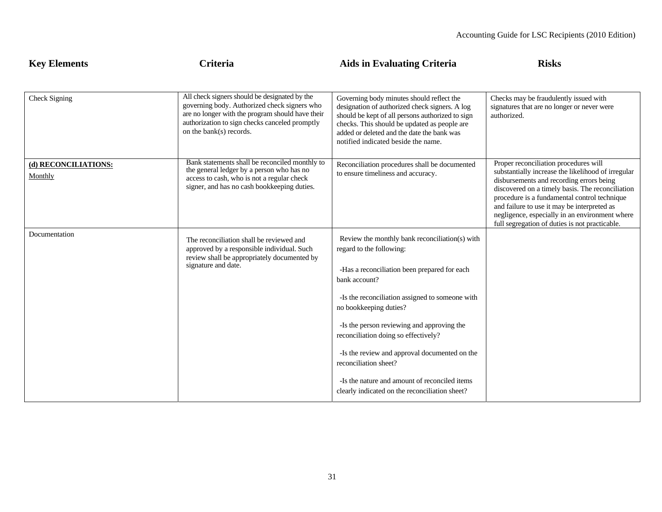| <b>Key Elements</b>             | Criteria                                                                                                                                                                                                                       | <b>Aids in Evaluating Criteria</b>                                                                                                                                                                                                                                                                                                                                                                                                                                                          | <b>Risks</b>                                                                                                                                                                                                                                                                                                                                                                                   |
|---------------------------------|--------------------------------------------------------------------------------------------------------------------------------------------------------------------------------------------------------------------------------|---------------------------------------------------------------------------------------------------------------------------------------------------------------------------------------------------------------------------------------------------------------------------------------------------------------------------------------------------------------------------------------------------------------------------------------------------------------------------------------------|------------------------------------------------------------------------------------------------------------------------------------------------------------------------------------------------------------------------------------------------------------------------------------------------------------------------------------------------------------------------------------------------|
| Check Signing                   | All check signers should be designated by the<br>governing body. Authorized check signers who<br>are no longer with the program should have their<br>authorization to sign checks canceled promptly<br>on the bank(s) records. | Governing body minutes should reflect the<br>designation of authorized check signers. A log<br>should be kept of all persons authorized to sign<br>checks. This should be updated as people are<br>added or deleted and the date the bank was<br>notified indicated beside the name.                                                                                                                                                                                                        | Checks may be fraudulently issued with<br>signatures that are no longer or never were<br>authorized.                                                                                                                                                                                                                                                                                           |
| (d) RECONCILIATIONS:<br>Monthly | Bank statements shall be reconciled monthly to<br>the general ledger by a person who has no<br>access to cash, who is not a regular check<br>signer, and has no cash bookkeeping duties.                                       | Reconciliation procedures shall be documented<br>to ensure timeliness and accuracy.                                                                                                                                                                                                                                                                                                                                                                                                         | Proper reconciliation procedures will<br>substantially increase the likelihood of irregular<br>disbursements and recording errors being<br>discovered on a timely basis. The reconciliation<br>procedure is a fundamental control technique<br>and failure to use it may be interpreted as<br>negligence, especially in an environment where<br>full segregation of duties is not practicable. |
| Documentation                   | The reconciliation shall be reviewed and<br>approved by a responsible individual. Such<br>review shall be appropriately documented by<br>signature and date.                                                                   | Review the monthly bank reconciliation(s) with<br>regard to the following:<br>-Has a reconciliation been prepared for each<br>bank account?<br>-Is the reconciliation assigned to someone with<br>no bookkeeping duties?<br>-Is the person reviewing and approving the<br>reconciliation doing so effectively?<br>-Is the review and approval documented on the<br>reconciliation sheet?<br>-Is the nature and amount of reconciled items<br>clearly indicated on the reconciliation sheet? |                                                                                                                                                                                                                                                                                                                                                                                                |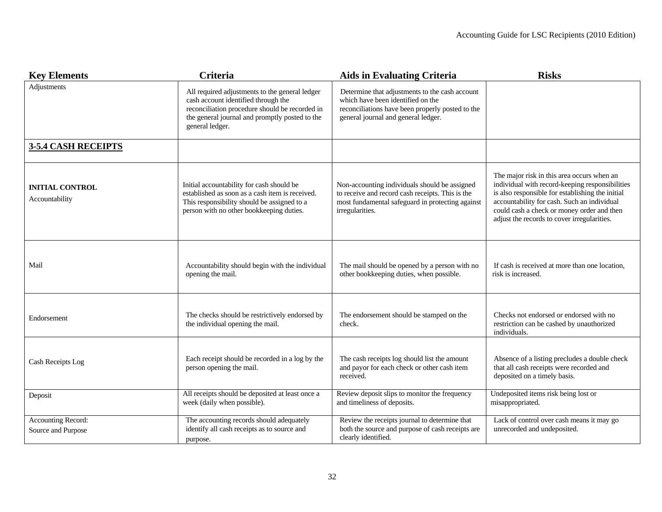| <b>Key Elements</b>                      | <b>Criteria</b>                                                                                                                                                                                              | <b>Aids in Evaluating Criteria</b>                                                                                                                                             | <b>Risks</b>                                                                                                                                                                                                                                                                                  |
|------------------------------------------|--------------------------------------------------------------------------------------------------------------------------------------------------------------------------------------------------------------|--------------------------------------------------------------------------------------------------------------------------------------------------------------------------------|-----------------------------------------------------------------------------------------------------------------------------------------------------------------------------------------------------------------------------------------------------------------------------------------------|
| Adjustments                              | All required adjustments to the general ledger<br>cash account identified through the<br>reconciliation procedure should be recorded in<br>the general journal and promptly posted to the<br>general ledger. | Determine that adjustments to the cash account<br>which have been identified on the<br>reconciliations have been properly posted to the<br>general journal and general ledger. |                                                                                                                                                                                                                                                                                               |
| <b>3-5.4 CASH RECEIPTS</b>               |                                                                                                                                                                                                              |                                                                                                                                                                                |                                                                                                                                                                                                                                                                                               |
| <b>INITIAL CONTROL</b><br>Accountability | Initial accountability for cash should be<br>established as soon as a cash item is received.<br>This responsibility should be assigned to a<br>person with no other bookkeeping duties.                      | Non-accounting individuals should be assigned<br>to receive and record cash receipts. This is the<br>most fundamental safeguard in protecting against<br>irregularities.       | The major risk in this area occurs when an<br>individual with record-keeping responsibilities<br>is also responsible for establishing the initial<br>accountability for cash. Such an individual<br>could cash a check or money order and then<br>adjust the records to cover irregularities. |
| Mail                                     | Accountability should begin with the individual<br>opening the mail.                                                                                                                                         | The mail should be opened by a person with no<br>other bookkeeping duties, when possible.                                                                                      | If cash is received at more than one location,<br>risk is increased.                                                                                                                                                                                                                          |
| Endorsement                              | The checks should be restrictively endorsed by<br>the individual opening the mail.                                                                                                                           | The endorsement should be stamped on the<br>check.                                                                                                                             | Checks not endorsed or endorsed with no<br>restriction can be cashed by unauthorized<br>individuals.                                                                                                                                                                                          |
| Cash Receipts Log                        | Each receipt should be recorded in a log by the<br>person opening the mail.                                                                                                                                  | The cash receipts log should list the amount<br>and payor for each check or other cash item<br>received.                                                                       | Absence of a listing precludes a double check<br>that all cash receipts were recorded and<br>deposited on a timely basis.                                                                                                                                                                     |
| Deposit                                  | All receipts should be deposited at least once a<br>week (daily when possible).                                                                                                                              | Review deposit slips to monitor the frequency<br>and timeliness of deposits.                                                                                                   | Undeposited items risk being lost or<br>misappropriated.                                                                                                                                                                                                                                      |
| Accounting Record:<br>Source and Purpose | The accounting records should adequately<br>identify all cash receipts as to source and<br>purpose.                                                                                                          | Review the receipts journal to determine that<br>both the source and purpose of cash receipts are<br>clearly identified.                                                       | Lack of control over cash means it may go<br>unrecorded and undeposited.                                                                                                                                                                                                                      |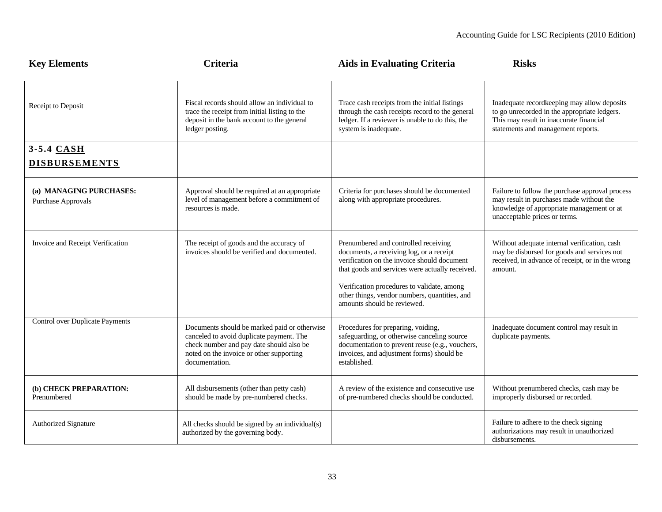| <b>Key Elements</b>                           | <b>Criteria</b>                                                                                                                                                                                    | <b>Aids in Evaluating Criteria</b>                                                                                                                                                                                                                                                                               | <b>Risks</b>                                                                                                                                                                 |
|-----------------------------------------------|----------------------------------------------------------------------------------------------------------------------------------------------------------------------------------------------------|------------------------------------------------------------------------------------------------------------------------------------------------------------------------------------------------------------------------------------------------------------------------------------------------------------------|------------------------------------------------------------------------------------------------------------------------------------------------------------------------------|
| Receipt to Deposit                            | Fiscal records should allow an individual to<br>trace the receipt from initial listing to the<br>deposit in the bank account to the general<br>ledger posting.                                     | Trace cash receipts from the initial listings<br>through the cash receipts record to the general<br>ledger. If a reviewer is unable to do this, the<br>system is inadequate.                                                                                                                                     | Inadequate recordkeeping may allow deposits<br>to go unrecorded in the appropriate ledgers.<br>This may result in inaccurate financial<br>statements and management reports. |
| 3-5.4 CASH<br><b>DISBURSEMENTS</b>            |                                                                                                                                                                                                    |                                                                                                                                                                                                                                                                                                                  |                                                                                                                                                                              |
| (a) MANAGING PURCHASES:<br>Purchase Approvals | Approval should be required at an appropriate<br>level of management before a commitment of<br>resources is made.                                                                                  | Criteria for purchases should be documented<br>along with appropriate procedures.                                                                                                                                                                                                                                | Failure to follow the purchase approval process<br>may result in purchases made without the<br>knowledge of appropriate management or at<br>unacceptable prices or terms.    |
| Invoice and Receipt Verification              | The receipt of goods and the accuracy of<br>invoices should be verified and documented.                                                                                                            | Prenumbered and controlled receiving<br>documents, a receiving log, or a receipt<br>verification on the invoice should document<br>that goods and services were actually received.<br>Verification procedures to validate, among<br>other things, vendor numbers, quantities, and<br>amounts should be reviewed. | Without adequate internal verification, cash<br>may be disbursed for goods and services not<br>received, in advance of receipt, or in the wrong<br>amount.                   |
| Control over Duplicate Payments               | Documents should be marked paid or otherwise<br>canceled to avoid duplicate payment. The<br>check number and pay date should also be<br>noted on the invoice or other supporting<br>documentation. | Procedures for preparing, voiding,<br>safeguarding, or otherwise canceling source<br>documentation to prevent reuse (e.g., vouchers,<br>invoices, and adjustment forms) should be<br>established.                                                                                                                | Inadequate document control may result in<br>duplicate payments.                                                                                                             |
| (b) CHECK PREPARATION:<br>Prenumbered         | All disbursements (other than petty cash)<br>should be made by pre-numbered checks.                                                                                                                | A review of the existence and consecutive use<br>of pre-numbered checks should be conducted.                                                                                                                                                                                                                     | Without prenumbered checks, cash may be<br>improperly disbursed or recorded.                                                                                                 |
| Authorized Signature                          | All checks should be signed by an individual(s)<br>authorized by the governing body.                                                                                                               |                                                                                                                                                                                                                                                                                                                  | Failure to adhere to the check signing<br>authorizations may result in unauthorized<br>disbursements.                                                                        |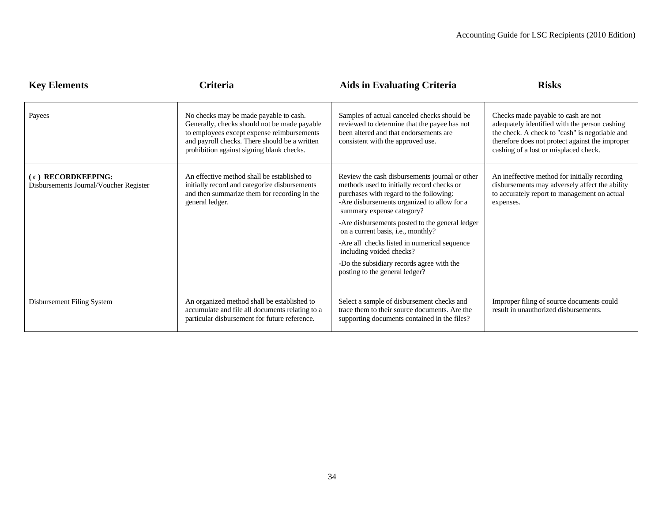| <b>Key Elements</b>                                          | <b>Criteria</b>                                                                                                                                                                                                                    | <b>Aids in Evaluating Criteria</b>                                                                                                                                                                                                                                                                                                                                                                                                                                      | <b>Risks</b>                                                                                                                                                                                                                       |
|--------------------------------------------------------------|------------------------------------------------------------------------------------------------------------------------------------------------------------------------------------------------------------------------------------|-------------------------------------------------------------------------------------------------------------------------------------------------------------------------------------------------------------------------------------------------------------------------------------------------------------------------------------------------------------------------------------------------------------------------------------------------------------------------|------------------------------------------------------------------------------------------------------------------------------------------------------------------------------------------------------------------------------------|
| Payees                                                       | No checks may be made payable to cash.<br>Generally, checks should not be made payable<br>to employees except expense reimbursements<br>and payroll checks. There should be a written<br>prohibition against signing blank checks. | Samples of actual canceled checks should be<br>reviewed to determine that the payee has not<br>been altered and that endorsements are<br>consistent with the approved use.                                                                                                                                                                                                                                                                                              | Checks made payable to cash are not<br>adequately identified with the person cashing<br>the check. A check to "cash" is negotiable and<br>therefore does not protect against the improper<br>cashing of a lost or misplaced check. |
| (c) RECORDKEEPING:<br>Disbursements Journal/Voucher Register | An effective method shall be established to<br>initially record and categorize disbursements<br>and then summarize them for recording in the<br>general ledger.                                                                    | Review the cash disbursements journal or other<br>methods used to initially record checks or<br>purchases with regard to the following:<br>-Are disbursements organized to allow for a<br>summary expense category?<br>-Are disbursements posted to the general ledger<br>on a current basis, i.e., monthly?<br>-Are all checks listed in numerical sequence<br>including voided checks?<br>-Do the subsidiary records agree with the<br>posting to the general ledger? | An ineffective method for initially recording<br>disbursements may adversely affect the ability<br>to accurately report to management on actual<br>expenses.                                                                       |
| Disbursement Filing System                                   | An organized method shall be established to<br>accumulate and file all documents relating to a<br>particular disbursement for future reference.                                                                                    | Select a sample of disbursement checks and<br>trace them to their source documents. Are the<br>supporting documents contained in the files?                                                                                                                                                                                                                                                                                                                             | Improper filing of source documents could<br>result in unauthorized disbursements.                                                                                                                                                 |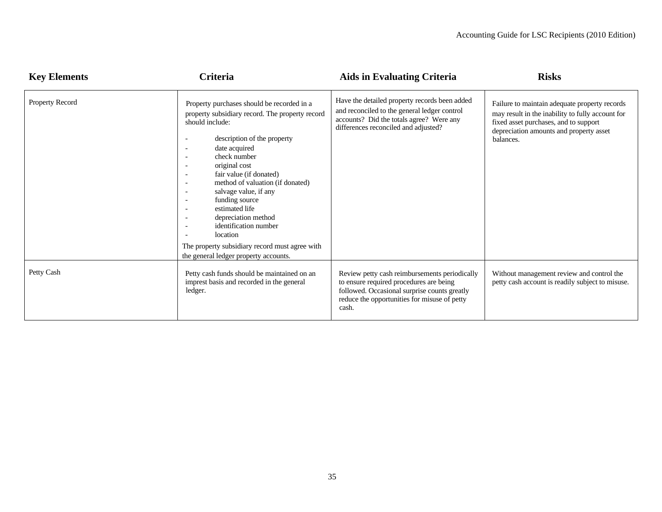| <b>Key Elements</b> | Criteria                                                                                                                                                                                                                                                                                                                                                                                                                                                                                                                                                                                                                                 | <b>Aids in Evaluating Criteria</b>                                                                                                                                                                | <b>Risks</b>                                                                                                                                                                                       |
|---------------------|------------------------------------------------------------------------------------------------------------------------------------------------------------------------------------------------------------------------------------------------------------------------------------------------------------------------------------------------------------------------------------------------------------------------------------------------------------------------------------------------------------------------------------------------------------------------------------------------------------------------------------------|---------------------------------------------------------------------------------------------------------------------------------------------------------------------------------------------------|----------------------------------------------------------------------------------------------------------------------------------------------------------------------------------------------------|
| Property Record     | Property purchases should be recorded in a<br>property subsidiary record. The property record<br>should include:<br>description of the property<br>$\overline{\phantom{a}}$<br>date acquired<br>check number<br>original cost<br>fair value (if donated)<br>$\overline{\phantom{a}}$<br>method of valuation (if donated)<br>$\overline{\phantom{0}}$<br>salvage value, if any<br>$\overline{a}$<br>funding source<br>estimated life<br>$\overline{\phantom{0}}$<br>depreciation method<br>$\overline{a}$<br>identification number<br>location<br>The property subsidiary record must agree with<br>the general ledger property accounts. | Have the detailed property records been added<br>and reconciled to the general ledger control<br>accounts? Did the totals agree? Were any<br>differences reconciled and adjusted?                 | Failure to maintain adequate property records<br>may result in the inability to fully account for<br>fixed asset purchases, and to support<br>depreciation amounts and property asset<br>balances. |
| Petty Cash          | Petty cash funds should be maintained on an<br>imprest basis and recorded in the general<br>ledger.                                                                                                                                                                                                                                                                                                                                                                                                                                                                                                                                      | Review petty cash reimbursements periodically<br>to ensure required procedures are being<br>followed. Occasional surprise counts greatly<br>reduce the opportunities for misuse of petty<br>cash. | Without management review and control the<br>petty cash account is readily subject to misuse.                                                                                                      |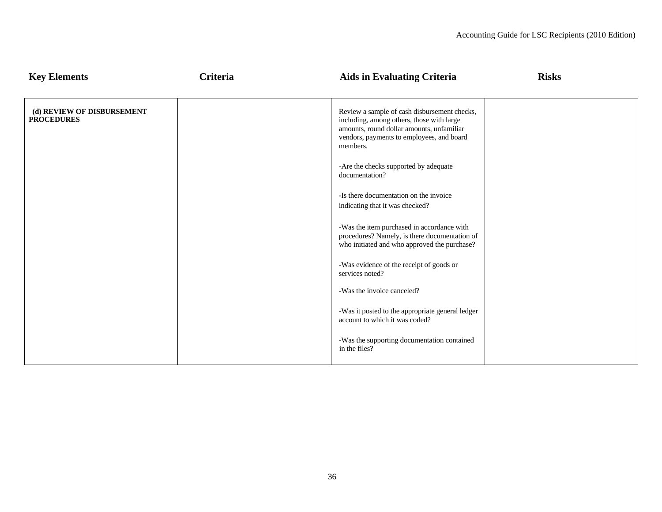| <b>Key Elements</b>                             | Criteria | <b>Aids in Evaluating Criteria</b>                                                                                                                                                              | <b>Risks</b> |
|-------------------------------------------------|----------|-------------------------------------------------------------------------------------------------------------------------------------------------------------------------------------------------|--------------|
| (d) REVIEW OF DISBURSEMENT<br><b>PROCEDURES</b> |          | Review a sample of cash disbursement checks,<br>including, among others, those with large<br>amounts, round dollar amounts, unfamiliar<br>vendors, payments to employees, and board<br>members. |              |
|                                                 |          | -Are the checks supported by adequate<br>documentation?                                                                                                                                         |              |
|                                                 |          | -Is there documentation on the invoice<br>indicating that it was checked?                                                                                                                       |              |
|                                                 |          | -Was the item purchased in accordance with<br>procedures? Namely, is there documentation of<br>who initiated and who approved the purchase?                                                     |              |
|                                                 |          | -Was evidence of the receipt of goods or<br>services noted?                                                                                                                                     |              |
|                                                 |          | -Was the invoice canceled?                                                                                                                                                                      |              |
|                                                 |          | -Was it posted to the appropriate general ledger<br>account to which it was coded?                                                                                                              |              |
|                                                 |          | -Was the supporting documentation contained<br>in the files?                                                                                                                                    |              |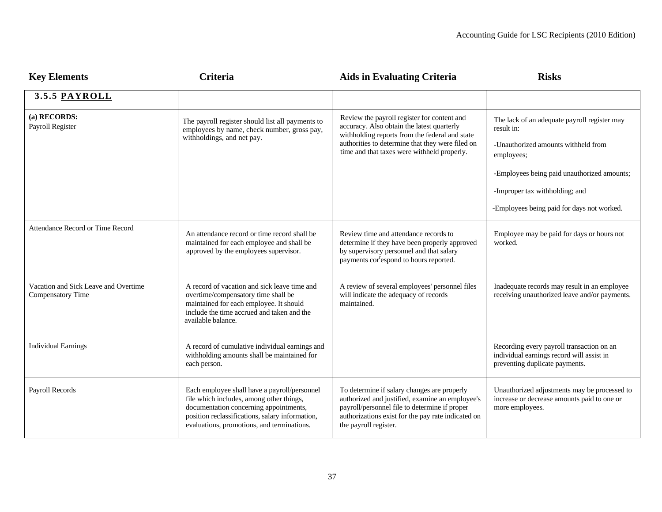| <b>Key Elements</b>                                       | Criteria                                                                                                                                                                                                                            | <b>Aids in Evaluating Criteria</b>                                                                                                                                                                                                             | <b>Risks</b>                                                                                                                                                                                                                                   |
|-----------------------------------------------------------|-------------------------------------------------------------------------------------------------------------------------------------------------------------------------------------------------------------------------------------|------------------------------------------------------------------------------------------------------------------------------------------------------------------------------------------------------------------------------------------------|------------------------------------------------------------------------------------------------------------------------------------------------------------------------------------------------------------------------------------------------|
| 3.5.5 PAYROLL                                             |                                                                                                                                                                                                                                     |                                                                                                                                                                                                                                                |                                                                                                                                                                                                                                                |
| (a) RECORDS:<br>Payroll Register                          | The payroll register should list all payments to<br>employees by name, check number, gross pay,<br>withholdings, and net pay.                                                                                                       | Review the payroll register for content and<br>accuracy. Also obtain the latest quarterly<br>withholding reports from the federal and state<br>authorities to determine that they were filed on<br>time and that taxes were withheld properly. | The lack of an adequate payroll register may<br>result in:<br>-Unauthorized amounts withheld from<br>employees;<br>-Employees being paid unauthorized amounts;<br>-Improper tax withholding; and<br>-Employees being paid for days not worked. |
| Attendance Record or Time Record                          | An attendance record or time record shall be<br>maintained for each employee and shall be<br>approved by the employees supervisor.                                                                                                  | Review time and attendance records to<br>determine if they have been properly approved<br>by supervisory personnel and that salary<br>payments cor <sup>r</sup> espond to hours reported.                                                      | Employee may be paid for days or hours not<br>worked.                                                                                                                                                                                          |
| Vacation and Sick Leave and Overtime<br>Compensatory Time | A record of vacation and sick leave time and<br>overtime/compensatory time shall be<br>maintained for each employee. It should<br>include the time accrued and taken and the<br>available balance.                                  | A review of several employees' personnel files<br>will indicate the adequacy of records<br>maintained.                                                                                                                                         | Inadequate records may result in an employee<br>receiving unauthorized leave and/or payments.                                                                                                                                                  |
| <b>Individual Earnings</b>                                | A record of cumulative individual earnings and<br>withholding amounts shall be maintained for<br>each person.                                                                                                                       |                                                                                                                                                                                                                                                | Recording every payroll transaction on an<br>individual earnings record will assist in<br>preventing duplicate payments.                                                                                                                       |
| Payroll Records                                           | Each employee shall have a payroll/personnel<br>file which includes, among other things,<br>documentation concerning appointments,<br>position reclassifications, salary information,<br>evaluations, promotions, and terminations. | To determine if salary changes are properly<br>authorized and justified, examine an employee's<br>payroll/personnel file to determine if proper<br>authorizations exist for the pay rate indicated on<br>the payroll register.                 | Unauthorized adjustments may be processed to<br>increase or decrease amounts paid to one or<br>more employees.                                                                                                                                 |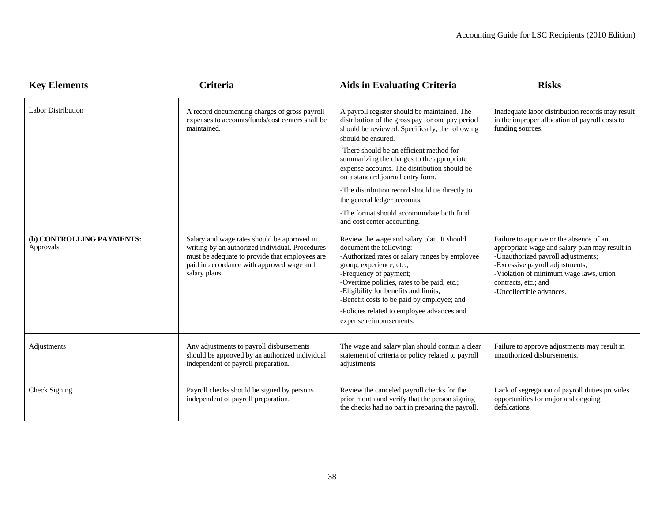| <b>Key Elements</b>                    | <b>Criteria</b>                                                                                                                                                                                                | <b>Aids in Evaluating Criteria</b>                                                                                                                                                                                                                                                                                                                                                           | <b>Risks</b>                                                                                                                                                                                                                                                      |
|----------------------------------------|----------------------------------------------------------------------------------------------------------------------------------------------------------------------------------------------------------------|----------------------------------------------------------------------------------------------------------------------------------------------------------------------------------------------------------------------------------------------------------------------------------------------------------------------------------------------------------------------------------------------|-------------------------------------------------------------------------------------------------------------------------------------------------------------------------------------------------------------------------------------------------------------------|
| Labor Distribution                     | A record documenting charges of gross payroll<br>expenses to accounts/funds/cost centers shall be<br>maintained.                                                                                               | A payroll register should be maintained. The<br>distribution of the gross pay for one pay period<br>should be reviewed. Specifically, the following<br>should be ensured.                                                                                                                                                                                                                    | Inadequate labor distribution records may result<br>in the improper allocation of payroll costs to<br>funding sources.                                                                                                                                            |
|                                        |                                                                                                                                                                                                                | -There should be an efficient method for<br>summarizing the charges to the appropriate<br>expense accounts. The distribution should be<br>on a standard journal entry form.                                                                                                                                                                                                                  |                                                                                                                                                                                                                                                                   |
|                                        |                                                                                                                                                                                                                | -The distribution record should tie directly to<br>the general ledger accounts.                                                                                                                                                                                                                                                                                                              |                                                                                                                                                                                                                                                                   |
|                                        |                                                                                                                                                                                                                | -The format should accommodate both fund<br>and cost center accounting.                                                                                                                                                                                                                                                                                                                      |                                                                                                                                                                                                                                                                   |
| (b) CONTROLLING PAYMENTS:<br>Approvals | Salary and wage rates should be approved in<br>writing by an authorized individual. Procedures<br>must be adequate to provide that employees are<br>paid in accordance with approved wage and<br>salary plans. | Review the wage and salary plan. It should<br>document the following:<br>-Authorized rates or salary ranges by employee<br>group, experience, etc.;<br>-Frequency of payment;<br>-Overtime policies, rates to be paid, etc.;<br>-Eligibility for benefits and limits;<br>-Benefit costs to be paid by employee; and<br>-Policies related to employee advances and<br>expense reimbursements. | Failure to approve or the absence of an<br>appropriate wage and salary plan may result in:<br>-Unauthorized payroll adjustments;<br>-Excessive payroll adjustments;<br>-Violation of minimum wage laws, union<br>contracts, etc.; and<br>-Uncollectible advances. |
| Adjustments                            | Any adjustments to payroll disbursements<br>should be approved by an authorized individual<br>independent of payroll preparation.                                                                              | The wage and salary plan should contain a clear<br>statement of criteria or policy related to payroll<br>adjustments.                                                                                                                                                                                                                                                                        | Failure to approve adjustments may result in<br>unauthorized disbursements.                                                                                                                                                                                       |
| Check Signing                          | Payroll checks should be signed by persons<br>independent of payroll preparation.                                                                                                                              | Review the canceled payroll checks for the<br>prior month and verify that the person signing<br>the checks had no part in preparing the payroll.                                                                                                                                                                                                                                             | Lack of segregation of payroll duties provides<br>opportunities for major and ongoing<br>defalcations                                                                                                                                                             |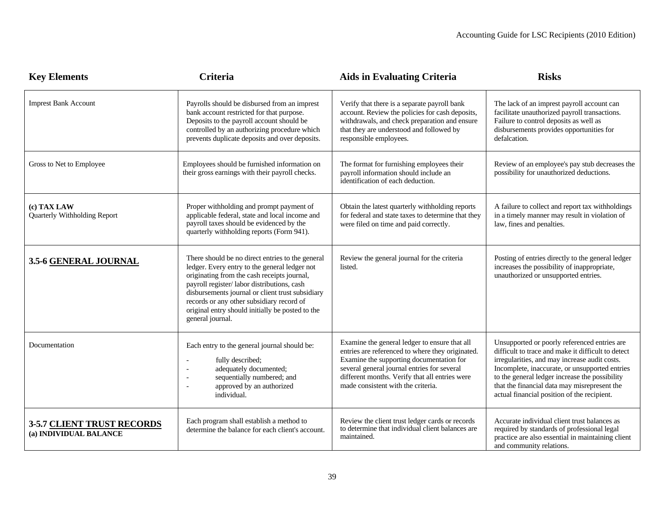| <b>Key Elements</b>                                         | Criteria                                                                                                                                                                                                                                                                                                                                                                | <b>Aids in Evaluating Criteria</b>                                                                                                                                                                                                                                                   | <b>Risks</b>                                                                                                                                                                                                                                                                                                                                           |
|-------------------------------------------------------------|-------------------------------------------------------------------------------------------------------------------------------------------------------------------------------------------------------------------------------------------------------------------------------------------------------------------------------------------------------------------------|--------------------------------------------------------------------------------------------------------------------------------------------------------------------------------------------------------------------------------------------------------------------------------------|--------------------------------------------------------------------------------------------------------------------------------------------------------------------------------------------------------------------------------------------------------------------------------------------------------------------------------------------------------|
| <b>Imprest Bank Account</b>                                 | Payrolls should be disbursed from an imprest<br>bank account restricted for that purpose.<br>Deposits to the payroll account should be<br>controlled by an authorizing procedure which<br>prevents duplicate deposits and over deposits.                                                                                                                                | Verify that there is a separate payroll bank<br>account. Review the policies for cash deposits,<br>withdrawals, and check preparation and ensure<br>that they are understood and followed by<br>responsible employees.                                                               | The lack of an imprest payroll account can<br>facilitate unauthorized payroll transactions.<br>Failure to control deposits as well as<br>disbursements provides opportunities for<br>defalcation.                                                                                                                                                      |
| Gross to Net to Employee                                    | Employees should be furnished information on<br>their gross earnings with their payroll checks.                                                                                                                                                                                                                                                                         | The format for furnishing employees their<br>payroll information should include an<br>identification of each deduction.                                                                                                                                                              | Review of an employee's pay stub decreases the<br>possibility for unauthorized deductions.                                                                                                                                                                                                                                                             |
| (c) TAX LAW<br>Quarterly Withholding Report                 | Proper withholding and prompt payment of<br>applicable federal, state and local income and<br>payroll taxes should be evidenced by the<br>quarterly withholding reports (Form 941).                                                                                                                                                                                     | Obtain the latest quarterly withholding reports<br>for federal and state taxes to determine that they<br>were filed on time and paid correctly.                                                                                                                                      | A failure to collect and report tax withholdings<br>in a timely manner may result in violation of<br>law, fines and penalties.                                                                                                                                                                                                                         |
| 3.5-6 GENERAL JOURNAL                                       | There should be no direct entries to the general<br>ledger. Every entry to the general ledger not<br>originating from the cash receipts journal,<br>payroll register/labor distributions, cash<br>disbursements journal or client trust subsidiary<br>records or any other subsidiary record of<br>original entry should initially be posted to the<br>general journal. | Review the general journal for the criteria<br>listed.                                                                                                                                                                                                                               | Posting of entries directly to the general ledger<br>increases the possibility of inappropriate,<br>unauthorized or unsupported entries.                                                                                                                                                                                                               |
| Documentation                                               | Each entry to the general journal should be:<br>fully described;<br>÷,<br>adequately documented;<br>$\sim$<br>sequentially numbered; and<br>$\sim$<br>approved by an authorized<br>$\sim$<br>individual.                                                                                                                                                                | Examine the general ledger to ensure that all<br>entries are referenced to where they originated.<br>Examine the supporting documentation for<br>several general journal entries for several<br>different months. Verify that all entries were<br>made consistent with the criteria. | Unsupported or poorly referenced entries are<br>difficult to trace and make it difficult to detect<br>irregularities, and may increase audit costs.<br>Incomplete, inaccurate, or unsupported entries<br>to the general ledger increase the possibility<br>that the financial data may misrepresent the<br>actual financial position of the recipient. |
| <b>3-5.7 CLIENT TRUST RECORDS</b><br>(a) INDIVIDUAL BALANCE | Each program shall establish a method to<br>determine the balance for each client's account.                                                                                                                                                                                                                                                                            | Review the client trust ledger cards or records<br>to determine that individual client balances are<br>maintained.                                                                                                                                                                   | Accurate individual client trust balances as<br>required by standards of professional legal<br>practice are also essential in maintaining client<br>and community relations.                                                                                                                                                                           |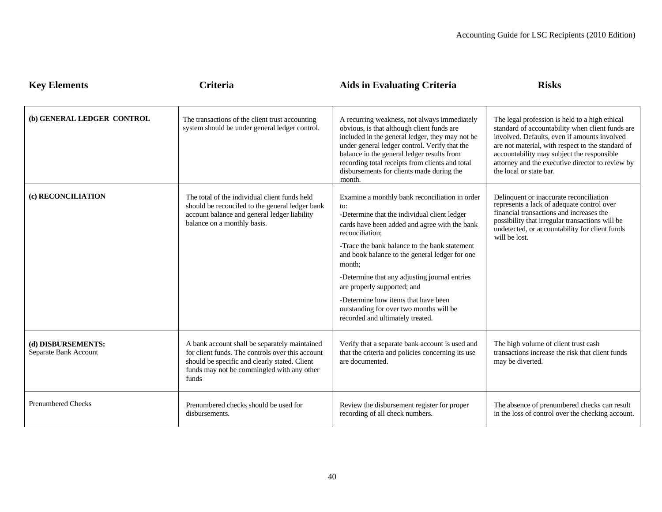| <b>Key Elements</b>                         | Criteria                                                                                                                                                                                                  | <b>Aids in Evaluating Criteria</b>                                                                                                                                                                                                                                                                                                                                                                                                                                                           | <b>Risks</b>                                                                                                                                                                                                                                                                                                                         |
|---------------------------------------------|-----------------------------------------------------------------------------------------------------------------------------------------------------------------------------------------------------------|----------------------------------------------------------------------------------------------------------------------------------------------------------------------------------------------------------------------------------------------------------------------------------------------------------------------------------------------------------------------------------------------------------------------------------------------------------------------------------------------|--------------------------------------------------------------------------------------------------------------------------------------------------------------------------------------------------------------------------------------------------------------------------------------------------------------------------------------|
| (b) GENERAL LEDGER CONTROL                  | The transactions of the client trust accounting<br>system should be under general ledger control.                                                                                                         | A recurring weakness, not always immediately<br>obvious, is that although client funds are<br>included in the general ledger, they may not be<br>under general ledger control. Verify that the<br>balance in the general ledger results from<br>recording total receipts from clients and total<br>disbursements for clients made during the<br>month.                                                                                                                                       | The legal profession is held to a high ethical<br>standard of accountability when client funds are<br>involved. Defaults, even if amounts involved<br>are not material, with respect to the standard of<br>accountability may subject the responsible<br>attorney and the executive director to review by<br>the local or state bar. |
| (c) RECONCILIATION                          | The total of the individual client funds held<br>should be reconciled to the general ledger bank<br>account balance and general ledger liability<br>balance on a monthly basis.                           | Examine a monthly bank reconciliation in order<br>to:<br>-Determine that the individual client ledger<br>cards have been added and agree with the bank<br>reconciliation:<br>-Trace the bank balance to the bank statement<br>and book balance to the general ledger for one<br>month:<br>-Determine that any adjusting journal entries<br>are properly supported; and<br>-Determine how items that have been<br>outstanding for over two months will be<br>recorded and ultimately treated. | Delinquent or inaccurate reconciliation<br>represents a lack of adequate control over<br>financial transactions and increases the<br>possibility that irregular transactions will be<br>undetected, or accountability for client funds<br>will be lost.                                                                              |
| (d) DISBURSEMENTS:<br>Separate Bank Account | A bank account shall be separately maintained<br>for client funds. The controls over this account<br>should be specific and clearly stated. Client<br>funds may not be commingled with any other<br>funds | Verify that a separate bank account is used and<br>that the criteria and policies concerning its use<br>are documented.                                                                                                                                                                                                                                                                                                                                                                      | The high volume of client trust cash<br>transactions increase the risk that client funds<br>may be diverted.                                                                                                                                                                                                                         |
| <b>Prenumbered Checks</b>                   | Prenumbered checks should be used for<br>disbursements.                                                                                                                                                   | Review the disbursement register for proper<br>recording of all check numbers.                                                                                                                                                                                                                                                                                                                                                                                                               | The absence of prenumbered checks can result<br>in the loss of control over the checking account.                                                                                                                                                                                                                                    |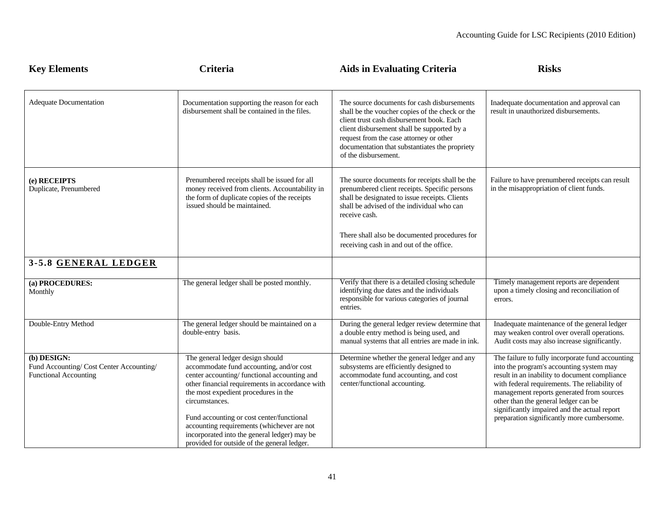| <b>Key Elements</b>                                                                     | Criteria                                                                                                                                                                                                                                                                                                                                                                                                                           | <b>Aids in Evaluating Criteria</b>                                                                                                                                                                                                                                                                              | <b>Risks</b>                                                                                                                                                                                                                                                                                                                                                                      |
|-----------------------------------------------------------------------------------------|------------------------------------------------------------------------------------------------------------------------------------------------------------------------------------------------------------------------------------------------------------------------------------------------------------------------------------------------------------------------------------------------------------------------------------|-----------------------------------------------------------------------------------------------------------------------------------------------------------------------------------------------------------------------------------------------------------------------------------------------------------------|-----------------------------------------------------------------------------------------------------------------------------------------------------------------------------------------------------------------------------------------------------------------------------------------------------------------------------------------------------------------------------------|
| <b>Adequate Documentation</b>                                                           | Documentation supporting the reason for each<br>disbursement shall be contained in the files.                                                                                                                                                                                                                                                                                                                                      | The source documents for cash disbursements<br>shall be the voucher copies of the check or the<br>client trust cash disbursement book. Each<br>client disbursement shall be supported by a<br>request from the case attorney or other<br>documentation that substantiates the propriety<br>of the disbursement. | Inadequate documentation and approval can<br>result in unauthorized disbursements.                                                                                                                                                                                                                                                                                                |
| (e) RECEIPTS<br>Duplicate, Prenumbered                                                  | Prenumbered receipts shall be issued for all<br>money received from clients. Accountability in<br>the form of duplicate copies of the receipts<br>issued should be maintained.                                                                                                                                                                                                                                                     | The source documents for receipts shall be the<br>prenumbered client receipts. Specific persons<br>shall be designated to issue receipts. Clients<br>shall be advised of the individual who can<br>receive cash.<br>There shall also be documented procedures for<br>receiving cash in and out of the office.   | Failure to have prenumbered receipts can result<br>in the misappropriation of client funds.                                                                                                                                                                                                                                                                                       |
| 3-5.8 GENERAL LEDGER                                                                    |                                                                                                                                                                                                                                                                                                                                                                                                                                    |                                                                                                                                                                                                                                                                                                                 |                                                                                                                                                                                                                                                                                                                                                                                   |
| (a) PROCEDURES:<br>Monthly                                                              | The general ledger shall be posted monthly.                                                                                                                                                                                                                                                                                                                                                                                        | Verify that there is a detailed closing schedule<br>identifying due dates and the individuals<br>responsible for various categories of journal<br>entries.                                                                                                                                                      | Timely management reports are dependent<br>upon a timely closing and reconciliation of<br>errors.                                                                                                                                                                                                                                                                                 |
| Double-Entry Method                                                                     | The general ledger should be maintained on a<br>double-entry basis.                                                                                                                                                                                                                                                                                                                                                                | During the general ledger review determine that<br>a double entry method is being used, and<br>manual systems that all entries are made in ink.                                                                                                                                                                 | Inadequate maintenance of the general ledger<br>may weaken control over overall operations.<br>Audit costs may also increase significantly.                                                                                                                                                                                                                                       |
| (b) DESIGN:<br>Fund Accounting/ Cost Center Accounting/<br><b>Functional Accounting</b> | The general ledger design should<br>accommodate fund accounting, and/or cost<br>center accounting/functional accounting and<br>other financial requirements in accordance with<br>the most expedient procedures in the<br>circumstances.<br>Fund accounting or cost center/functional<br>accounting requirements (whichever are not<br>incorporated into the general ledger) may be<br>provided for outside of the general ledger. | Determine whether the general ledger and any<br>subsystems are efficiently designed to<br>accommodate fund accounting, and cost<br>center/functional accounting.                                                                                                                                                | The failure to fully incorporate fund accounting<br>into the program's accounting system may<br>result in an inability to document compliance<br>with federal requirements. The reliability of<br>management reports generated from sources<br>other than the general ledger can be<br>significantly impaired and the actual report<br>preparation significantly more cumbersome. |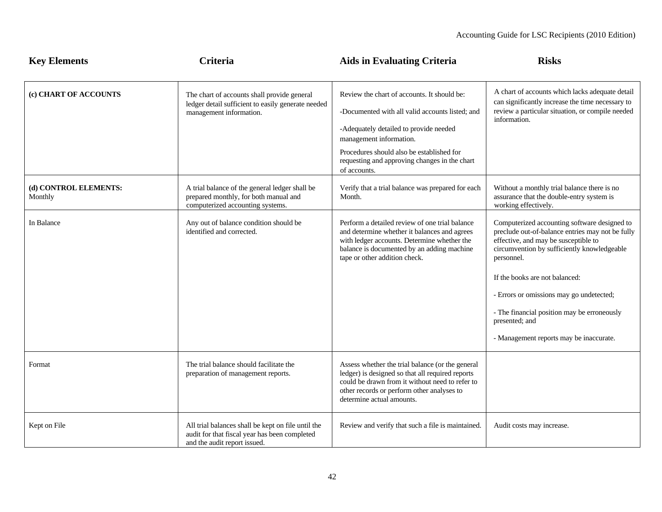| <b>Key Elements</b>              | <b>Criteria</b>                                                                                                                     | <b>Aids in Evaluating Criteria</b>                                                                                                                                                                                                                                                | <b>Risks</b>                                                                                                                                                                                                                                                                                                                                                                                    |
|----------------------------------|-------------------------------------------------------------------------------------------------------------------------------------|-----------------------------------------------------------------------------------------------------------------------------------------------------------------------------------------------------------------------------------------------------------------------------------|-------------------------------------------------------------------------------------------------------------------------------------------------------------------------------------------------------------------------------------------------------------------------------------------------------------------------------------------------------------------------------------------------|
| (c) CHART OF ACCOUNTS            | The chart of accounts shall provide general<br>ledger detail sufficient to easily generate needed<br>management information.        | Review the chart of accounts. It should be:<br>-Documented with all valid accounts listed; and<br>-Adequately detailed to provide needed<br>management information.<br>Procedures should also be established for<br>requesting and approving changes in the chart<br>of accounts. | A chart of accounts which lacks adequate detail<br>can significantly increase the time necessary to<br>review a particular situation, or compile needed<br>information.                                                                                                                                                                                                                         |
| (d) CONTROL ELEMENTS:<br>Monthly | A trial balance of the general ledger shall be<br>prepared monthly, for both manual and<br>computerized accounting systems.         | Verify that a trial balance was prepared for each<br>Month.                                                                                                                                                                                                                       | Without a monthly trial balance there is no<br>assurance that the double-entry system is<br>working effectively.                                                                                                                                                                                                                                                                                |
| In Balance                       | Any out of balance condition should be<br>identified and corrected.                                                                 | Perform a detailed review of one trial balance<br>and determine whether it balances and agrees<br>with ledger accounts. Determine whether the<br>balance is documented by an adding machine<br>tape or other addition check.                                                      | Computerized accounting software designed to<br>preclude out-of-balance entries may not be fully<br>effective, and may be susceptible to<br>circumvention by sufficiently knowledgeable<br>personnel.<br>If the books are not balanced:<br>- Errors or omissions may go undetected;<br>- The financial position may be erroneously<br>presented; and<br>- Management reports may be inaccurate. |
| Format                           | The trial balance should facilitate the<br>preparation of management reports.                                                       | Assess whether the trial balance (or the general<br>ledger) is designed so that all required reports<br>could be drawn from it without need to refer to<br>other records or perform other analyses to<br>determine actual amounts.                                                |                                                                                                                                                                                                                                                                                                                                                                                                 |
| Kept on File                     | All trial balances shall be kept on file until the<br>audit for that fiscal year has been completed<br>and the audit report issued. | Review and verify that such a file is maintained.                                                                                                                                                                                                                                 | Audit costs may increase.                                                                                                                                                                                                                                                                                                                                                                       |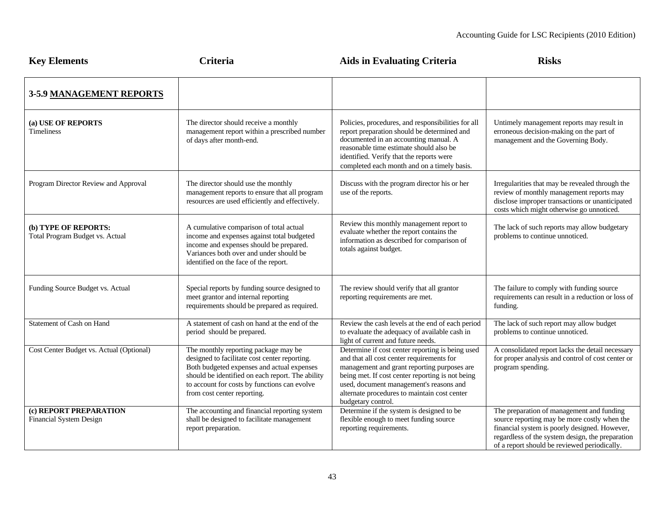| <b>Key Elements</b>                                      | <b>Criteria</b>                                                                                                                                                                                                                                                        | <b>Aids in Evaluating Criteria</b>                                                                                                                                                                                                                                                                                | <b>Risks</b>                                                                                                                                                                                                                                   |
|----------------------------------------------------------|------------------------------------------------------------------------------------------------------------------------------------------------------------------------------------------------------------------------------------------------------------------------|-------------------------------------------------------------------------------------------------------------------------------------------------------------------------------------------------------------------------------------------------------------------------------------------------------------------|------------------------------------------------------------------------------------------------------------------------------------------------------------------------------------------------------------------------------------------------|
| 3-5.9 MANAGEMENT REPORTS                                 |                                                                                                                                                                                                                                                                        |                                                                                                                                                                                                                                                                                                                   |                                                                                                                                                                                                                                                |
| (a) USE OF REPORTS<br><b>Timeliness</b>                  | The director should receive a monthly<br>management report within a prescribed number<br>of days after month-end.                                                                                                                                                      | Policies, procedures, and responsibilities for all<br>report preparation should be determined and<br>documented in an accounting manual. A<br>reasonable time estimate should also be<br>identified. Verify that the reports were<br>completed each month and on a timely basis.                                  | Untimely management reports may result in<br>erroneous decision-making on the part of<br>management and the Governing Body.                                                                                                                    |
| Program Director Review and Approval                     | The director should use the monthly<br>management reports to ensure that all program<br>resources are used efficiently and effectively.                                                                                                                                | Discuss with the program director his or her<br>use of the reports.                                                                                                                                                                                                                                               | Irregularities that may be revealed through the<br>review of monthly management reports may<br>disclose improper transactions or unanticipated<br>costs which might otherwise go unnoticed.                                                    |
| (b) TYPE OF REPORTS:<br>Total Program Budget vs. Actual  | A cumulative comparison of total actual<br>income and expenses against total budgeted<br>income and expenses should be prepared.<br>Variances both over and under should be<br>identified on the face of the report.                                                   | Review this monthly management report to<br>evaluate whether the report contains the<br>information as described for comparison of<br>totals against budget.                                                                                                                                                      | The lack of such reports may allow budgetary<br>problems to continue unnoticed.                                                                                                                                                                |
| Funding Source Budget vs. Actual                         | Special reports by funding source designed to<br>meet grantor and internal reporting<br>requirements should be prepared as required.                                                                                                                                   | The review should verify that all grantor<br>reporting requirements are met.                                                                                                                                                                                                                                      | The failure to comply with funding source<br>requirements can result in a reduction or loss of<br>funding.                                                                                                                                     |
| Statement of Cash on Hand                                | A statement of cash on hand at the end of the<br>period should be prepared.                                                                                                                                                                                            | Review the cash levels at the end of each period<br>to evaluate the adequacy of available cash in<br>light of current and future needs.                                                                                                                                                                           | The lack of such report may allow budget<br>problems to continue unnoticed.                                                                                                                                                                    |
| Cost Center Budget vs. Actual (Optional)                 | The monthly reporting package may be<br>designed to facilitate cost center reporting.<br>Both budgeted expenses and actual expenses<br>should be identified on each report. The ability<br>to account for costs by functions can evolve<br>from cost center reporting. | Determine if cost center reporting is being used<br>and that all cost center requirements for<br>management and grant reporting purposes are<br>being met. If cost center reporting is not being<br>used, document management's reasons and<br>alternate procedures to maintain cost center<br>budgetary control. | A consolidated report lacks the detail necessary<br>for proper analysis and control of cost center or<br>program spending.                                                                                                                     |
| (c) REPORT PREPARATION<br><b>Financial System Design</b> | The accounting and financial reporting system<br>shall be designed to facilitate management<br>report preparation.                                                                                                                                                     | Determine if the system is designed to be<br>flexible enough to meet funding source<br>reporting requirements.                                                                                                                                                                                                    | The preparation of management and funding<br>source reporting may be more costly when the<br>financial system is poorly designed. However,<br>regardless of the system design, the preparation<br>of a report should be reviewed periodically. |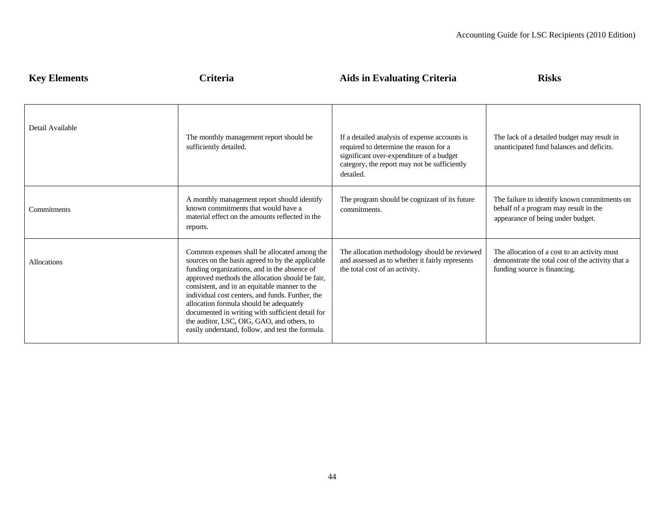| <b>Key Elements</b> | Criteria                                                                                                                                                                                                                                                                                                                                                                                                                                                                                                  | <b>Aids in Evaluating Criteria</b>                                                                                                                                                               | <b>Risks</b>                                                                                                                      |
|---------------------|-----------------------------------------------------------------------------------------------------------------------------------------------------------------------------------------------------------------------------------------------------------------------------------------------------------------------------------------------------------------------------------------------------------------------------------------------------------------------------------------------------------|--------------------------------------------------------------------------------------------------------------------------------------------------------------------------------------------------|-----------------------------------------------------------------------------------------------------------------------------------|
| Detail Available    | The monthly management report should be<br>sufficiently detailed.                                                                                                                                                                                                                                                                                                                                                                                                                                         | If a detailed analysis of expense accounts is<br>required to determine the reason for a<br>significant over-expenditure of a budget<br>category, the report may not be sufficiently<br>detailed. | The lack of a detailed budget may result in<br>unanticipated fund balances and deficits.                                          |
| Commitments         | A monthly management report should identify<br>known commitments that would have a<br>material effect on the amounts reflected in the<br>reports.                                                                                                                                                                                                                                                                                                                                                         | The program should be cognizant of its future<br>commitments.                                                                                                                                    | The failure to identify known commitments on<br>behalf of a program may result in the<br>appearance of being under budget.        |
| <b>Allocations</b>  | Common expenses shall be allocated among the<br>sources on the basis agreed to by the applicable<br>funding organizations, and in the absence of<br>approved methods the allocation should be fair,<br>consistent, and in an equitable manner to the<br>individual cost centers, and funds. Further, the<br>allocation formula should be adequately<br>documented in writing with sufficient detail for<br>the auditor, LSC, OIG, GAO, and others, to<br>easily understand, follow, and test the formula. | The allocation methodology should be reviewed<br>and assessed as to whether it fairly represents<br>the total cost of an activity.                                                               | The allocation of a cost to an activity must<br>demonstrate the total cost of the activity that a<br>funding source is financing. |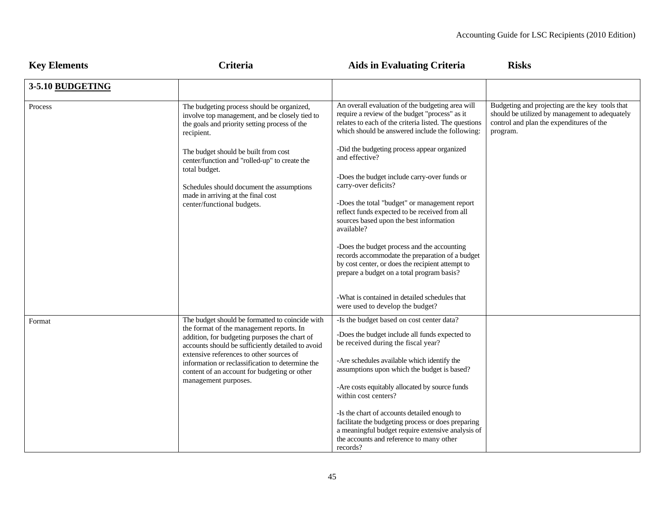| <b>Key Elements</b> | <b>Criteria</b>                                                                                                                                                                                                                                                                                                                                                                        | <b>Aids in Evaluating Criteria</b>                                                                                                                                                                                                                                                                                                                                                                                                                                                                                                                                                                                                                                                                                      | <b>Risks</b>                                                                                                                                              |
|---------------------|----------------------------------------------------------------------------------------------------------------------------------------------------------------------------------------------------------------------------------------------------------------------------------------------------------------------------------------------------------------------------------------|-------------------------------------------------------------------------------------------------------------------------------------------------------------------------------------------------------------------------------------------------------------------------------------------------------------------------------------------------------------------------------------------------------------------------------------------------------------------------------------------------------------------------------------------------------------------------------------------------------------------------------------------------------------------------------------------------------------------------|-----------------------------------------------------------------------------------------------------------------------------------------------------------|
| 3-5.10 BUDGETING    |                                                                                                                                                                                                                                                                                                                                                                                        |                                                                                                                                                                                                                                                                                                                                                                                                                                                                                                                                                                                                                                                                                                                         |                                                                                                                                                           |
| Process             | The budgeting process should be organized,<br>involve top management, and be closely tied to<br>the goals and priority setting process of the<br>recipient.<br>The budget should be built from cost<br>center/function and "rolled-up" to create the<br>total budget.<br>Schedules should document the assumptions<br>made in arriving at the final cost<br>center/functional budgets. | An overall evaluation of the budgeting area will<br>require a review of the budget "process" as it<br>relates to each of the criteria listed. The questions<br>which should be answered include the following:<br>-Did the budgeting process appear organized<br>and effective?<br>-Does the budget include carry-over funds or<br>carry-over deficits?<br>-Does the total "budget" or management report<br>reflect funds expected to be received from all<br>sources based upon the best information<br>available?<br>-Does the budget process and the accounting<br>records accommodate the preparation of a budget<br>by cost center, or does the recipient attempt to<br>prepare a budget on a total program basis? | Budgeting and projecting are the key tools that<br>should be utilized by management to adequately<br>control and plan the expenditures of the<br>program. |
|                     |                                                                                                                                                                                                                                                                                                                                                                                        | -What is contained in detailed schedules that<br>were used to develop the budget?                                                                                                                                                                                                                                                                                                                                                                                                                                                                                                                                                                                                                                       |                                                                                                                                                           |
| Format              | The budget should be formatted to coincide with<br>the format of the management reports. In<br>addition, for budgeting purposes the chart of<br>accounts should be sufficiently detailed to avoid<br>extensive references to other sources of<br>information or reclassification to determine the<br>content of an account for budgeting or other<br>management purposes.              | -Is the budget based on cost center data?<br>-Does the budget include all funds expected to<br>be received during the fiscal year?<br>-Are schedules available which identify the<br>assumptions upon which the budget is based?<br>-Are costs equitably allocated by source funds<br>within cost centers?<br>-Is the chart of accounts detailed enough to<br>facilitate the budgeting process or does preparing                                                                                                                                                                                                                                                                                                        |                                                                                                                                                           |
|                     |                                                                                                                                                                                                                                                                                                                                                                                        | a meaningful budget require extensive analysis of<br>the accounts and reference to many other<br>records?                                                                                                                                                                                                                                                                                                                                                                                                                                                                                                                                                                                                               |                                                                                                                                                           |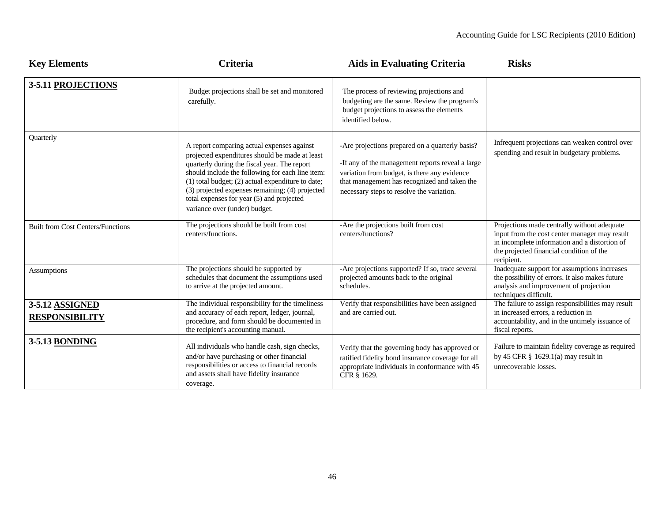| <b>Key Elements</b>                      | <b>Criteria</b>                                                                                                                                                                                                                                                                                                                                                                        | <b>Aids in Evaluating Criteria</b>                                                                                                                                                                                                               | <b>Risks</b>                                                                                                                                                                                            |
|------------------------------------------|----------------------------------------------------------------------------------------------------------------------------------------------------------------------------------------------------------------------------------------------------------------------------------------------------------------------------------------------------------------------------------------|--------------------------------------------------------------------------------------------------------------------------------------------------------------------------------------------------------------------------------------------------|---------------------------------------------------------------------------------------------------------------------------------------------------------------------------------------------------------|
| 3-5.11 PROJECTIONS                       | Budget projections shall be set and monitored<br>carefully.                                                                                                                                                                                                                                                                                                                            | The process of reviewing projections and<br>budgeting are the same. Review the program's<br>budget projections to assess the elements<br>identified below.                                                                                       |                                                                                                                                                                                                         |
| Quarterly                                | A report comparing actual expenses against<br>projected expenditures should be made at least<br>quarterly during the fiscal year. The report<br>should include the following for each line item:<br>(1) total budget; (2) actual expenditure to date;<br>(3) projected expenses remaining; (4) projected<br>total expenses for year (5) and projected<br>variance over (under) budget. | -Are projections prepared on a quarterly basis?<br>-If any of the management reports reveal a large<br>variation from budget, is there any evidence<br>that management has recognized and taken the<br>necessary steps to resolve the variation. | Infrequent projections can weaken control over<br>spending and result in budgetary problems.                                                                                                            |
| <b>Built from Cost Centers/Functions</b> | The projections should be built from cost<br>centers/functions.                                                                                                                                                                                                                                                                                                                        | -Are the projections built from cost<br>centers/functions?                                                                                                                                                                                       | Projections made centrally without adequate<br>input from the cost center manager may result<br>in incomplete information and a distortion of<br>the projected financial condition of the<br>recipient. |
| <b>Assumptions</b>                       | The projections should be supported by<br>schedules that document the assumptions used<br>to arrive at the projected amount.                                                                                                                                                                                                                                                           | -Are projections supported? If so, trace several<br>projected amounts back to the original<br>schedules.                                                                                                                                         | Inadequate support for assumptions increases<br>the possibility of errors. It also makes future<br>analysis and improvement of projection<br>techniques difficult.                                      |
| 3-5.12 ASSIGNED<br><b>RESPONSIBILITY</b> | The individual responsibility for the timeliness<br>and accuracy of each report, ledger, journal,<br>procedure, and form should be documented in<br>the recipient's accounting manual.                                                                                                                                                                                                 | Verify that responsibilities have been assigned<br>and are carried out.                                                                                                                                                                          | The failure to assign responsibilities may result<br>in increased errors, a reduction in<br>accountability, and in the untimely issuance of<br>fiscal reports.                                          |
| 3-5.13 <b>BONDING</b>                    | All individuals who handle cash, sign checks,<br>and/or have purchasing or other financial<br>responsibilities or access to financial records<br>and assets shall have fidelity insurance<br>coverage.                                                                                                                                                                                 | Verify that the governing body has approved or<br>ratified fidelity bond insurance coverage for all<br>appropriate individuals in conformance with 45<br>CFR § 1629.                                                                             | Failure to maintain fidelity coverage as required<br>by 45 CFR $\S$ 1629.1(a) may result in<br>unrecoverable losses.                                                                                    |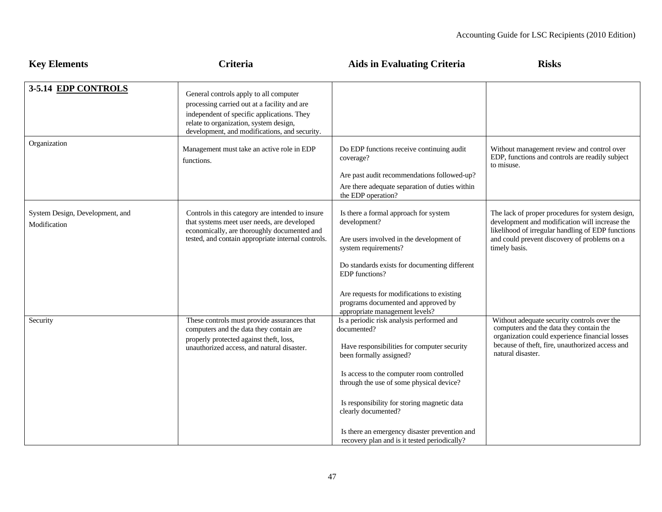| <b>Key Elements</b>                             | Criteria                                                                                                                                                                                                                        | <b>Aids in Evaluating Criteria</b>                                                                                                                                                                                                                                                                                                                                                                 | <b>Risks</b>                                                                                                                                                                                                             |
|-------------------------------------------------|---------------------------------------------------------------------------------------------------------------------------------------------------------------------------------------------------------------------------------|----------------------------------------------------------------------------------------------------------------------------------------------------------------------------------------------------------------------------------------------------------------------------------------------------------------------------------------------------------------------------------------------------|--------------------------------------------------------------------------------------------------------------------------------------------------------------------------------------------------------------------------|
| 3-5.14 EDP CONTROLS                             | General controls apply to all computer<br>processing carried out at a facility and are<br>independent of specific applications. They<br>relate to organization, system design,<br>development, and modifications, and security. |                                                                                                                                                                                                                                                                                                                                                                                                    |                                                                                                                                                                                                                          |
| Organization                                    | Management must take an active role in EDP<br>functions.                                                                                                                                                                        | Do EDP functions receive continuing audit<br>coverage?<br>Are past audit recommendations followed-up?<br>Are there adequate separation of duties within<br>the EDP operation?                                                                                                                                                                                                                      | Without management review and control over<br>EDP, functions and controls are readily subject<br>to misuse.                                                                                                              |
| System Design, Development, and<br>Modification | Controls in this category are intended to insure<br>that systems meet user needs, are developed<br>economically, are thoroughly documented and<br>tested, and contain appropriate internal controls.                            | Is there a formal approach for system<br>development?<br>Are users involved in the development of<br>system requirements?<br>Do standards exists for documenting different<br>EDP functions?<br>Are requests for modifications to existing<br>programs documented and approved by<br>appropriate management levels?                                                                                | The lack of proper procedures for system design,<br>development and modification will increase the<br>likelihood of irregular handling of EDP functions<br>and could prevent discovery of problems on a<br>timely basis. |
| Security                                        | These controls must provide assurances that<br>computers and the data they contain are<br>properly protected against theft, loss,<br>unauthorized access, and natural disaster.                                                 | Is a periodic risk analysis performed and<br>documented?<br>Have responsibilities for computer security<br>been formally assigned?<br>Is access to the computer room controlled<br>through the use of some physical device?<br>Is responsibility for storing magnetic data<br>clearly documented?<br>Is there an emergency disaster prevention and<br>recovery plan and is it tested periodically? | Without adequate security controls over the<br>computers and the data they contain the<br>organization could experience financial losses<br>because of theft, fire, unauthorized access and<br>natural disaster.         |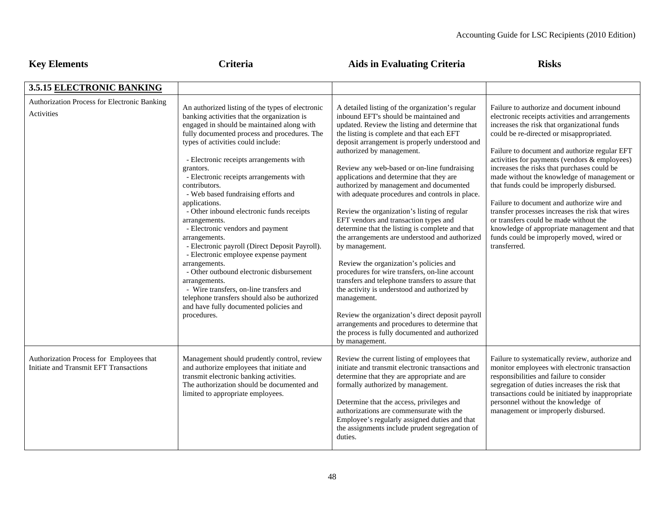| <b>Key Elements</b>                                                                       | Criteria                                                                                                                                                                                                                                                                                                                                                                                                                                                                                                                                                                                                                                                                                                                                                                                                                                                         | <b>Aids in Evaluating Criteria</b>                                                                                                                                                                                                                                                                                                                                                                                                                                                                                                                                                                                                                                                                                                                                                                                                                                                                                                                                                                                                                                        | <b>Risks</b>                                                                                                                                                                                                                                                                                                                                                                                                                                                                                                                                                                                                                                                                                   |  |  |
|-------------------------------------------------------------------------------------------|------------------------------------------------------------------------------------------------------------------------------------------------------------------------------------------------------------------------------------------------------------------------------------------------------------------------------------------------------------------------------------------------------------------------------------------------------------------------------------------------------------------------------------------------------------------------------------------------------------------------------------------------------------------------------------------------------------------------------------------------------------------------------------------------------------------------------------------------------------------|---------------------------------------------------------------------------------------------------------------------------------------------------------------------------------------------------------------------------------------------------------------------------------------------------------------------------------------------------------------------------------------------------------------------------------------------------------------------------------------------------------------------------------------------------------------------------------------------------------------------------------------------------------------------------------------------------------------------------------------------------------------------------------------------------------------------------------------------------------------------------------------------------------------------------------------------------------------------------------------------------------------------------------------------------------------------------|------------------------------------------------------------------------------------------------------------------------------------------------------------------------------------------------------------------------------------------------------------------------------------------------------------------------------------------------------------------------------------------------------------------------------------------------------------------------------------------------------------------------------------------------------------------------------------------------------------------------------------------------------------------------------------------------|--|--|
| 3.5.15 ELECTRONIC BANKING                                                                 |                                                                                                                                                                                                                                                                                                                                                                                                                                                                                                                                                                                                                                                                                                                                                                                                                                                                  |                                                                                                                                                                                                                                                                                                                                                                                                                                                                                                                                                                                                                                                                                                                                                                                                                                                                                                                                                                                                                                                                           |                                                                                                                                                                                                                                                                                                                                                                                                                                                                                                                                                                                                                                                                                                |  |  |
| Authorization Process for Electronic Banking<br>Activities                                | An authorized listing of the types of electronic<br>banking activities that the organization is<br>engaged in should be maintained along with<br>fully documented process and procedures. The<br>types of activities could include:<br>- Electronic receipts arrangements with<br>grantors.<br>- Electronic receipts arrangements with<br>contributors.<br>- Web based fundraising efforts and<br>applications.<br>- Other inbound electronic funds receipts<br>arrangements.<br>- Electronic vendors and payment<br>arrangements.<br>- Electronic payroll (Direct Deposit Payroll).<br>- Electronic employee expense payment<br>arrangements.<br>- Other outbound electronic disbursement<br>arrangements.<br>- Wire transfers, on-line transfers and<br>telephone transfers should also be authorized<br>and have fully documented policies and<br>procedures. | A detailed listing of the organization's regular<br>inbound EFT's should be maintained and<br>updated. Review the listing and determine that<br>the listing is complete and that each EFT<br>deposit arrangement is properly understood and<br>authorized by management.<br>Review any web-based or on-line fundraising<br>applications and determine that they are<br>authorized by management and documented<br>with adequate procedures and controls in place.<br>Review the organization's listing of regular<br>EFT vendors and transaction types and<br>determine that the listing is complete and that<br>the arrangements are understood and authorized<br>by management.<br>Review the organization's policies and<br>procedures for wire transfers, on-line account<br>transfers and telephone transfers to assure that<br>the activity is understood and authorized by<br>management.<br>Review the organization's direct deposit payroll<br>arrangements and procedures to determine that<br>the process is fully documented and authorized<br>by management. | Failure to authorize and document inbound<br>electronic receipts activities and arrangements<br>increases the risk that organizational funds<br>could be re-directed or misappropriated.<br>Failure to document and authorize regular EFT<br>activities for payments (vendors & employees)<br>increases the risks that purchases could be<br>made without the knowledge of management or<br>that funds could be improperly disbursed.<br>Failure to document and authorize wire and<br>transfer processes increases the risk that wires<br>or transfers could be made without the<br>knowledge of appropriate management and that<br>funds could be improperly moved, wired or<br>transferred. |  |  |
| Authorization Process for Employees that<br><b>Initiate and Transmit EFT Transactions</b> | Management should prudently control, review<br>and authorize employees that initiate and<br>transmit electronic banking activities.<br>The authorization should be documented and<br>limited to appropriate employees.                                                                                                                                                                                                                                                                                                                                                                                                                                                                                                                                                                                                                                           | Review the current listing of employees that<br>initiate and transmit electronic transactions and<br>determine that they are appropriate and are<br>formally authorized by management.<br>Determine that the access, privileges and<br>authorizations are commensurate with the<br>Employee's regularly assigned duties and that<br>the assignments include prudent segregation of<br>duties.                                                                                                                                                                                                                                                                                                                                                                                                                                                                                                                                                                                                                                                                             | Failure to systematically review, authorize and<br>monitor employees with electronic transaction<br>responsibilities and failure to consider<br>segregation of duties increases the risk that<br>transactions could be initiated by inappropriate<br>personnel without the knowledge of<br>management or improperly disbursed.                                                                                                                                                                                                                                                                                                                                                                 |  |  |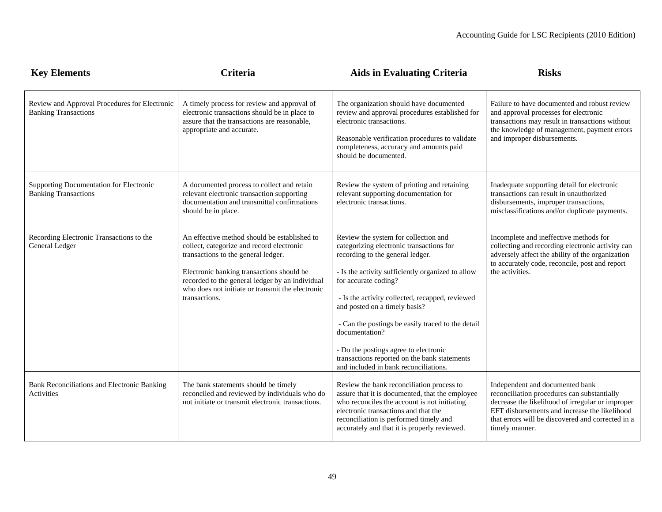| <b>Key Elements</b>                                                          | <b>Criteria</b>                                                                                                                                                                                                                                                                                       | <b>Aids in Evaluating Criteria</b>                                                                                                                                                                                                                                                                                                                                                                                                                                                             | <b>Risks</b>                                                                                                                                                                                                                                               |  |
|------------------------------------------------------------------------------|-------------------------------------------------------------------------------------------------------------------------------------------------------------------------------------------------------------------------------------------------------------------------------------------------------|------------------------------------------------------------------------------------------------------------------------------------------------------------------------------------------------------------------------------------------------------------------------------------------------------------------------------------------------------------------------------------------------------------------------------------------------------------------------------------------------|------------------------------------------------------------------------------------------------------------------------------------------------------------------------------------------------------------------------------------------------------------|--|
| Review and Approval Procedures for Electronic<br><b>Banking Transactions</b> | A timely process for review and approval of<br>electronic transactions should be in place to<br>assure that the transactions are reasonable,<br>appropriate and accurate.                                                                                                                             | The organization should have documented<br>review and approval procedures established for<br>electronic transactions.<br>Reasonable verification procedures to validate<br>completeness, accuracy and amounts paid<br>should be documented.                                                                                                                                                                                                                                                    | Failure to have documented and robust review<br>and approval processes for electronic<br>transactions may result in transactions without<br>the knowledge of management, payment errors<br>and improper disbursements.                                     |  |
| Supporting Documentation for Electronic<br><b>Banking Transactions</b>       | A documented process to collect and retain<br>relevant electronic transaction supporting<br>documentation and transmittal confirmations<br>should be in place.                                                                                                                                        | Review the system of printing and retaining<br>relevant supporting documentation for<br>electronic transactions.                                                                                                                                                                                                                                                                                                                                                                               | Inadequate supporting detail for electronic<br>transactions can result in unauthorized<br>disbursements, improper transactions,<br>misclassifications and/or duplicate payments.                                                                           |  |
| Recording Electronic Transactions to the<br>General Ledger                   | An effective method should be established to<br>collect, categorize and record electronic<br>transactions to the general ledger.<br>Electronic banking transactions should be<br>recorded to the general ledger by an individual<br>who does not initiate or transmit the electronic<br>transactions. | Review the system for collection and<br>categorizing electronic transactions for<br>recording to the general ledger.<br>- Is the activity sufficiently organized to allow<br>for accurate coding?<br>- Is the activity collected, recapped, reviewed<br>and posted on a timely basis?<br>- Can the postings be easily traced to the detail<br>documentation?<br>- Do the postings agree to electronic<br>transactions reported on the bank statements<br>and included in bank reconciliations. | Incomplete and ineffective methods for<br>collecting and recording electronic activity can<br>adversely affect the ability of the organization<br>to accurately code, reconcile, post and report<br>the activities.                                        |  |
| Bank Reconciliations and Electronic Banking<br><b>Activities</b>             | The bank statements should be timely<br>reconciled and reviewed by individuals who do<br>not initiate or transmit electronic transactions.                                                                                                                                                            | Review the bank reconciliation process to<br>assure that it is documented, that the employee<br>who reconciles the account is not initiating<br>electronic transactions and that the<br>reconciliation is performed timely and<br>accurately and that it is properly reviewed.                                                                                                                                                                                                                 | Independent and documented bank<br>reconciliation procedures can substantially<br>decrease the likelihood of irregular or improper<br>EFT disbursements and increase the likelihood<br>that errors will be discovered and corrected in a<br>timely manner. |  |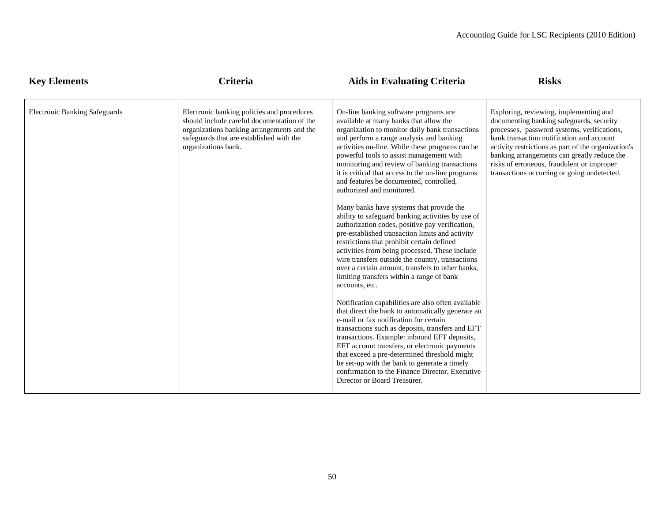| <b>Key Elements</b>                  | <b>Criteria</b>                                                                                                                                                                                            | <b>Aids in Evaluating Criteria</b>                                                                                                                                                                                                                                                                                                                                                                                                                                                                                                                                                                                                                                                                                                                                                                                                                                                                                                                                                                | <b>Risks</b>                                                                                                                                                                                                                                                                                                                                                                      |
|--------------------------------------|------------------------------------------------------------------------------------------------------------------------------------------------------------------------------------------------------------|---------------------------------------------------------------------------------------------------------------------------------------------------------------------------------------------------------------------------------------------------------------------------------------------------------------------------------------------------------------------------------------------------------------------------------------------------------------------------------------------------------------------------------------------------------------------------------------------------------------------------------------------------------------------------------------------------------------------------------------------------------------------------------------------------------------------------------------------------------------------------------------------------------------------------------------------------------------------------------------------------|-----------------------------------------------------------------------------------------------------------------------------------------------------------------------------------------------------------------------------------------------------------------------------------------------------------------------------------------------------------------------------------|
| <b>Electronic Banking Safeguards</b> | Electronic banking policies and procedures<br>should include careful documentation of the<br>organizations banking arrangements and the<br>safeguards that are established with the<br>organizations bank. | On-line banking software programs are.<br>available at many banks that allow the<br>organization to monitor daily bank transactions<br>and perform a range analysis and banking<br>activities on-line. While these programs can be<br>powerful tools to assist management with<br>monitoring and review of banking transactions<br>it is critical that access to the on-line programs<br>and features be documented, controlled,<br>authorized and monitored.<br>Many banks have systems that provide the<br>ability to safeguard banking activities by use of<br>authorization codes, positive pay verification,<br>pre-established transaction limits and activity<br>restrictions that prohibit certain defined<br>activities from being processed. These include<br>wire transfers outside the country, transactions<br>over a certain amount, transfers to other banks,<br>limiting transfers within a range of bank<br>accounts, etc.<br>Notification capabilities are also often available | Exploring, reviewing, implementing and<br>documenting banking safeguards, security<br>processes, password systems, verifications,<br>bank transaction notification and account<br>activity restrictions as part of the organization's<br>banking arrangements can greatly reduce the<br>risks of erroneous, fraudulent or improper<br>transactions occurring or going undetected. |
|                                      |                                                                                                                                                                                                            | that direct the bank to automatically generate an<br>e-mail or fax notification for certain<br>transactions such as deposits, transfers and EFT<br>transactions. Example: inbound EFT deposits,<br>EFT account transfers, or electronic payments<br>that exceed a pre-determined threshold might<br>be set-up with the bank to generate a timely<br>confirmation to the Finance Director, Executive<br>Director or Board Treasurer.                                                                                                                                                                                                                                                                                                                                                                                                                                                                                                                                                               |                                                                                                                                                                                                                                                                                                                                                                                   |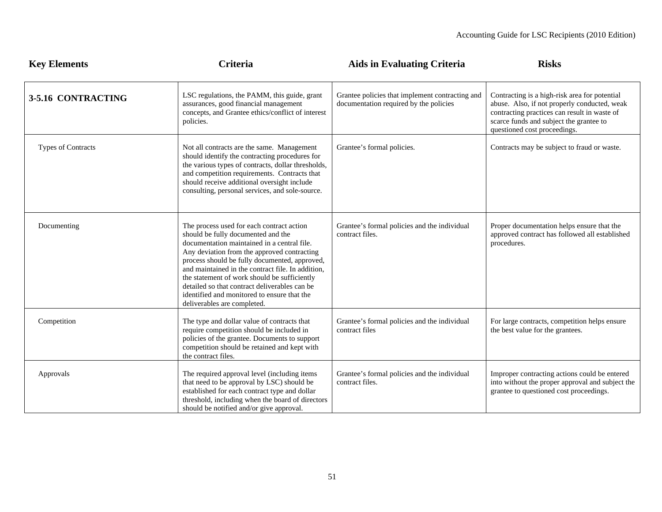| <b>Key Elements</b> | Criteria                                                                                                                                                                                                                                                                                                                                                                                                                                                           | <b>Aids in Evaluating Criteria</b>                                                        | <b>Risks</b>                                                                                                                                                                                                             |
|---------------------|--------------------------------------------------------------------------------------------------------------------------------------------------------------------------------------------------------------------------------------------------------------------------------------------------------------------------------------------------------------------------------------------------------------------------------------------------------------------|-------------------------------------------------------------------------------------------|--------------------------------------------------------------------------------------------------------------------------------------------------------------------------------------------------------------------------|
| 3-5.16 CONTRACTING  | LSC regulations, the PAMM, this guide, grant<br>assurances, good financial management<br>concepts, and Grantee ethics/conflict of interest<br>policies.                                                                                                                                                                                                                                                                                                            | Grantee policies that implement contracting and<br>documentation required by the policies | Contracting is a high-risk area for potential<br>abuse. Also, if not properly conducted, weak<br>contracting practices can result in waste of<br>scarce funds and subject the grantee to<br>questioned cost proceedings. |
| Types of Contracts  | Not all contracts are the same. Management<br>should identify the contracting procedures for<br>the various types of contracts, dollar thresholds,<br>and competition requirements. Contracts that<br>should receive additional oversight include<br>consulting, personal services, and sole-source.                                                                                                                                                               | Grantee's formal policies.                                                                | Contracts may be subject to fraud or waste.                                                                                                                                                                              |
| Documenting         | The process used for each contract action<br>should be fully documented and the<br>documentation maintained in a central file.<br>Any deviation from the approved contracting<br>process should be fully documented, approved,<br>and maintained in the contract file. In addition,<br>the statement of work should be sufficiently<br>detailed so that contract deliverables can be<br>identified and monitored to ensure that the<br>deliverables are completed. | Grantee's formal policies and the individual<br>contract files.                           | Proper documentation helps ensure that the<br>approved contract has followed all established<br>procedures.                                                                                                              |
| Competition         | The type and dollar value of contracts that<br>require competition should be included in<br>policies of the grantee. Documents to support<br>competition should be retained and kept with<br>the contract files.                                                                                                                                                                                                                                                   | Grantee's formal policies and the individual<br>contract files                            | For large contracts, competition helps ensure<br>the best value for the grantees.                                                                                                                                        |
| Approvals           | The required approval level (including items<br>that need to be approval by LSC) should be<br>established for each contract type and dollar<br>threshold, including when the board of directors<br>should be notified and/or give approval.                                                                                                                                                                                                                        | Grantee's formal policies and the individual<br>contract files.                           | Improper contracting actions could be entered<br>into without the proper approval and subject the<br>grantee to questioned cost proceedings.                                                                             |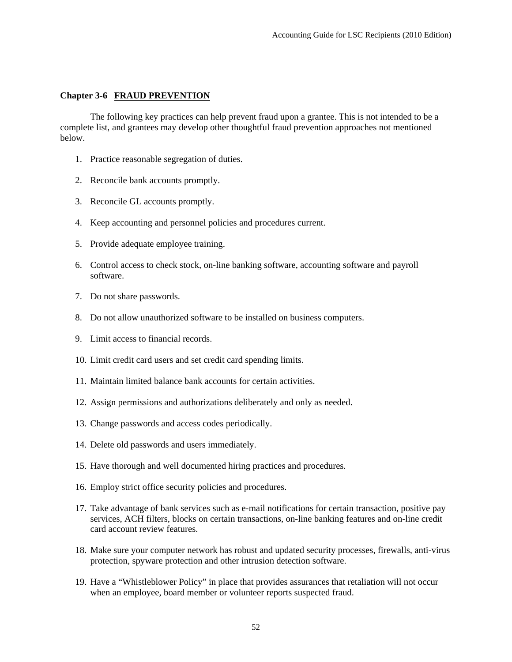# **Chapter 3-6 FRAUD PREVENTION**

 The following key practices can help prevent fraud upon a grantee. This is not intended to be a complete list, and grantees may develop other thoughtful fraud prevention approaches not mentioned below.

- 1. Practice reasonable segregation of duties.
- 2. Reconcile bank accounts promptly.
- 3. Reconcile GL accounts promptly.
- 4. Keep accounting and personnel policies and procedures current.
- 5. Provide adequate employee training.
- 6. Control access to check stock, on-line banking software, accounting software and payroll software.
- 7. Do not share passwords.
- 8. Do not allow unauthorized software to be installed on business computers.
- 9. Limit access to financial records.
- 10. Limit credit card users and set credit card spending limits.
- 11. Maintain limited balance bank accounts for certain activities.
- 12. Assign permissions and authorizations deliberately and only as needed.
- 13. Change passwords and access codes periodically.
- 14. Delete old passwords and users immediately.
- 15. Have thorough and well documented hiring practices and procedures.
- 16. Employ strict office security policies and procedures.
- 17. Take advantage of bank services such as e-mail notifications for certain transaction, positive pay services, ACH filters, blocks on certain transactions, on-line banking features and on-line credit card account review features.
- 18. Make sure your computer network has robust and updated security processes, firewalls, anti-virus protection, spyware protection and other intrusion detection software.
- 19. Have a "Whistleblower Policy" in place that provides assurances that retaliation will not occur when an employee, board member or volunteer reports suspected fraud.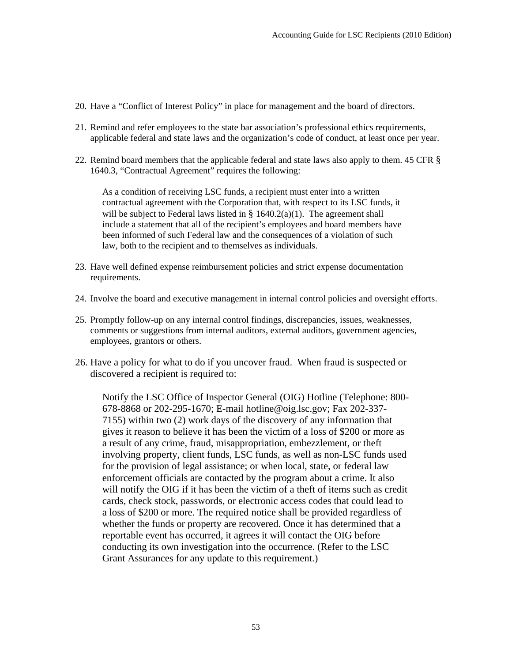- 20. Have a "Conflict of Interest Policy" in place for management and the board of directors.
- 21. Remind and refer employees to the state bar association's professional ethics requirements, applicable federal and state laws and the organization's code of conduct, at least once per year.
- 22. Remind board members that the applicable federal and state laws also apply to them. 45 CFR § 1640.3, "Contractual Agreement" requires the following:

As a condition of receiving LSC funds, a recipient must enter into a written contractual agreement with the Corporation that, with respect to its LSC funds, it will be subject to Federal laws listed in  $\S$  1640.2(a)(1). The agreement shall include a statement that all of the recipient's employees and board members have been informed of such Federal law and the consequences of a violation of such law, both to the recipient and to themselves as individuals.

- 23. Have well defined expense reimbursement policies and strict expense documentation requirements.
- 24. Involve the board and executive management in internal control policies and oversight efforts.
- 25. Promptly follow-up on any internal control findings, discrepancies, issues, weaknesses, comments or suggestions from internal auditors, external auditors, government agencies, employees, grantors or others.
- 26. Have a policy for what to do if you uncover fraud. When fraud is suspected or discovered a recipient is required to:

Notify the LSC Office of Inspector General (OIG) Hotline (Telephone: 800- 678-8868 or 202-295-1670; E-mail hotline@oig.lsc.gov; Fax 202-337- 7155) within two (2) work days of the discovery of any information that gives it reason to believe it has been the victim of a loss of \$200 or more as a result of any crime, fraud, misappropriation, embezzlement, or theft involving property, client funds, LSC funds, as well as non-LSC funds used for the provision of legal assistance; or when local, state, or federal law enforcement officials are contacted by the program about a crime. It also will notify the OIG if it has been the victim of a theft of items such as credit cards, check stock, passwords, or electronic access codes that could lead to a loss of \$200 or more. The required notice shall be provided regardless of whether the funds or property are recovered. Once it has determined that a reportable event has occurred, it agrees it will contact the OIG before conducting its own investigation into the occurrence. (Refer to the LSC Grant Assurances for any update to this requirement.)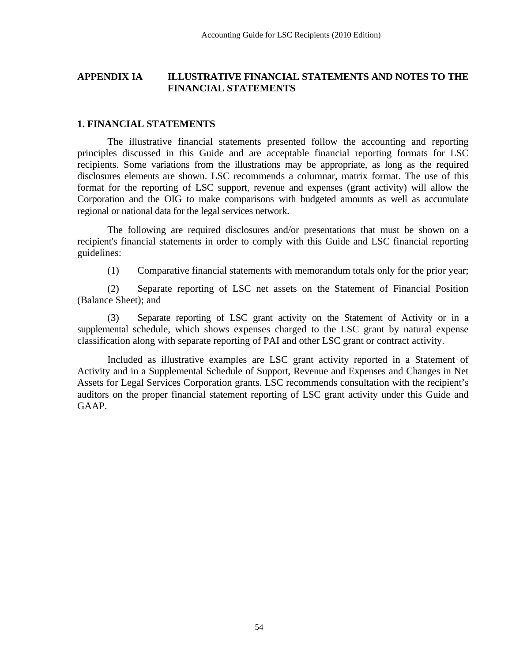# **APPENDIX IA ILLUSTRATIVE FINANCIAL STATEMENTS AND NOTES TO THE FINANCIAL STATEMENTS**

## **1. FINANCIAL STATEMENTS**

 The illustrative financial statements presented follow the accounting and reporting principles discussed in this Guide and are acceptable financial reporting formats for LSC recipients. Some variations from the illustrations may be appropriate, as long as the required disclosures elements are shown. LSC recommends a columnar, matrix format. The use of this format for the reporting of LSC support, revenue and expenses (grant activity) will allow the Corporation and the OIG to make comparisons with budgeted amounts as well as accumulate regional or national data for the legal services network.

 The following are required disclosures and/or presentations that must be shown on a recipient's financial statements in order to comply with this Guide and LSC financial reporting guidelines:

(1) Comparative financial statements with memorandum totals only for the prior year;

(2) Separate reporting of LSC net assets on the Statement of Financial Position (Balance Sheet); and

(3) Separate reporting of LSC grant activity on the Statement of Activity or in a supplemental schedule, which shows expenses charged to the LSC grant by natural expense classification along with separate reporting of PAI and other LSC grant or contract activity.

 Included as illustrative examples are LSC grant activity reported in a Statement of Activity and in a Supplemental Schedule of Support, Revenue and Expenses and Changes in Net Assets for Legal Services Corporation grants. LSC recommends consultation with the recipient's auditors on the proper financial statement reporting of LSC grant activity under this Guide and GAAP.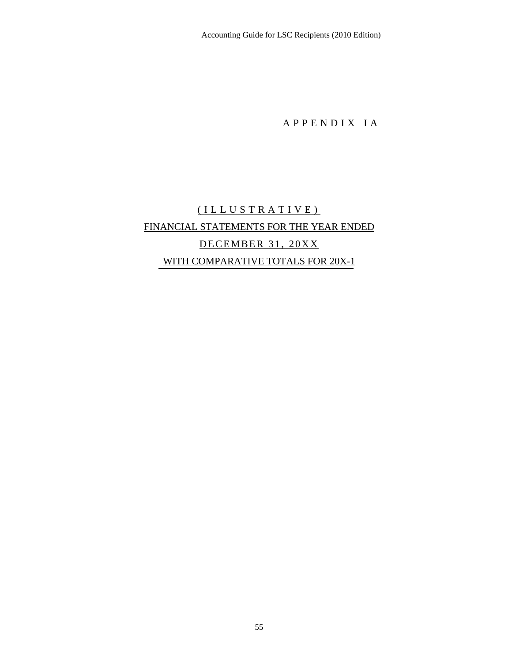Accounting Guide for LSC Recipients (2010 Edition)

APPENDIX IA

# (ILLUSTRATIVE) FINANCIAL STATEMENTS FOR THE YEAR ENDED DECEMBER 31, 20XX WITH COMPARATIVE TOTALS FOR 20X-1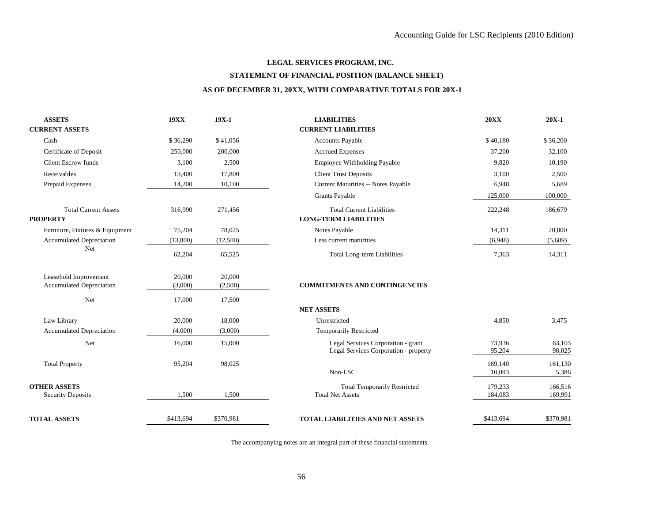# **LEGAL SERVICES PROGRAM, INC. STATEMENT OF FINANCIAL POSITION (BALANCE SHEET)**

#### **AS OF DECEMBER 31, 20XX, WITH COMPARATIVE TOTALS FOR 20X-1**

| <b>ASSETS</b>                                            | <b>19XX</b>       | $19X-1$           | <b>LIABILITIES</b>                                                          | <b>20XX</b>        | $20X-1$            |
|----------------------------------------------------------|-------------------|-------------------|-----------------------------------------------------------------------------|--------------------|--------------------|
| <b>CURRENT ASSETS</b>                                    |                   |                   | <b>CURRENT LIABILITIES</b>                                                  |                    |                    |
| Cash                                                     | \$36,290          | \$41,056          | <b>Accounts Payable</b>                                                     | \$40,180           | \$36,200           |
| <b>Certificate of Deposit</b>                            | 250,000           | 200,000           | <b>Accrued Expenses</b>                                                     | 37,200             | 32,100             |
| <b>Client Escrow funds</b>                               | 3,100             | 2,500             | <b>Employee Withholding Payable</b>                                         | 9,820              | 10,190             |
| Receivables                                              | 13,400            | 17,800            | <b>Client Trust Deposits</b>                                                | 3,100              | 2,500              |
| Prepaid Expenses                                         | 14,200            | 10,100            | Current Maturities -- Notes Payable                                         | 6,948              | 5,689              |
|                                                          |                   |                   | <b>Grants Payable</b>                                                       | 125,000            | 100,000            |
| <b>Total Current Assets</b><br><b>PROPERTY</b>           | 316,990           | 271,456           | <b>Total Current Liabilities</b><br><b>LONG-TERM LIABILITIES</b>            | 222,248            | 186,679            |
| Furniture, Fixtures & Equipment                          | 75,204            | 78,025            | Notes Payable                                                               | 14,311             | 20,000             |
| <b>Accumulated Depreciation</b>                          | (13,000)          | (12,500)          | Less current maturities                                                     | (6,948)            | (5,689)            |
| <b>Net</b>                                               | 62,204            | 65,525            | Total Long-term Liabilities                                                 | 7,363              | 14,311             |
| Leasehold Improvement<br><b>Accumulated Depreciation</b> | 20,000<br>(3,000) | 20,000<br>(2,500) | <b>COMMITMENTS AND CONTINGENCIES</b>                                        |                    |                    |
| Net                                                      | 17,000            | 17,500            |                                                                             |                    |                    |
|                                                          |                   |                   | <b>NET ASSETS</b>                                                           |                    |                    |
| Law Library<br><b>Accumulated Depreciation</b>           | 20,000<br>(4,000) | 18,000<br>(3,000) | Unrestricted<br><b>Temporarily Restricted</b>                               | 4,850              | 3,475              |
| Net                                                      | 16,000            | 15,000            | Legal Services Corporation - grant<br>Legal Services Corporation - property | 73,936<br>95,204   | 63,105<br>98,025   |
| <b>Total Property</b>                                    | 95,204            | 98,025            | Non-LSC                                                                     | 169,140<br>10,093  | 161,130<br>5,386   |
| <b>OTHER ASSETS</b><br><b>Security Deposits</b>          | 1,500             | 1,500             | <b>Total Temporarily Restricted</b><br><b>Total Net Assets</b>              | 179,233<br>184,083 | 166,516<br>169,991 |
| <b>TOTAL ASSETS</b>                                      | \$413,694         | \$370,981         | <b>TOTAL LIABILITIES AND NET ASSETS</b>                                     | \$413,694          | \$370,981          |

The accompanying notes are an integral part of these financial statements.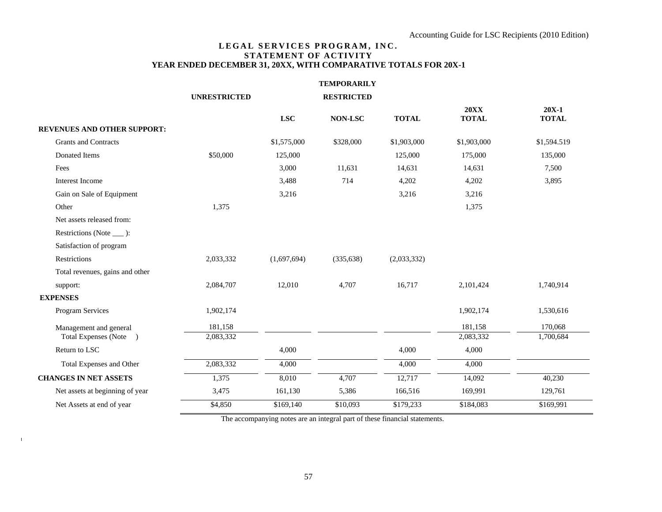#### **LEGAL SERVICES PROGRAM, INC. STATEMENT OF ACTIVITY YEAR ENDED DECEMBER 31, 20XX, WITH COMPARATIVE TOTALS FOR 20X-1**

|                                          |                     |             | <b>TEMPORARILY</b> |              |                             |                         |
|------------------------------------------|---------------------|-------------|--------------------|--------------|-----------------------------|-------------------------|
|                                          | <b>UNRESTRICTED</b> |             | <b>RESTRICTED</b>  |              |                             |                         |
|                                          |                     | <b>LSC</b>  | <b>NON-LSC</b>     | <b>TOTAL</b> | <b>20XX</b><br><b>TOTAL</b> | $20X-1$<br><b>TOTAL</b> |
| <b>REVENUES AND OTHER SUPPORT:</b>       |                     |             |                    |              |                             |                         |
| <b>Grants and Contracts</b>              |                     | \$1,575,000 | \$328,000          | \$1,903,000  | \$1,903,000                 | \$1,594.519             |
| <b>Donated Items</b>                     | \$50,000            | 125,000     |                    | 125,000      | 175,000                     | 135,000                 |
| Fees                                     |                     | 3,000       | 11,631             | 14,631       | 14,631                      | 7,500                   |
| <b>Interest Income</b>                   |                     | 3,488       | 714                | 4,202        | 4,202                       | 3,895                   |
| Gain on Sale of Equipment                |                     | 3,216       |                    | 3,216        | 3,216                       |                         |
| Other                                    | 1,375               |             |                    |              | 1,375                       |                         |
| Net assets released from:                |                     |             |                    |              |                             |                         |
|                                          |                     |             |                    |              |                             |                         |
| Satisfaction of program                  |                     |             |                    |              |                             |                         |
| Restrictions                             | 2,033,332           | (1,697,694) | (335, 638)         | (2,033,332)  |                             |                         |
| Total revenues, gains and other          |                     |             |                    |              |                             |                         |
| support:                                 | 2,084,707           | 12,010      | 4,707              | 16,717       | 2,101,424                   | 1,740,914               |
| <b>EXPENSES</b>                          |                     |             |                    |              |                             |                         |
| Program Services                         | 1,902,174           |             |                    |              | 1,902,174                   | 1,530,616               |
| Management and general                   | 181,158             |             |                    |              | 181,158                     | 170,068                 |
| <b>Total Expenses (Note</b><br>$\lambda$ | 2,083,332           |             |                    |              | 2,083,332                   | 1,700,684               |
| Return to LSC                            |                     | 4,000       |                    | 4,000        | 4,000                       |                         |
| Total Expenses and Other                 | 2,083,332           | 4,000       |                    | 4,000        | 4,000                       |                         |
| <b>CHANGES IN NET ASSETS</b>             | 1,375               | 8,010       | 4,707              | 12,717       | 14,092                      | 40,230                  |
| Net assets at beginning of year          | 3,475               | 161,130     | 5,386              | 166,516      | 169,991                     | 129,761                 |
| Net Assets at end of year                | \$4,850             | \$169,140   | \$10,093           | \$179,233    | \$184,083                   | \$169,991               |

The accompanying notes are an integral part of these financial statements.

 $\mathbf{r}$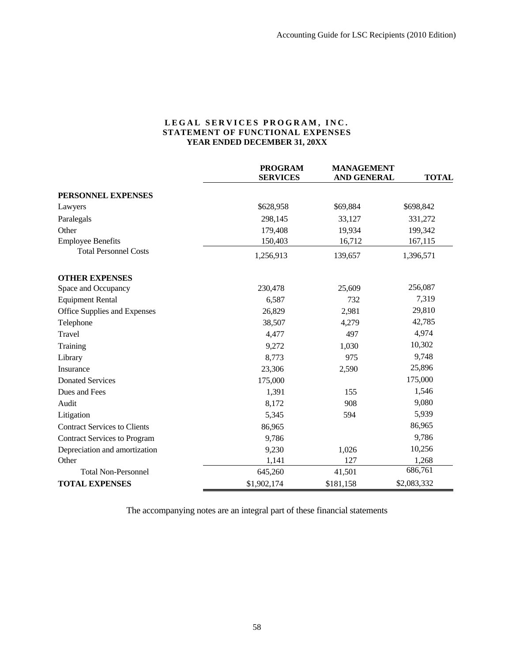#### **LEGAL SERVICES PROGRAM, INC. STATEMENT OF FUNCTIONAL EXPENSES YEAR ENDED DECEMBER 31, 20XX**

|                                     | <b>PROGRAM</b><br><b>SERVICES</b> | <b>MANAGEMENT</b><br>AND GENERAL | <b>TOTAL</b> |
|-------------------------------------|-----------------------------------|----------------------------------|--------------|
| PERSONNEL EXPENSES                  |                                   |                                  |              |
| Lawyers                             | \$628,958                         | \$69,884                         | \$698,842    |
| Paralegals                          | 298,145                           | 33,127                           | 331,272      |
| Other                               | 179,408                           | 19,934                           | 199,342      |
| <b>Employee Benefits</b>            | 150,403                           | 16,712                           | 167,115      |
| <b>Total Personnel Costs</b>        | 1,256,913                         | 139,657                          | 1,396,571    |
| <b>OTHER EXPENSES</b>               |                                   |                                  |              |
| Space and Occupancy                 | 230,478                           | 25,609                           | 256,087      |
| <b>Equipment Rental</b>             | 6,587                             | 732                              | 7,319        |
| Office Supplies and Expenses        | 26,829                            | 2,981                            | 29,810       |
| Telephone                           | 38,507                            | 4,279                            | 42,785       |
| Travel                              | 4,477                             | 497                              | 4,974        |
| Training                            | 9,272                             | 1,030                            | 10,302       |
| Library                             | 8,773                             | 975                              | 9,748        |
| Insurance                           | 23,306                            | 2,590                            | 25,896       |
| <b>Donated Services</b>             | 175,000                           |                                  | 175,000      |
| Dues and Fees                       | 1,391                             | 155                              | 1,546        |
| Audit                               | 8,172                             | 908                              | 9,080        |
| Litigation                          | 5,345                             | 594                              | 5,939        |
| <b>Contract Services to Clients</b> | 86,965                            |                                  | 86,965       |
| <b>Contract Services to Program</b> | 9,786                             |                                  | 9,786        |
| Depreciation and amortization       | 9,230                             | 1,026                            | 10,256       |
| Other                               | 1,141                             | 127                              | 1,268        |
| <b>Total Non-Personnel</b>          | 645,260                           | 41,501                           | 686,761      |
| <b>TOTAL EXPENSES</b>               | \$1,902,174                       | \$181,158                        | \$2,083,332  |

The accompanying notes are an integral part of these financial statements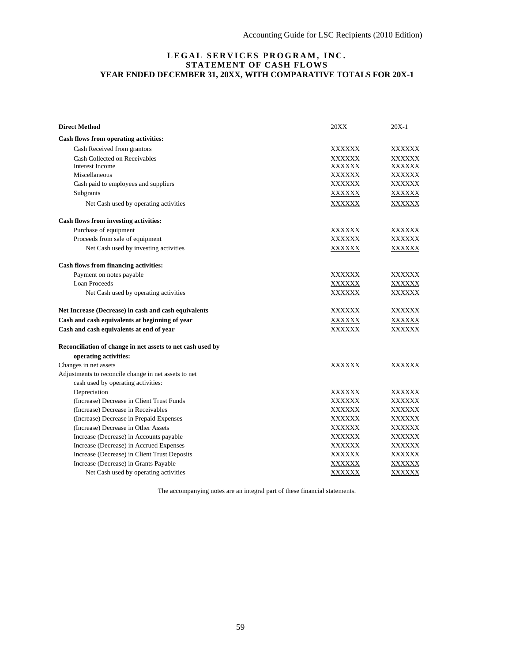#### **LEGAL SERVICES PROGRAM, INC. STATEMENT OF CASH FLOWS YEAR ENDED DECEMBER 31, 20XX, WITH COMPARATIVE TOTALS FOR 20X-1**

| <b>Direct Method</b>                                       | 20XX          | $20X-1$       |
|------------------------------------------------------------|---------------|---------------|
| Cash flows from operating activities:                      |               |               |
| Cash Received from grantors                                | XXXXXX        | XXXXXX        |
| Cash Collected on Receivables                              | <b>XXXXXX</b> | XXXXXX        |
| Interest Income                                            | XXXXXX        | XXXXXX        |
| Miscellaneous                                              | XXXXXX        | XXXXXX        |
| Cash paid to employees and suppliers                       | <b>XXXXXX</b> | <b>XXXXXX</b> |
| Subgrants                                                  | XXXXXX        | XXXXXX        |
| Net Cash used by operating activities                      | XXXXXX        | XXXXXX        |
| Cash flows from investing activities:                      |               |               |
| Purchase of equipment                                      | <b>XXXXXX</b> | <b>XXXXXX</b> |
| Proceeds from sale of equipment                            | XXXXXX        | XXXXXX        |
| Net Cash used by investing activities                      | XXXXXX        | XXXXXX        |
| Cash flows from financing activities:                      |               |               |
| Payment on notes payable                                   | XXXXXX        | XXXXXX        |
| Loan Proceeds                                              | XXXXXX        | XXXXXX        |
| Net Cash used by operating activities                      | XXXXXX        | XXXXXX        |
| Net Increase (Decrease) in cash and cash equivalents       | <b>XXXXXX</b> | <b>XXXXXX</b> |
| Cash and cash equivalents at beginning of year             | XXXXXX        | XXXXXX        |
| Cash and cash equivalents at end of year                   | XXXXXX        | <b>XXXXXX</b> |
| Reconciliation of change in net assets to net cash used by |               |               |
| operating activities:                                      |               |               |
| Changes in net assets                                      | <b>XXXXXX</b> | <b>XXXXXX</b> |
| Adjustments to reconcile change in net assets to net       |               |               |
| cash used by operating activities:                         |               |               |
| Depreciation                                               | XXXXXX        | XXXXXX        |
| (Increase) Decrease in Client Trust Funds                  | <b>XXXXXX</b> | XXXXXX        |
| (Increase) Decrease in Receivables                         | XXXXXX        | <b>XXXXXX</b> |
| (Increase) Decrease in Prepaid Expenses                    | XXXXXX        | <b>XXXXXX</b> |
| (Increase) Decrease in Other Assets                        | XXXXXX        | <b>XXXXXX</b> |
| Increase (Decrease) in Accounts payable                    | XXXXXX        | <b>XXXXXX</b> |
| Increase (Decrease) in Accrued Expenses                    | XXXXXX        | <b>XXXXXX</b> |
| Increase (Decrease) in Client Trust Deposits               | XXXXXX        | XXXXXX        |
| Increase (Decrease) in Grants Payable                      | XXXXXX        | XXXXXX        |
| Net Cash used by operating activities                      | XXXXXX        | XXXXXX        |

The accompanying notes are an integral part of these financial statements.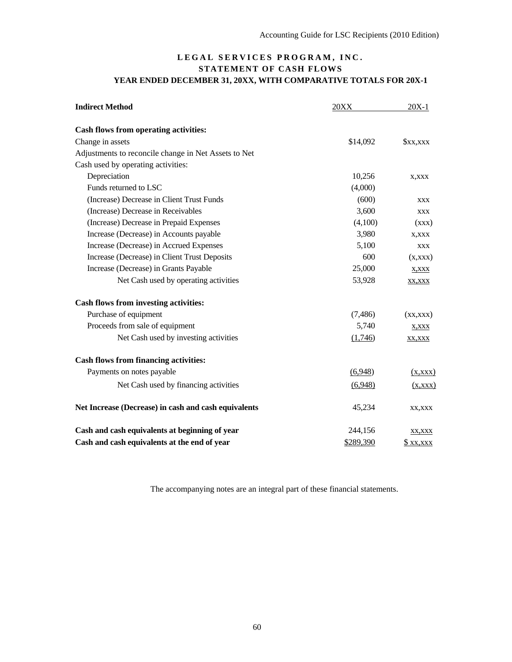# **LEGAL SERVICES PROGRAM, INC. STATEMENT OF CASH FLOWS YEAR ENDED DECEMBER 31, 20XX, WITH COMPARATIVE TOTALS FOR 20X-1**

| <b>Indirect Method</b>                               | 20XX      | $20X-1$           |
|------------------------------------------------------|-----------|-------------------|
| Cash flows from operating activities:                |           |                   |
| Change in assets                                     | \$14,092  | x, x              |
| Adjustments to reconcile change in Net Assets to Net |           |                   |
| Cash used by operating activities:                   |           |                   |
| Depreciation                                         | 10,256    | X, XXX            |
| Funds returned to LSC                                | (4,000)   |                   |
| (Increase) Decrease in Client Trust Funds            | (600)     | XXX               |
| (Increase) Decrease in Receivables                   | 3,600     | XXX               |
| (Increase) Decrease in Prepaid Expenses              | (4,100)   | (xxx)             |
| Increase (Decrease) in Accounts payable              | 3,980     | X,XXX             |
| Increase (Decrease) in Accrued Expenses              | 5,100     | XXX               |
| Increase (Decrease) in Client Trust Deposits         | 600       | (x, xxx)          |
| Increase (Decrease) in Grants Payable                | 25,000    | X, XXX            |
| Net Cash used by operating activities                | 53,928    | XX, XXX           |
| <b>Cash flows from investing activities:</b>         |           |                   |
| Purchase of equipment                                | (7, 486)  | (xx,xxxx)         |
| Proceeds from sale of equipment                      | 5,740     | X, XXX            |
| Net Cash used by investing activities                | (1,746)   | XX, XXX           |
| <b>Cash flows from financing activities:</b>         |           |                   |
| Payments on notes payable                            | (6,948)   | (X, XXX)          |
| Net Cash used by financing activities                | (6,948)   | (x,xxx)           |
| Net Increase (Decrease) in cash and cash equivalents | 45,234    | XX, XXX           |
| Cash and cash equivalents at beginning of year       | 244,156   | XX, XXX           |
| Cash and cash equivalents at the end of year         | \$289,390 | <u>\$ xx, xxx</u> |

The accompanying notes are an integral part of these financial statements.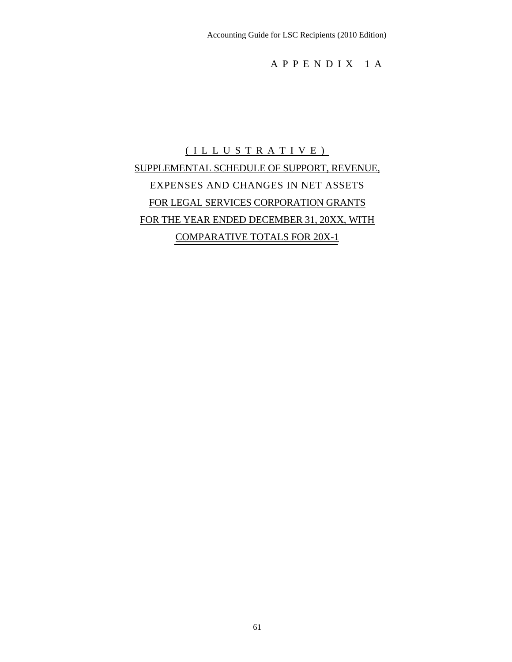Accounting Guide for LSC Recipients (2010 Edition)

# APPENDIX 1A

# (ILLUSTRATIVE) SUPPLEMENTAL SCHEDULE OF SUPPORT, REVENUE, EXPENSES AND CHANGES IN NET ASSETS FOR LEGAL SERVICES CORPORATION GRANTS FOR THE YEAR ENDED DECEMBER 31, 20XX, WITH COMPARATIVE TOTALS FOR 20X-1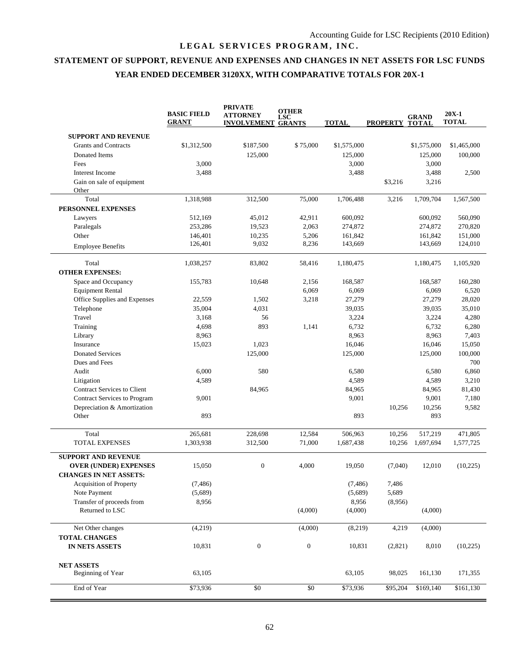# **LEGAL SERVICES PROGRAM, INC.**

# **STATEMENT OF SUPPORT, REVENUE AND EXPENSES AND CHANGES IN NET ASSETS FOR LSC FUNDS YEAR ENDED DECEMBER 3120XX, WITH COMPARATIVE TOTALS FOR 20X-1**

|                                     | <b>BASIC FIELD</b><br><b>GRANT</b> | <b>PRIVATE</b><br><b>ATTORNEY</b><br><b>INVOLVEMENT</b> | <b>OTHER</b><br>LSC<br><b>GRANTS</b> | <b>TOTAL</b> | <b>PROPERTY</b> | <b>GRAND</b><br><b>TOTAL</b> | $20X-1$<br><b>TOTAL</b> |
|-------------------------------------|------------------------------------|---------------------------------------------------------|--------------------------------------|--------------|-----------------|------------------------------|-------------------------|
| <b>SUPPORT AND REVENUE</b>          |                                    |                                                         |                                      |              |                 |                              |                         |
| <b>Grants and Contracts</b>         | \$1,312,500                        | \$187,500                                               | \$75,000                             | \$1,575,000  |                 | \$1,575,000                  | \$1,465,000             |
| Donated Items                       |                                    | 125,000                                                 |                                      | 125,000      |                 | 125,000                      | 100,000                 |
| Fees                                | 3,000                              |                                                         |                                      | 3,000        |                 | 3,000                        |                         |
| <b>Interest Income</b>              | 3,488                              |                                                         |                                      | 3,488        |                 | 3,488                        | 2,500                   |
| Gain on sale of equipment           |                                    |                                                         |                                      |              | \$3,216         | 3,216                        |                         |
| Other                               |                                    |                                                         |                                      |              |                 |                              |                         |
| Total                               | 1,318,988                          | 312,500                                                 | 75,000                               | 1,706,488    | 3,216           | 1,709,704                    | 1,567,500               |
| PERSONNEL EXPENSES                  |                                    |                                                         |                                      |              |                 |                              |                         |
| Lawyers                             | 512,169                            | 45,012                                                  | 42,911                               | 600,092      |                 | 600,092                      | 560,090                 |
| Paralegals                          | 253,286                            | 19,523                                                  | 2,063                                | 274,872      |                 | 274,872                      | 270,820                 |
| Other                               | 146,401                            | 10,235                                                  | 5,206                                | 161,842      |                 | 161,842                      | 151,000                 |
| <b>Employee Benefits</b>            | 126,401                            | 9,032                                                   | 8,236                                | 143,669      |                 | 143,669                      | 124,010                 |
| Total                               | 1,038,257                          | 83,802                                                  | 58,416                               | 1,180,475    |                 | 1,180,475                    | 1,105,920               |
| <b>OTHER EXPENSES:</b>              |                                    |                                                         |                                      |              |                 |                              |                         |
| Space and Occupancy                 | 155,783                            | 10,648                                                  | 2,156                                | 168,587      |                 | 168,587                      | 160,280                 |
| <b>Equipment Rental</b>             |                                    |                                                         | 6,069                                | 6,069        |                 | 6,069                        | 6,520                   |
| Office Supplies and Expenses        | 22,559                             | 1,502                                                   | 3,218                                | 27,279       |                 | 27,279                       | 28,020                  |
| Telephone                           | 35,004                             | 4,031                                                   |                                      | 39,035       |                 | 39,035                       | 35,010                  |
| Travel                              | 3,168                              | 56                                                      |                                      | 3,224        |                 | 3,224                        | 4,280                   |
| Training                            | 4,698                              | 893                                                     | 1,141                                | 6,732        |                 | 6,732                        | 6,280                   |
| Library                             | 8,963                              |                                                         |                                      | 8,963        |                 | 8,963                        | 7,403                   |
| Insurance                           | 15,023                             | 1,023                                                   |                                      | 16,046       |                 | 16,046                       | 15,050                  |
| <b>Donated Services</b>             |                                    | 125,000                                                 |                                      | 125,000      |                 | 125,000                      | 100,000                 |
| Dues and Fees                       |                                    |                                                         |                                      |              |                 |                              | 700                     |
| Audit                               | 6,000                              | 580                                                     |                                      | 6,580        |                 | 6,580                        | 6,860                   |
| Litigation                          | 4,589                              |                                                         |                                      | 4,589        |                 | 4,589                        | 3,210                   |
| <b>Contract Services to Client</b>  |                                    | 84,965                                                  |                                      | 84,965       |                 | 84,965                       | 81,430                  |
| <b>Contract Services to Program</b> | 9,001                              |                                                         |                                      | 9,001        |                 | 9,001                        | 7,180                   |
| Depreciation & Amortization         |                                    |                                                         |                                      |              | 10,256          | 10,256                       | 9,582                   |
| Other                               | 893                                |                                                         |                                      | 893          |                 | 893                          |                         |
| Total                               | 265,681                            | 228,698                                                 | 12,584                               | 506,963      | 10,256          | 517,219                      | 471,805                 |
| <b>TOTAL EXPENSES</b>               | 1,303,938                          | 312,500                                                 | 71,000                               | 1,687,438    | 10,256          | 1,697,694                    | 1,577,725               |
| SUPPORT AND REVENUE                 |                                    |                                                         |                                      |              |                 |                              |                         |
| <b>OVER (UNDER) EXPENSES</b>        | 15,050                             | $\boldsymbol{0}$                                        | 4,000                                | 19.050       | (7,040)         | 12,010                       | (10,225)                |
| <b>CHANGES IN NET ASSETS:</b>       |                                    |                                                         |                                      |              |                 |                              |                         |
| Acquisition of Property             | (7, 486)                           |                                                         |                                      | (7, 486)     | 7,486           |                              |                         |
| Note Payment                        | (5,689)                            |                                                         |                                      | (5,689)      | 5,689           |                              |                         |
| Transfer of proceeds from           | 8,956                              |                                                         |                                      | 8,956        | (8,956)         |                              |                         |
| Returned to LSC                     |                                    |                                                         | (4,000)                              | (4,000)      |                 | (4,000)                      |                         |
| Net Other changes                   | (4,219)                            |                                                         | (4,000)                              | (8,219)      | 4,219           | (4,000)                      |                         |
| <b>TOTAL CHANGES</b>                |                                    |                                                         |                                      |              |                 |                              |                         |
| IN NETS ASSETS                      | 10,831                             | $\boldsymbol{0}$                                        | $\boldsymbol{0}$                     | 10,831       | (2,821)         | 8,010                        | (10, 225)               |
| <b>NET ASSETS</b>                   |                                    |                                                         |                                      |              |                 |                              |                         |
| Beginning of Year                   | 63,105                             |                                                         |                                      | 63,105       | 98,025          | 161,130                      | 171,355                 |
| End of Year                         | \$73,936                           | \$0                                                     | $\$0$                                | \$73,936     | \$95,204        | \$169,140                    | \$161,130               |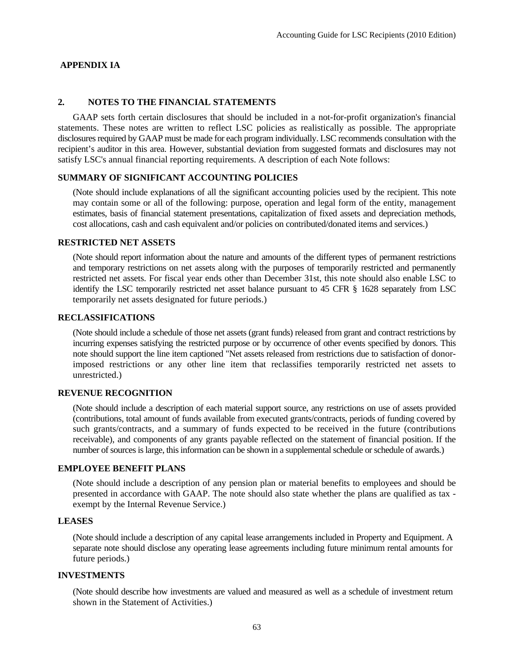#### **APPENDIX IA**

#### **2. NOTES TO THE FINANCIAL STATEMENTS**

GAAP sets forth certain disclosures that should be included in a not-for-profit organization's financial statements. These notes are written to reflect LSC policies as realistically as possible. The appropriate disclosures required by GAAP must be made for each program individually. LSC recommends consultation with the recipient's auditor in this area. However, substantial deviation from suggested formats and disclosures may not satisfy LSC's annual financial reporting requirements. A description of each Note follows:

#### **SUMMARY OF SIGNIFICANT ACCOUNTING POLICIES**

(Note should include explanations of all the significant accounting policies used by the recipient. This note may contain some or all of the following: purpose, operation and legal form of the entity, management estimates, basis of financial statement presentations, capitalization of fixed assets and depreciation methods, cost allocations, cash and cash equivalent and/or policies on contributed/donated items and services.)

#### **RESTRICTED NET ASSETS**

(Note should report information about the nature and amounts of the different types of permanent restrictions and temporary restrictions on net assets along with the purposes of temporarily restricted and permanently restricted net assets. For fiscal year ends other than December 31st, this note should also enable LSC to identify the LSC temporarily restricted net asset balance pursuant to 45 CFR § 1628 separately from LSC temporarily net assets designated for future periods.)

#### **RECLASSIFICATIONS**

(Note should include a schedule of those net assets (grant funds) released from grant and contract restrictions by incurring expenses satisfying the restricted purpose or by occurrence of other events specified by donors. This note should support the line item captioned "Net assets released from restrictions due to satisfaction of donorimposed restrictions or any other line item that reclassifies temporarily restricted net assets to unrestricted.)

#### **REVENUE RECOGNITION**

(Note should include a description of each material support source, any restrictions on use of assets provided (contributions, total amount of funds available from executed grants/contracts, periods of funding covered by such grants/contracts, and a summary of funds expected to be received in the future (contributions receivable), and components of any grants payable reflected on the statement of financial position. If the number of sources is large, this information can be shown in a supplemental schedule or schedule of awards.)

#### **EMPLOYEE BENEFIT PLANS**

(Note should include a description of any pension plan or material benefits to employees and should be presented in accordance with GAAP. The note should also state whether the plans are qualified as tax exempt by the Internal Revenue Service.)

#### **LEASES**

(Note should include a description of any capital lease arrangements included in Property and Equipment. A separate note should disclose any operating lease agreements including future minimum rental amounts for future periods.)

#### **INVESTMENTS**

(Note should describe how investments are valued and measured as well as a schedule of investment return shown in the Statement of Activities.)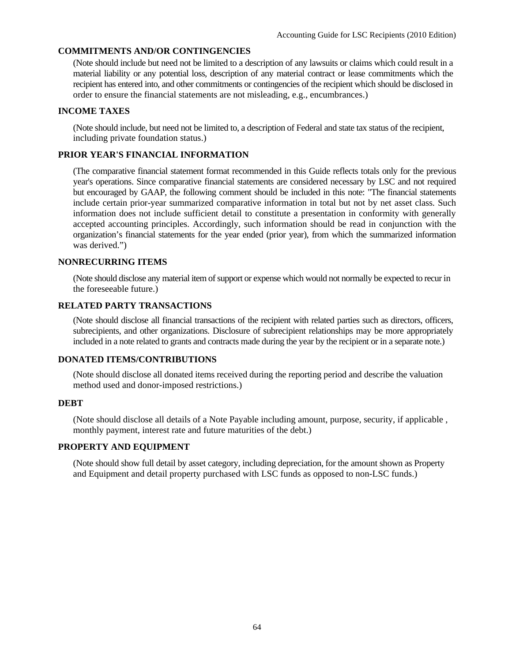# **COMMITMENTS AND/OR CONTINGENCIES**

(Note should include but need not be limited to a description of any lawsuits or claims which could result in a material liability or any potential loss, description of any material contract or lease commitments which the recipient has entered into, and other commitments or contingencies of the recipient which should be disclosed in order to ensure the financial statements are not misleading, e.g., encumbrances.)

#### **INCOME TAXES**

(Note should include, but need not be limited to, a description of Federal and state tax status of the recipient, including private foundation status.)

#### **PRIOR YEAR'S FINANCIAL INFORMATION**

(The comparative financial statement format recommended in this Guide reflects totals only for the previous year's operations. Since comparative financial statements are considered necessary by LSC and not required but encouraged by GAAP, the following comment should be included in this note: "The financial statements include certain prior-year summarized comparative information in total but not by net asset class. Such information does not include sufficient detail to constitute a presentation in conformity with generally accepted accounting principles. Accordingly, such information should be read in conjunction with the organization's financial statements for the year ended (prior year), from which the summarized information was derived.")

## **NONRECURRING ITEMS**

(Note should disclose any material item of support or expense which would not normally be expected to recur in the foreseeable future.)

## **RELATED PARTY TRANSACTIONS**

(Note should disclose all financial transactions of the recipient with related parties such as directors, officers, subrecipients, and other organizations. Disclosure of subrecipient relationships may be more appropriately included in a note related to grants and contracts made during the year by the recipient or in a separate note.)

#### **DONATED ITEMS/CONTRIBUTIONS**

(Note should disclose all donated items received during the reporting period and describe the valuation method used and donor-imposed restrictions.)

#### **DEBT**

(Note should disclose all details of a Note Payable including amount, purpose, security, if applicable , monthly payment, interest rate and future maturities of the debt.)

#### **PROPERTY AND EQUIPMENT**

(Note should show full detail by asset category, including depreciation, for the amount shown as Property and Equipment and detail property purchased with LSC funds as opposed to non-LSC funds.)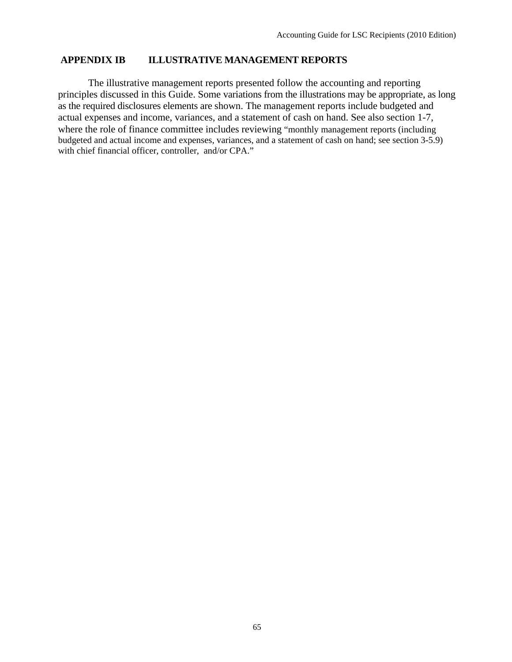# **APPENDIX IB ILLUSTRATIVE MANAGEMENT REPORTS**

The illustrative management reports presented follow the accounting and reporting principles discussed in this Guide. Some variations from the illustrations may be appropriate, as long as the required disclosures elements are shown. The management reports include budgeted and actual expenses and income, variances, and a statement of cash on hand. See also section 1-7, where the role of finance committee includes reviewing "monthly management reports (including budgeted and actual income and expenses, variances, and a statement of cash on hand; see section 3-5.9) with chief financial officer, controller, and/or CPA."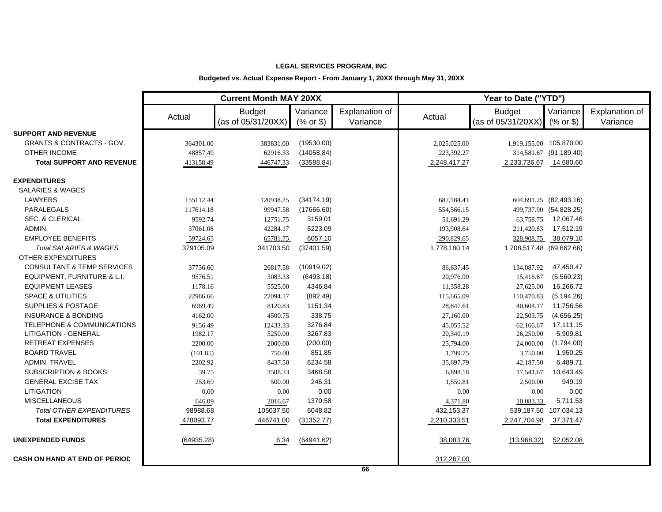#### **LEGAL SERVICES PROGRAM, INC**

#### **Budgeted vs. Actual Expense Report - From January 1, 20XX through May 31, 20XX**

|                                       |            | <b>Current Month MAY 20XX</b> |            |                | Year to Date ("YTD") |                                          |                |  |  |
|---------------------------------------|------------|-------------------------------|------------|----------------|----------------------|------------------------------------------|----------------|--|--|
|                                       |            | <b>Budget</b>                 | Variance   | Explanation of |                      | <b>Budget</b><br>Variance                | Explanation of |  |  |
|                                       | Actual     | (as of 05/31/20XX)            | (% or \$)  | Variance       | Actual               | (as of 05/31/20XX) $(\% \text{ or } \$)$ | Variance       |  |  |
| <b>SUPPORT AND REVENUE</b>            |            |                               |            |                |                      |                                          |                |  |  |
| <b>GRANTS &amp; CONTRACTS - GOV.</b>  | 364301.00  | 383831.00                     | (19530.00) |                | 2,025,025.00         | 1,919,155.00 105,870.00                  |                |  |  |
| <b>OTHER INCOME</b>                   | 48857.49   | 62916.33                      | (14058.84) |                | 223,392.27           | 314,581.67 (91,189.40)                   |                |  |  |
| <b>Total SUPPORT AND REVENUE</b>      | 413158.49  | 446747.33                     | (33588.84) |                | 2,248,417.27         | 2,233,736.67<br>14,680.60                |                |  |  |
| <b>EXPENDITURES</b>                   |            |                               |            |                |                      |                                          |                |  |  |
| SALARIES & WAGES                      |            |                               |            |                |                      |                                          |                |  |  |
| LAWYERS                               | 155112.44  | 120938.25                     | (34174.19) |                | 687,184.41           | 604,691.25 (82,493.16)                   |                |  |  |
| PARALEGALS                            | 117614.18  | 99947.58                      | (17666.60) |                | 554,566.15           | 499,737.90 (54,828.25)                   |                |  |  |
| <b>SEC. &amp; CLERICAL</b>            | 9592.74    | 12751.75                      | 3159.01    |                | 51,691.29            | 63,758.75<br>12,067.46                   |                |  |  |
| ADMIN.                                | 37061.08   | 42284.17                      | 5223.09    |                | 193,908.64           | 17,512.19<br>211,420.83                  |                |  |  |
| <b>EMPLOYEE BENEFITS</b>              | 59724.65   | 65781.75                      | 6057.10    |                | 290,829.65           | 328,908.75 38,079.10                     |                |  |  |
| <b>Total SALARIES &amp; WAGES</b>     | 379105.09  | 341703.50                     | (37401.59) |                | 1,778,180.14         | 1,708,517.48 (69,662.66)                 |                |  |  |
| OTHER EXPENDITURES                    |            |                               |            |                |                      |                                          |                |  |  |
| <b>CONSULTANT &amp; TEMP SERVICES</b> | 37736.60   | 26817.58                      | (10919.02) |                | 86,637.45            | 47,450.47<br>134,087.92                  |                |  |  |
| EQUIPMENT, FURNITURE & L.I.           | 9576.51    | 3083.33                       | (6493.18)  |                | 20,976.90            | (5,560.23)<br>15,416.67                  |                |  |  |
| <b>EQUIPMENT LEASES</b>               | 1178.16    | 5525.00                       | 4346.84    |                | 11,358.28            | 16,266.72<br>27,625.00                   |                |  |  |
| <b>SPACE &amp; UTILITIES</b>          | 22986.66   | 22094.17                      | (892.49)   |                | 115,665.09           | (5, 194.26)<br>110,470.83                |                |  |  |
| <b>SUPPLIES &amp; POSTAGE</b>         | 6969.49    | 8120.83                       | 1151.34    |                | 28,847.61            | 11,756.56<br>40,604.17                   |                |  |  |
| <b>INSURANCE &amp; BONDING</b>        | 4162.00    | 4500.75                       | 338.75     |                | 27,160.00            | (4,656.25)<br>22,503.75                  |                |  |  |
| TELEPHONE & COMMUNICATIONS            | 9156.49    | 12433.33                      | 3276.84    |                | 45,055.52            | 17,111.15<br>62,166.67                   |                |  |  |
| <b>LITIGATION - GENERAL</b>           | 1982.17    | 5250.00                       | 3267.83    |                | 20,340.19            | 26,250.00<br>5,909.81                    |                |  |  |
| <b>RETREAT EXPENSES</b>               | 2200.00    | 2000.00                       | (200.00)   |                | 25,794.00            | (1,794.00)<br>24,000.00                  |                |  |  |
| <b>BOARD TRAVEL</b>                   | (101.85)   | 750.00                        | 851.85     |                | 1,799.75             | 3,750.00<br>1,950.25                     |                |  |  |
| <b>ADMIN. TRAVEL</b>                  | 2202.92    | 8437.50                       | 6234.58    |                | 35,697.79            | 6,489.71<br>42,187.50                    |                |  |  |
| <b>SUBSCRIPTION &amp; BOOKS</b>       | 39.75      | 3508.33                       | 3468.58    |                | 6,898.18             | 17,541.67<br>10,643.49                   |                |  |  |
| <b>GENERAL EXCISE TAX</b>             | 253.69     | 500.00                        | 246.31     |                | 1,550.81             | 949.19<br>2,500.00                       |                |  |  |
| <b>LITIGATION</b>                     | 0.00       | 0.00                          | 0.00       |                | 0.00                 | 0.00<br>0.00                             |                |  |  |
| <b>MISCELLANEOUS</b>                  | 646.09     | 2016.67                       | 1370.58    |                | 4,371.80             | 10,083.33<br>5,711.53                    |                |  |  |
| <b>Total OTHER EXPENDITURES</b>       | 98988.68   | 105037.50                     | 6048.82    |                | 432,153.37           | 539,187.50 107,034.13                    |                |  |  |
| <b>Total EXPENDITURES</b>             | 478093.77  | 446741.00                     | (31352.77) |                | 2,210,333.51         | 2,247,704.98<br>37,371.47                |                |  |  |
| <b>UNEXPENDED FUNDS</b>               | (64935.28) | 6.34                          | (64941.62) |                | 38,083.76            | (13,968.32)<br>52,052.08                 |                |  |  |
| <b>CASH ON HAND AT END OF PERIOD</b>  |            |                               |            |                | 312,267.00           |                                          |                |  |  |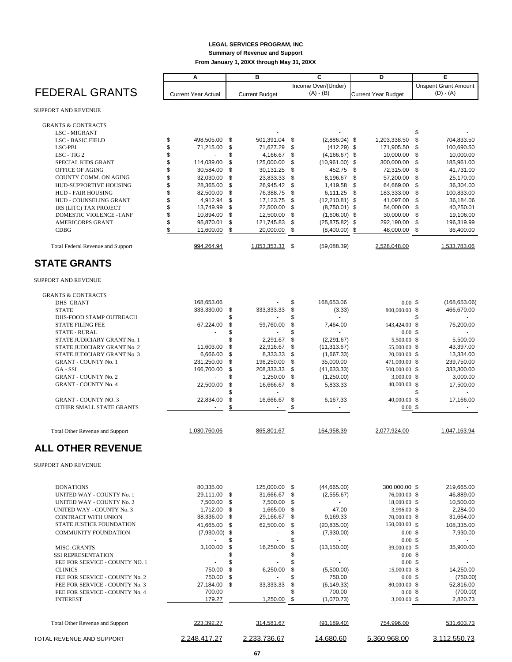#### **LEGAL SERVICES PROGRAM, INC Summary of Revenue and Support From January 1, 20XX through May 31, 20XX**

|                                                         | Α                                  |          | в                      |            | С                                  | D                            |      | E                                          |
|---------------------------------------------------------|------------------------------------|----------|------------------------|------------|------------------------------------|------------------------------|------|--------------------------------------------|
| <b>FEDERAL GRANTS</b>                                   | <b>Current Year Actual</b>         |          | <b>Current Budget</b>  |            | Income Over/(Under)<br>$(A) - (B)$ | <b>Current Year Budget</b>   |      | <b>Unspent Grant Amount</b><br>$(D) - (A)$ |
| SUPPORT AND REVENUE                                     |                                    |          |                        |            |                                    |                              |      |                                            |
| <b>GRANTS &amp; CONTRACTS</b>                           |                                    |          |                        |            |                                    |                              |      |                                            |
| <b>LSC - MIGRANT</b>                                    |                                    |          |                        |            |                                    |                              | \$   |                                            |
| <b>LSC - BASIC FIELD</b>                                | \$<br>498,505.00                   | \$       | 501,391.04             | - \$       | $(2,886.04)$ \$                    | 1,203,338.50                 | \$   | 704,833.50                                 |
| LSC-PBI                                                 | \$<br>71,215.00                    | \$       | 71,627.29              | \$         | $(412.29)$ \$                      | 171,905.50                   | \$   | 100,690.50                                 |
| LSC - TIG 2                                             | \$                                 | \$       | 4,166.67               | \$         | $(4, 166.67)$ \$                   | 10,000.00                    | \$   | 10,000.00                                  |
| SPECIAL KIDS GRANT                                      | \$<br>114,039.00                   | \$       | 125,000.00             | \$         | $(10,961.00)$ \$                   | 300,000.00 \$                |      | 185,961.00                                 |
| OFFICE OF AGING                                         | \$<br>30,584.00                    | \$       | 30,131.25              | \$         | 452.75                             | 72,315.00 \$<br>- \$         |      | 41,731.00                                  |
| COUNTY COMM. ON AGING                                   | \$<br>32,030.00                    | \$       | 23,833.33              | \$         | 8,196.67                           | \$<br>57,200.00 \$           |      | 25,170.00                                  |
| HUD-SUPPORTIVE HOUSING                                  | \$<br>28,365.00                    | \$       | 26,945.42              | \$         | 1,419.58                           | \$<br>64,669.00              | \$   | 36,304.00                                  |
| <b>HUD - FAIR HOUSING</b>                               | \$<br>82,500.00                    | \$       | 76,388.75              | \$         | 6,111.25                           | 183,333.00<br>\$             | \$   | 100,833.00                                 |
| HUD - COUNSELING GRANT                                  | \$<br>4,912.94                     | \$       | 17,123.75              | \$         | $(12,210.81)$ \$                   | 41,097.00                    | \$   | 36,184.06                                  |
| IRS (LITC) TAX PROJECT<br>DOMESTIC VIOLENCE -TANF       | \$<br>13,749.99<br>\$<br>10,894.00 | \$<br>\$ | 22,500.00<br>12,500.00 | \$<br>\$   | $(8,750.01)$ \$<br>$(1,606.00)$ \$ | 54,000.00 \$<br>30,000.00    | - \$ | 40,250.01<br>19,106.00                     |
| <b>AMERICORPS GRANT</b>                                 | \$<br>95,870.01                    | \$       | 121,745.83             | \$         | $(25,875.82)$ \$                   | 292,190.00 \$                |      | 196,319.99                                 |
| <b>CDBG</b>                                             | \$<br>11,600.00                    | \$       | 20,000.00              | \$         | $(8,400.00)$ \$                    | 48,000.00                    | - \$ | 36,400.00                                  |
|                                                         |                                    |          |                        |            |                                    |                              |      |                                            |
| <b>Total Federal Revenue and Support</b>                | 994.264.94                         |          | 1,053,353.33 \$        |            | (59,088.39)                        | 2.528.048.00                 |      | 1,533,783.06                               |
| <b>STATE GRANTS</b>                                     |                                    |          |                        |            |                                    |                              |      |                                            |
| <b>SUPPORT AND REVENUE</b>                              |                                    |          |                        |            |                                    |                              |      |                                            |
| <b>GRANTS &amp; CONTRACTS</b>                           |                                    |          |                        |            |                                    |                              |      |                                            |
| DHS GRANT                                               | 168,653.06                         |          |                        | \$         | 168,653.06                         | $0.00 \,$ \$                 |      | (168, 653.06)                              |
| <b>STATE</b>                                            | 333,330.00                         | \$       | 333,333.33             | \$         | (3.33)                             | 800,000.00 \$                |      | 466,670.00                                 |
| DHS-FOOD STAMP OUTREACH                                 |                                    | \$       |                        | \$         | ×.                                 |                              | \$   | $\sim$                                     |
| <b>STATE FILING FEE</b>                                 | 67,224.00                          | \$       | 59,760.00              | \$<br>\$   | 7,464.00                           | 143,424.00 \$                |      | 76,200.00                                  |
| <b>STATE - RURAL</b><br>STATE JUDICIARY GRANT No. 1     |                                    | \$<br>\$ | 2,291.67               | \$         | (2, 291.67)                        | 0.00~\$<br>5,500.00 \$       |      | 5,500.00                                   |
| STATE JUDICIARY GRANT No. 2                             | 11,603.00                          | \$       | 22,916.67              | \$         | (11, 313.67)                       | 55,000.00 \$                 |      | 43,397.00                                  |
| STATE JUDICIARY GRANT No. 3                             | 6,666.00                           | \$       | 8,333.33               | \$         | (1,667.33)                         | $20,000.00$ \$               |      | 13,334.00                                  |
| <b>GRANT - COUNTY No. 1</b>                             | 231,250.00                         | \$       | 196,250.00             | \$         | 35,000.00                          | 471,000.00 \$                |      | 239,750.00                                 |
| GA - SSI                                                | 166,700.00                         | \$       | 208,333.33             | \$         | (41, 633.33)                       | 500,000.00 \$                |      | 333,300.00                                 |
| <b>GRANT - COUNTY No. 2</b>                             | ٠                                  | \$       | 1,250.00               | \$         | (1,250.00)                         | 3,000.00 $$$                 |      | 3,000.00                                   |
| <b>GRANT - COUNTY No. 4</b>                             | 22,500.00                          | \$       | 16,666.67              | - \$       | 5,833.33                           | 40,000.00 \$                 |      | 17,500.00                                  |
|                                                         |                                    |          |                        |            |                                    |                              | \$   |                                            |
| <b>GRANT - COUNTY NO. 3</b><br>OTHER SMALL STATE GRANTS | 22,834.00                          | \$       | 16,666.67              | - \$<br>\$ | 6,167.33                           | 40,000.00 \$<br>0.00~\$      |      | 17,166.00                                  |
| Total Other Revenue and Support                         | 1,030,760.06                       |          | 865,801.67             |            | 164,958.39                         | <u>2,077,924.00</u>          |      | 1,047,163.94                               |
|                                                         |                                    |          |                        |            |                                    |                              |      |                                            |
| <b>ALL OTHER REVENUE</b>                                |                                    |          |                        |            |                                    |                              |      |                                            |
| SUPPORT AND REVENUE                                     |                                    |          |                        |            |                                    |                              |      |                                            |
| <b>DONATIONS</b>                                        | 80,335.00                          |          | 125,000.00 \$          |            | (44,665.00)                        | 300,000.00 \$                |      | 219,665.00                                 |
| UNITED WAY - COUNTY No. 1                               | 29,111.00                          | \$       | 31,666.67              | \$         | (2,555.67)                         | 76,000.00 \$                 |      | 46,889.00                                  |
| UNITED WAY - COUNTY No. 2                               | 7,500.00                           | \$       | 7,500.00               | \$         | $\blacksquare$                     | 18,000.00 \$                 |      | 10,500.00                                  |
| <b>UNITED WAY - COUNTY No. 3</b>                        | 1,712.00                           | -\$      | 1,665.00               | \$         | 47.00                              | 3,996.00 \$                  |      | 2,284.00                                   |
| CONTRACT WITH UNION                                     | 38,336.00                          | \$       | 29,166.67              | \$         | 9,169.33                           | 70,000.00 \$                 |      | 31,664.00                                  |
| STATE JUSTICE FOUNDATION                                | 41,665.00                          | \$       | 62,500.00              | \$         | (20, 835.00)                       | 150,000.00 \$                |      | 108,335.00                                 |
| COMMUNITY FOUNDATION                                    | (7,930.00)                         | -\$      |                        | \$         | (7,930.00)                         | 0.00~\$                      |      | 7,930.00                                   |
| <b>MISC. GRANTS</b>                                     | 3,100.00                           | S<br>\$  | 16,250.00              | \$<br>\$   | (13, 150.00)                       | $0.00 \,$ \$<br>39,000.00 \$ |      | 35,900.00                                  |
| <b>SSI REPRESENTATION</b>                               |                                    | \$       |                        | \$         |                                    | 0.00~\$                      |      |                                            |
| FEE FOR SERVICE - COUNTY NO. 1                          |                                    | \$       |                        | \$         |                                    | 0.00~\$                      |      |                                            |
| <b>CLINICS</b>                                          | 750.00                             | \$       | 6,250.00               | \$         | (5,500.00)                         | 15,000.00 \$                 |      | 14,250.00                                  |
| FEE FOR SERVICE - COUNTY No. 2                          | 750.00                             | \$       |                        | \$         | 750.00                             | 0.00~\$                      |      | (750.00)                                   |
| FEE FOR SERVICE - COUNTY No. 3                          | 27,184.00                          | -\$      | 33,333.33              | \$         | (6, 149.33)                        | $80,000.00$ \$               |      | 52,816.00                                  |
| FEE FOR SERVICE - COUNTY No. 4                          | 700.00                             |          |                        | \$         | 700.00                             | 0.00~\$                      |      | (700.00)                                   |
| <b>INTEREST</b>                                         | 179.27                             |          | 1,250.00               | \$         | (1,070.73)                         | 3,000.00 \$                  |      | 2,820.73                                   |
| <b>Total Other Revenue and Support</b>                  | 223,392.27                         |          | 314,581.67             |            | (91, 189.40)                       | 754,996.00                   |      | 531,603.73                                 |
|                                                         |                                    |          |                        |            |                                    |                              |      |                                            |

TOTAL REVENUE AND SUPPORT 2.248.417.27 2.233.736.67 14.680.60 5.360.968.00 3.112.550.73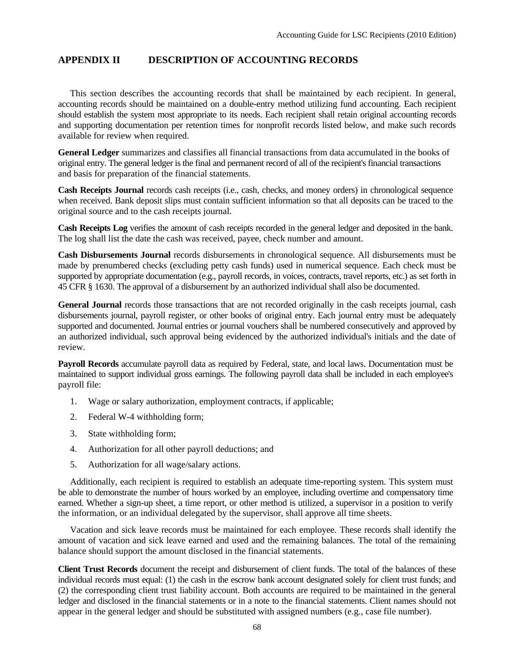# **APPENDIX II DESCRIPTION OF ACCOUNTING RECORDS**

This section describes the accounting records that shall be maintained by each recipient. In general, accounting records should be maintained on a double-entry method utilizing fund accounting. Each recipient should establish the system most appropriate to its needs. Each recipient shall retain original accounting records and supporting documentation per retention times for nonprofit records listed below, and make such records available for review when required.

**General Ledger** summarizes and classifies all financial transactions from data accumulated in the books of original entry. The general ledger is the final and permanent record of all of the recipient's financial transactions and basis for preparation of the financial statements.

**Cash Receipts Journal** records cash receipts (i.e., cash, checks, and money orders) in chronological sequence when received. Bank deposit slips must contain sufficient information so that all deposits can be traced to the original source and to the cash receipts journal.

**Cash Receipts Log** verifies the amount of cash receipts recorded in the general ledger and deposited in the bank. The log shall list the date the cash was received, payee, check number and amount.

**Cash Disbursements Journal** records disbursements in chronological sequence. All disbursements must be made by prenumbered checks (excluding petty cash funds) used in numerical sequence. Each check must be supported by appropriate documentation (e.g., payroll records, in voices, contracts, travel reports, etc.) as set forth in 45 CFR § 1630. The approval of a disbursement by an authorized individual shall also be documented.

General Journal records those transactions that are not recorded originally in the cash receipts journal, cash disbursements journal, payroll register, or other books of original entry. Each journal entry must be adequately supported and documented. Journal entries or journal vouchers shall be numbered consecutively and approved by an authorized individual, such approval being evidenced by the authorized individual's initials and the date of review.

**Payroll Records** accumulate payroll data as required by Federal, state, and local laws. Documentation must be maintained to support individual gross earnings. The following payroll data shall be included in each employee's payroll file:

- 1. Wage or salary authorization, employment contracts, if applicable;
- 2. Federal W-4 withholding form;
- 3. State withholding form;
- 4. Authorization for all other payroll deductions; and
- 5. Authorization for all wage/salary actions.

Additionally, each recipient is required to establish an adequate time-reporting system. This system must be able to demonstrate the number of hours worked by an employee, including overtime and compensatory time earned. Whether a sign-up sheet, a time report, or other method is utilized, a supervisor in a position to verify the information, or an individual delegated by the supervisor, shall approve all time sheets.

Vacation and sick leave records must be maintained for each employee. These records shall identify the amount of vacation and sick leave earned and used and the remaining balances. The total of the remaining balance should support the amount disclosed in the financial statements.

**Client Trust Records** document the receipt and disbursement of client funds. The total of the balances of these individual records must equal: (1) the cash in the escrow bank account designated solely for client trust funds; and (2) the corresponding client trust liability account. Both accounts are required to be maintained in the general ledger and disclosed in the financial statements or in a note to the financial statements. Client names should not appear in the general ledger and should be substituted with assigned numbers (e.g., case file number).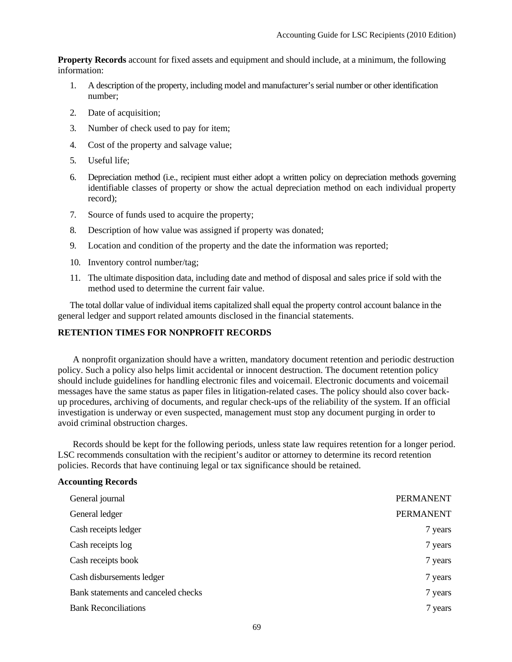**Property Records** account for fixed assets and equipment and should include, at a minimum, the following information:

- 1. A description of the property, including model and manufacturer's serial number or other identification number;
- 2. Date of acquisition;
- 3. Number of check used to pay for item;
- 4. Cost of the property and salvage value;
- 5. Useful life;
- 6. Depreciation method (i.e., recipient must either adopt a written policy on depreciation methods governing identifiable classes of property or show the actual depreciation method on each individual property record);
- 7. Source of funds used to acquire the property;
- 8. Description of how value was assigned if property was donated;
- 9. Location and condition of the property and the date the information was reported;
- 10. Inventory control number/tag;
- 11. The ultimate disposition data, including date and method of disposal and sales price if sold with the method used to determine the current fair value.

The total dollar value of individual items capitalized shall equal the property control account balance in the general ledger and support related amounts disclosed in the financial statements.

#### **RETENTION TIMES FOR NONPROFIT RECORDS**

A nonprofit organization should have a written, mandatory document retention and periodic destruction policy. Such a policy also helps limit accidental or innocent destruction. The document retention policy should include guidelines for handling electronic files and voicemail. Electronic documents and voicemail messages have the same status as paper files in litigation-related cases. The policy should also cover backup procedures, archiving of documents, and regular check-ups of the reliability of the system. If an official investigation is underway or even suspected, management must stop any document purging in order to avoid criminal obstruction charges.

Records should be kept for the following periods, unless state law requires retention for a longer period. LSC recommends consultation with the recipient's auditor or attorney to determine its record retention policies. Records that have continuing legal or tax significance should be retained.

#### **Accounting Records**

| General journal                     | PERMANENT        |
|-------------------------------------|------------------|
| General ledger                      | <b>PERMANENT</b> |
| Cash receipts ledger                | 7 years          |
| Cash receipts log                   | 7 years          |
| Cash receipts book                  | 7 years          |
| Cash disbursements ledger           | 7 years          |
| Bank statements and canceled checks | 7 years          |
| <b>Bank Reconciliations</b>         | 7 years          |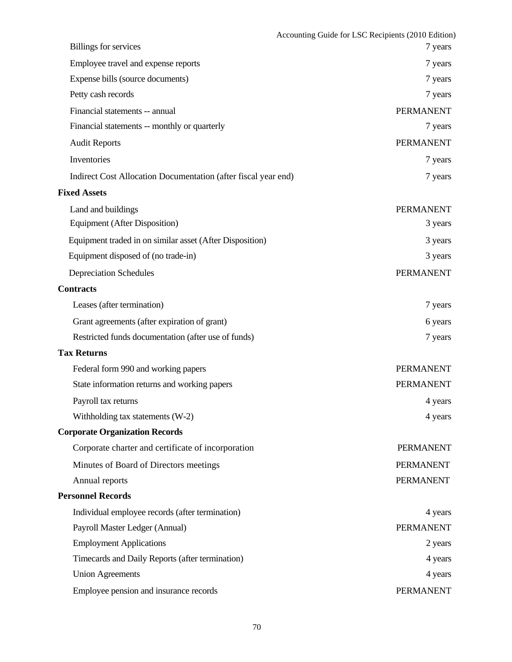|                                                                | Accounting Guide for LSC Recipients (2010 Edition) |
|----------------------------------------------------------------|----------------------------------------------------|
| <b>Billings</b> for services                                   | 7 years                                            |
| Employee travel and expense reports                            | 7 years                                            |
| Expense bills (source documents)                               | 7 years                                            |
| Petty cash records                                             | 7 years                                            |
| Financial statements -- annual                                 | <b>PERMANENT</b>                                   |
| Financial statements -- monthly or quarterly                   | 7 years                                            |
| <b>Audit Reports</b>                                           | <b>PERMANENT</b>                                   |
| Inventories                                                    | 7 years                                            |
| Indirect Cost Allocation Documentation (after fiscal year end) | 7 years                                            |
| <b>Fixed Assets</b>                                            |                                                    |
| Land and buildings                                             | <b>PERMANENT</b>                                   |
| <b>Equipment (After Disposition)</b>                           | 3 years                                            |
| Equipment traded in on similar asset (After Disposition)       | 3 years                                            |
| Equipment disposed of (no trade-in)                            | 3 years                                            |
| <b>Depreciation Schedules</b>                                  | <b>PERMANENT</b>                                   |
| <b>Contracts</b>                                               |                                                    |
| Leases (after termination)                                     | 7 years                                            |
| Grant agreements (after expiration of grant)                   | 6 years                                            |
| Restricted funds documentation (after use of funds)            | 7 years                                            |
| <b>Tax Returns</b>                                             |                                                    |
| Federal form 990 and working papers                            | <b>PERMANENT</b>                                   |
| State information returns and working papers                   | <b>PERMANENT</b>                                   |
| Payroll tax returns                                            | 4 years                                            |
| Withholding tax statements (W-2)                               | 4 years                                            |
| <b>Corporate Organization Records</b>                          |                                                    |
| Corporate charter and certificate of incorporation             | <b>PERMANENT</b>                                   |
| Minutes of Board of Directors meetings                         | <b>PERMANENT</b>                                   |
| Annual reports                                                 | <b>PERMANENT</b>                                   |
| <b>Personnel Records</b>                                       |                                                    |
| Individual employee records (after termination)                | 4 years                                            |
| Payroll Master Ledger (Annual)                                 | <b>PERMANENT</b>                                   |
| <b>Employment Applications</b>                                 | 2 years                                            |
| Timecards and Daily Reports (after termination)                | 4 years                                            |
| <b>Union Agreements</b>                                        | 4 years                                            |
| Employee pension and insurance records                         | <b>PERMANENT</b>                                   |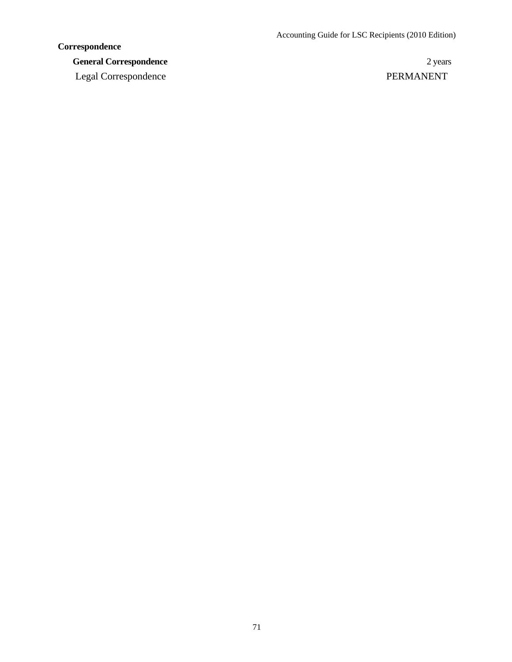## **Correspondence**

# **General Correspondence** 2 years 2 years

Legal Correspondence PERMANENT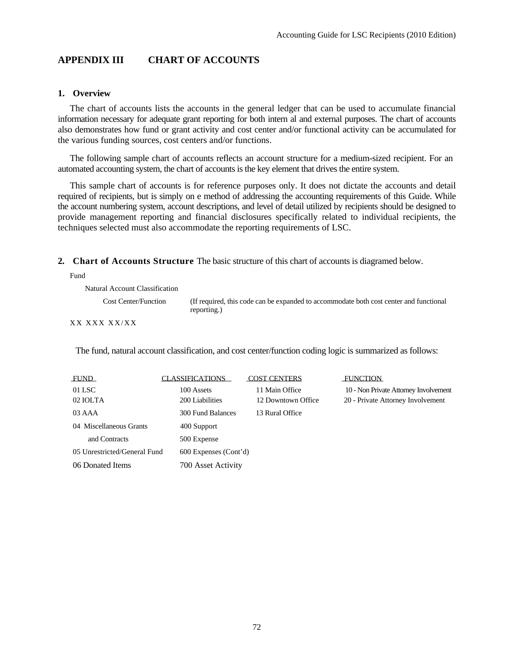### **APPENDIX III CHART OF ACCOUNTS**

#### **1. Overview**

The chart of accounts lists the accounts in the general ledger that can be used to accumulate financial information necessary for adequate grant reporting for both intern al and external purposes. The chart of accounts also demonstrates how fund or grant activity and cost center and/or functional activity can be accumulated for the various funding sources, cost centers and/or functions.

The following sample chart of accounts reflects an account structure for a medium-sized recipient. For an automated accounting system, the chart of accounts is the key element that drives the entire system.

This sample chart of accounts is for reference purposes only. It does not dictate the accounts and detail required of recipients, but is simply on e method of addressing the accounting requirements of this Guide. While the account numbering system, account descriptions, and level of detail utilized by recipients should be designed to provide management reporting and financial disclosures specifically related to individual recipients, the techniques selected must also accommodate the reporting requirements of LSC.

**2. Chart of Accounts Structure** The basic structure of this chart of accounts is diagramed below.

Fund

Natural Account Classification

Cost Center/Function (If required, this code can be expanded to accommodate both cost center and functional reporting.)

#### XX XXX XX/XX

The fund, natural account classification, and cost center/function coding logic is summarized as follows:

| <b>FUND</b>                  | <b>CLASSIFICATIONS</b> | <b>COST CENTERS</b> | <b>FUNCTION</b>                       |
|------------------------------|------------------------|---------------------|---------------------------------------|
| $01$ LSC                     | 100 Assets             | 11 Main Office      | 10 - Non Private Attorney Involvement |
| 02 IOLTA                     | 200 Liabilities        | 12 Downtown Office  | 20 - Private Attorney Involvement     |
| $03$ AAA                     | 300 Fund Balances      | 13 Rural Office     |                                       |
| 04 Miscellaneous Grants      | 400 Support            |                     |                                       |
| and Contracts                | 500 Expense            |                     |                                       |
| 05 Unrestricted/General Fund | 600 Expenses (Cont'd)  |                     |                                       |
| 06 Donated Items             | 700 Asset Activity     |                     |                                       |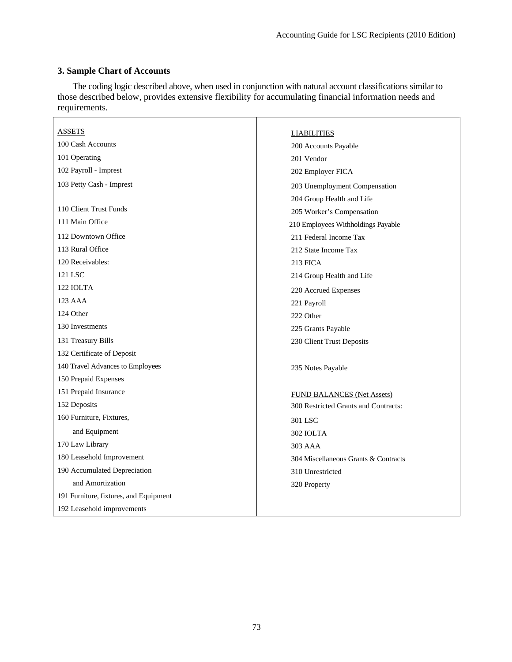$\sim$ 

### **3. Sample Chart of Accounts**

The coding logic described above, when used in conjunction with natural account classifications similar to those described below, provides extensive flexibility for accumulating financial information needs and requirements.

| <b>ASSETS</b>                          | <b>LIABILITIES</b>                   |
|----------------------------------------|--------------------------------------|
| 100 Cash Accounts                      | 200 Accounts Payable                 |
| 101 Operating                          | 201 Vendor                           |
| 102 Payroll - Imprest                  | 202 Employer FICA                    |
| 103 Petty Cash - Imprest               | 203 Unemployment Compensation        |
|                                        | 204 Group Health and Life            |
| 110 Client Trust Funds                 | 205 Worker's Compensation            |
| 111 Main Office                        | 210 Employees Withholdings Payable   |
| 112 Downtown Office                    | 211 Federal Income Tax               |
| 113 Rural Office                       | 212 State Income Tax                 |
| 120 Receivables:                       | 213 FICA                             |
| 121 LSC                                | 214 Group Health and Life            |
| 122 IOLTA                              | 220 Accrued Expenses                 |
| 123 AAA                                | 221 Payroll                          |
| 124 Other                              | 222 Other                            |
| 130 Investments                        | 225 Grants Payable                   |
| 131 Treasury Bills                     | 230 Client Trust Deposits            |
| 132 Certificate of Deposit             |                                      |
| 140 Travel Advances to Employees       | 235 Notes Payable                    |
| 150 Prepaid Expenses                   |                                      |
| 151 Prepaid Insurance                  | <b>FUND BALANCES (Net Assets)</b>    |
| 152 Deposits                           | 300 Restricted Grants and Contracts: |
| 160 Furniture, Fixtures,               | 301 LSC                              |
| and Equipment                          | 302 IOLTA                            |
| 170 Law Library                        | 303 AAA                              |
| 180 Leasehold Improvement              | 304 Miscellaneous Grants & Contracts |
| 190 Accumulated Depreciation           | 310 Unrestricted                     |
| and Amortization                       | 320 Property                         |
| 191 Furniture, fixtures, and Equipment |                                      |
| 192 Leasehold improvements             |                                      |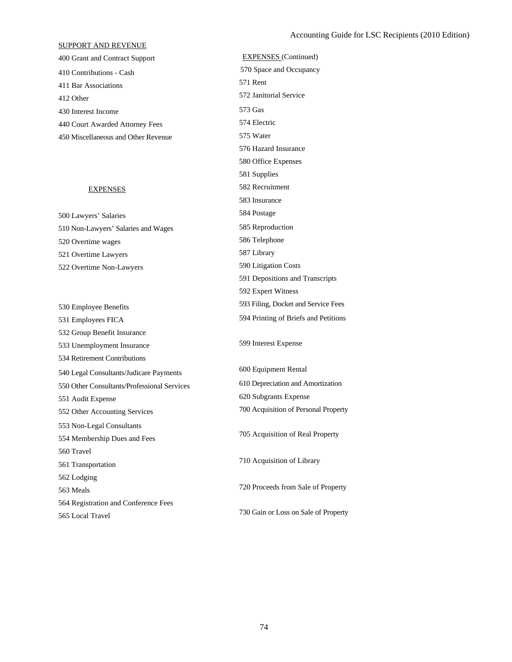#### SUPPORT AND REVENUE

400 Grant and Contract Support 410 Contributions - Cash 411 Bar Associations 412 Other 430 Interest Income 440 Court Awarded Attorney Fees 450 Miscellaneous and Other Revenue

#### **EXPENSES**

500 Lawyers' Salaries 510 Non-Lawyers' Salaries and Wages 520 Overtime wages 521 Overtime Lawyers 522 Overtime Non-Lawyers

530 Employee Benefits 531 Employees FICA 532 Group Benefit Insurance 533 Unemployment Insurance 534 Retirement Contributions 540 Legal Consultants/Judicare Payments 550 Other Consultants/Professional Services 551 Audit Expense 552 Other Accounting Services 553 Non-Legal Consultants 554 Membership Dues and Fees 560 Travel 561 Transportation 562 Lodging 563 Meals 564 Registration and Conference Fees 565 Local Travel

EXPENSES (Continued) 570 Space and Occupancy 571 Rent 572 Janitorial Service 573 Gas 574 Electric 575 Water 576 Hazard Insurance 580 Office Expenses 581 Supplies 582 Recruitment 583 Insurance 584 Postage 585 Reproduction 586 Telephone 587 Library 590 Litigation Costs 591 Depositions and Transcripts 592 Expert Witness 593 Filing, Docket and Service Fees 594 Printing of Briefs and Petitions 599 Interest Expense 600 Equipment Rental 610 Depreciation and Amortization 620 Subgrants Expense 700 Acquisition of Personal Property 705 Acquisition of Real Property 710 Acquisition of Library 720 Proceeds from Sale of Property

730 Gain or Loss on Sale of Property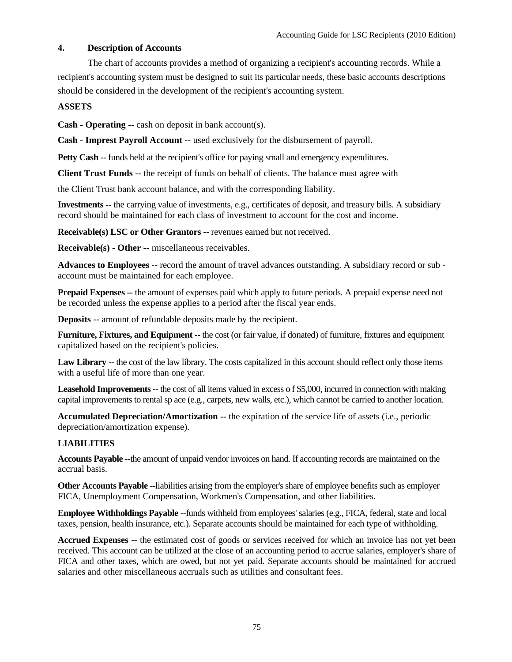### **4. Description of Accounts**

The chart of accounts provides a method of organizing a recipient's accounting records. While a recipient's accounting system must be designed to suit its particular needs, these basic accounts descriptions should be considered in the development of the recipient's accounting system.

### **ASSETS**

**Cash - Operating --** cash on deposit in bank account(s).

**Cash - Imprest Payroll Account --** used exclusively for the disbursement of payroll.

**Petty Cash --** funds held at the recipient's office for paying small and emergency expenditures.

**Client Trust Funds --** the receipt of funds on behalf of clients. The balance must agree with

the Client Trust bank account balance, and with the corresponding liability.

**Investments --** the carrying value of investments, e.g., certificates of deposit, and treasury bills. A subsidiary record should be maintained for each class of investment to account for the cost and income.

**Receivable(s) LSC or Other Grantors --** revenues earned but not received.

**Receivable(s) - Other --** miscellaneous receivables.

**Advances to Employees --** record the amount of travel advances outstanding. A subsidiary record or sub account must be maintained for each employee.

**Prepaid Expenses --** the amount of expenses paid which apply to future periods. A prepaid expense need not be recorded unless the expense applies to a period after the fiscal year ends.

**Deposits --** amount of refundable deposits made by the recipient.

**Furniture, Fixtures, and Equipment --** the cost (or fair value, if donated) of furniture, fixtures and equipment capitalized based on the recipient's policies.

**Law Library --** the cost of the law library. The costs capitalized in this account should reflect only those items with a useful life of more than one year.

**Leasehold Improvements --** the cost of all items valued in excess o f \$5,000, incurred in connection with making capital improvements to rental sp ace (e.g., carpets, new walls, etc.), which cannot be carried to another location.

**Accumulated Depreciation/Amortization --** the expiration of the service life of assets (i.e., periodic depreciation/amortization expense).

### **LIABILITIES**

**Accounts Payable** --the amount of unpaid vendor invoices on hand. If accounting records are maintained on the accrual basis.

**Other Accounts Payable** --liabilities arising from the employer's share of employee benefits such as employer FICA, Unemployment Compensation, Workmen's Compensation, and other liabilities.

**Employee Withholdings Payable** --funds withheld from employees' salaries (e.g., FICA, federal, state and local taxes, pension, health insurance, etc.). Separate accounts should be maintained for each type of withholding.

**Accrued Expenses --** the estimated cost of goods or services received for which an invoice has not yet been received. This account can be utilized at the close of an accounting period to accrue salaries, employer's share of FICA and other taxes, which are owed, but not yet paid. Separate accounts should be maintained for accrued salaries and other miscellaneous accruals such as utilities and consultant fees.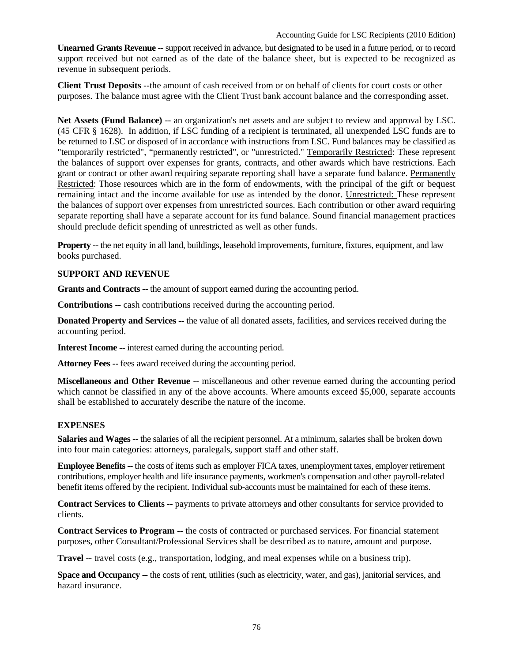Accounting Guide for LSC Recipients (2010 Edition)

**Unearned Grants Revenue --** support received in advance, but designated to be used in a future period, or to record support received but not earned as of the date of the balance sheet, but is expected to be recognized as revenue in subsequent periods.

**Client Trust Deposits** --the amount of cash received from or on behalf of clients for court costs or other purposes. The balance must agree with the Client Trust bank account balance and the corresponding asset.

**Net Assets (Fund Balance) --** an organization's net assets and are subject to review and approval by LSC. (45 CFR § 1628). In addition, if LSC funding of a recipient is terminated, all unexpended LSC funds are to be returned to LSC or disposed of in accordance with instructions from LSC. Fund balances may be classified as "temporarily restricted", "permanently restricted", or "unrestricted." Temporarily Restricted: These represent the balances of support over expenses for grants, contracts, and other awards which have restrictions. Each grant or contract or other award requiring separate reporting shall have a separate fund balance. Permanently Restricted: Those resources which are in the form of endowments, with the principal of the gift or bequest remaining intact and the income available for use as intended by the donor. Unrestricted: These represent the balances of support over expenses from unrestricted sources. Each contribution or other award requiring separate reporting shall have a separate account for its fund balance. Sound financial management practices should preclude deficit spending of unrestricted as well as other funds.

**Property --** the net equity in all land, buildings, leasehold improvements, furniture, fixtures, equipment, and law books purchased.

### **SUPPORT AND REVENUE**

**Grants and Contracts --** the amount of support earned during the accounting period.

**Contributions --** cash contributions received during the accounting period.

**Donated Property and Services --** the value of all donated assets, facilities, and services received during the accounting period.

**Interest Income --** interest earned during the accounting period.

**Attorney Fees --** fees award received during the accounting period.

**Miscellaneous and Other Revenue --** miscellaneous and other revenue earned during the accounting period which cannot be classified in any of the above accounts. Where amounts exceed \$5,000, separate accounts shall be established to accurately describe the nature of the income.

### **EXPENSES**

**Salaries and Wages --** the salaries of all the recipient personnel. At a minimum, salaries shall be broken down into four main categories: attorneys, paralegals, support staff and other staff.

**Employee Benefits --** the costs of items such as employer FICA taxes, unemployment taxes, employer retirement contributions, employer health and life insurance payments, workmen's compensation and other payroll-related benefit items offered by the recipient. Individual sub-accounts must be maintained for each of these items.

**Contract Services to Clients --** payments to private attorneys and other consultants for service provided to clients.

**Contract Services to Program --** the costs of contracted or purchased services. For financial statement purposes, other Consultant/Professional Services shall be described as to nature, amount and purpose.

**Travel --** travel costs (e.g., transportation, lodging, and meal expenses while on a business trip).

**Space and Occupancy --** the costs of rent, utilities (such as electricity, water, and gas), janitorial services, and hazard insurance.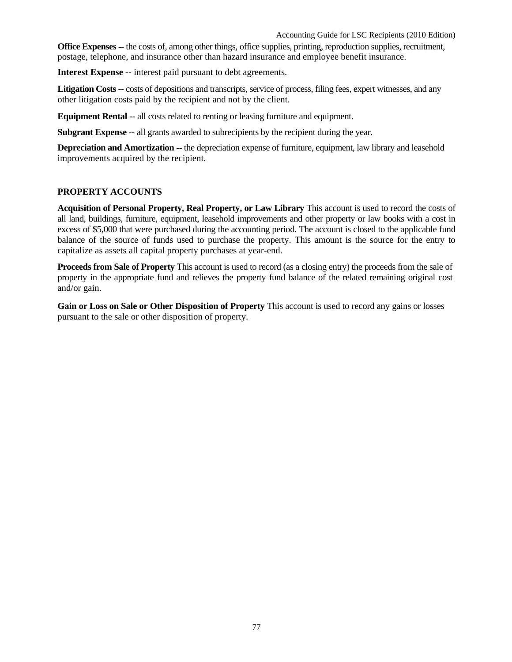Accounting Guide for LSC Recipients (2010 Edition)

**Office Expenses --** the costs of, among other things, office supplies, printing, reproduction supplies, recruitment, postage, telephone, and insurance other than hazard insurance and employee benefit insurance.

**Interest Expense --** interest paid pursuant to debt agreements.

Litigation Costs -- costs of depositions and transcripts, service of process, filing fees, expert witnesses, and any other litigation costs paid by the recipient and not by the client.

**Equipment Rental --** all costs related to renting or leasing furniture and equipment.

**Subgrant Expense --** all grants awarded to subrecipients by the recipient during the year.

**Depreciation and Amortization --** the depreciation expense of furniture, equipment, law library and leasehold improvements acquired by the recipient.

### **PROPERTY ACCOUNTS**

**Acquisition of Personal Property, Real Property, or Law Library** This account is used to record the costs of all land, buildings, furniture, equipment, leasehold improvements and other property or law books with a cost in excess of \$5,000 that were purchased during the accounting period. The account is closed to the applicable fund balance of the source of funds used to purchase the property. This amount is the source for the entry to capitalize as assets all capital property purchases at year-end.

**Proceeds from Sale of Property** This account is used to record (as a closing entry) the proceeds from the sale of property in the appropriate fund and relieves the property fund balance of the related remaining original cost and/or gain.

**Gain or Loss on Sale or Other Disposition of Property** This account is used to record any gains or losses pursuant to the sale or other disposition of property.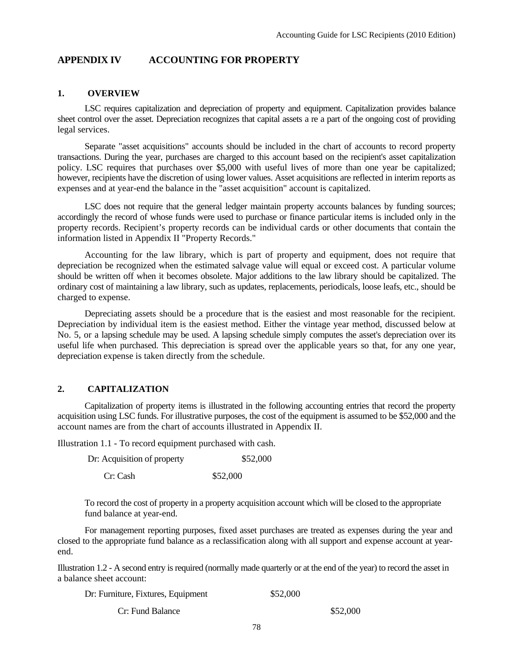### **APPENDIX IV ACCOUNTING FOR PROPERTY**

#### **1. OVERVIEW**

LSC requires capitalization and depreciation of property and equipment. Capitalization provides balance sheet control over the asset. Depreciation recognizes that capital assets a re a part of the ongoing cost of providing legal services.

Separate "asset acquisitions" accounts should be included in the chart of accounts to record property transactions. During the year, purchases are charged to this account based on the recipient's asset capitalization policy. LSC requires that purchases over \$5,000 with useful lives of more than one year be capitalized; however, recipients have the discretion of using lower values. Asset acquisitions are reflected in interim reports as expenses and at year-end the balance in the "asset acquisition" account is capitalized.

LSC does not require that the general ledger maintain property accounts balances by funding sources; accordingly the record of whose funds were used to purchase or finance particular items is included only in the property records. Recipient's property records can be individual cards or other documents that contain the information listed in Appendix II "Property Records."

Accounting for the law library, which is part of property and equipment, does not require that depreciation be recognized when the estimated salvage value will equal or exceed cost. A particular volume should be written off when it becomes obsolete. Major additions to the law library should be capitalized. The ordinary cost of maintaining a law library, such as updates, replacements, periodicals, loose leafs, etc., should be charged to expense.

Depreciating assets should be a procedure that is the easiest and most reasonable for the recipient. Depreciation by individual item is the easiest method. Either the vintage year method, discussed below at No. 5, or a lapsing schedule may be used. A lapsing schedule simply computes the asset's depreciation over its useful life when purchased. This depreciation is spread over the applicable years so that, for any one year, depreciation expense is taken directly from the schedule.

### **2. CAPITALIZATION**

Capitalization of property items is illustrated in the following accounting entries that record the property acquisition using LSC funds. For illustrative purposes, the cost of the equipment is assumed to be \$52,000 and the account names are from the chart of accounts illustrated in Appendix II.

Illustration 1.1 - To record equipment purchased with cash.

| Dr: Acquisition of property | \$52,000 |
|-----------------------------|----------|
| Cr: Cash                    | \$52,000 |

To record the cost of property in a property acquisition account which will be closed to the appropriate fund balance at year-end.

For management reporting purposes, fixed asset purchases are treated as expenses during the year and closed to the appropriate fund balance as a reclassification along with all support and expense account at yearend.

Illustration 1.2 - A second entry is required (normally made quarterly or at the end of the year) to record the asset in a balance sheet account:

| Dr: Furniture, Fixtures, Equipment | \$52,000 |
|------------------------------------|----------|
| Cr: Fund Balance                   | \$52,000 |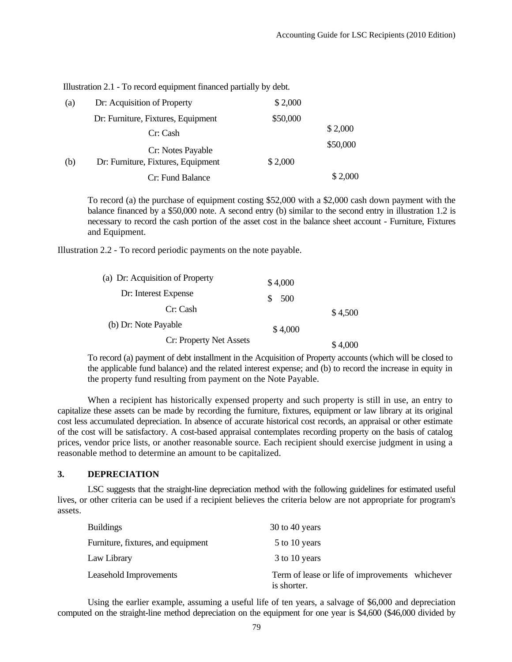Illustration 2.1 - To record equipment financed partially by debt.

| (a) | Dr: Acquisition of Property                    | \$2,000  |          |
|-----|------------------------------------------------|----------|----------|
|     | Dr: Furniture, Fixtures, Equipment<br>Cr: Cash | \$50,000 | \$2,000  |
|     | Cr: Notes Payable                              |          | \$50,000 |
| (b) | Dr: Furniture, Fixtures, Equipment             | \$2,000  |          |
|     | Cr: Fund Balance                               |          | \$2,000  |

To record (a) the purchase of equipment costing \$52,000 with a \$2,000 cash down payment with the balance financed by a \$50,000 note. A second entry (b) similar to the second entry in illustration 1.2 is necessary to record the cash portion of the asset cost in the balance sheet account - Furniture, Fixtures and Equipment.

Illustration 2.2 - To record periodic payments on the note payable.

| (a) Dr: Acquisition of Property | \$4,000 |         |
|---------------------------------|---------|---------|
| Dr: Interest Expense            | \$500   |         |
| Cr: Cash                        |         | \$4,500 |
| (b) Dr: Note Payable            | \$4,000 |         |
| Cr: Property Net Assets         |         | \$4,000 |

To record (a) payment of debt installment in the Acquisition of Property accounts (which will be closed to the applicable fund balance) and the related interest expense; and (b) to record the increase in equity in the property fund resulting from payment on the Note Payable.

When a recipient has historically expensed property and such property is still in use, an entry to capitalize these assets can be made by recording the furniture, fixtures, equipment or law library at its original cost less accumulated depreciation. In absence of accurate historical cost records, an appraisal or other estimate of the cost will be satisfactory. A cost-based appraisal contemplates recording property on the basis of catalog prices, vendor price lists, or another reasonable source. Each recipient should exercise judgment in using a reasonable method to determine an amount to be capitalized.

### **3. DEPRECIATION**

LSC suggests that the straight-line depreciation method with the following guidelines for estimated useful lives, or other criteria can be used if a recipient believes the criteria below are not appropriate for program's assets.

| <b>Buildings</b>                   | $30$ to 40 years                                               |
|------------------------------------|----------------------------------------------------------------|
| Furniture, fixtures, and equipment | 5 to 10 years                                                  |
| Law Library                        | 3 to 10 years                                                  |
| Leasehold Improvements             | Term of lease or life of improvements whichever<br>is shorter. |

Using the earlier example, assuming a useful life of ten years, a salvage of \$6,000 and depreciation computed on the straight-line method depreciation on the equipment for one year is \$4,600 (\$46,000 divided by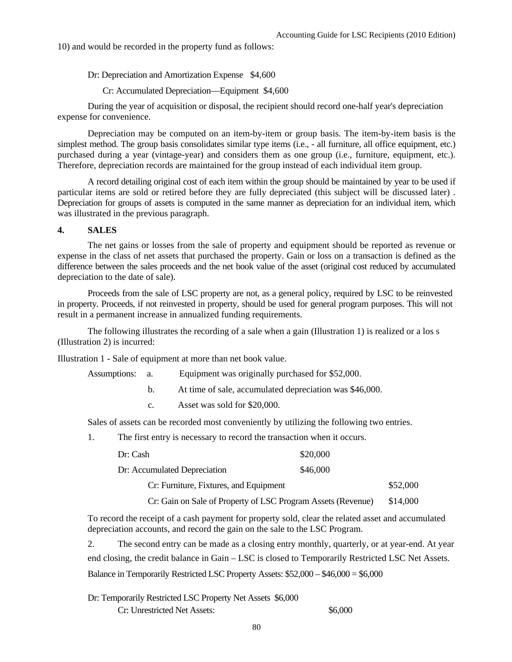10) and would be recorded in the property fund as follows:

Dr: Depreciation and Amortization Expense \$4,600

Cr: Accumulated Depreciation—Equipment \$4,600

During the year of acquisition or disposal, the recipient should record one-half year's depreciation expense for convenience.

Depreciation may be computed on an item-by-item or group basis. The item-by-item basis is the simplest method. The group basis consolidates similar type items (i.e., - all furniture, all office equipment, etc.) purchased during a year (vintage-year) and considers them as one group (i.e., furniture, equipment, etc.). Therefore, depreciation records are maintained for the group instead of each individual item group.

A record detailing original cost of each item within the group should be maintained by year to be used if particular items are sold or retired before they are fully depreciated (this subject will be discussed later) . Depreciation for groups of assets is computed in the same manner as depreciation for an individual item, which was illustrated in the previous paragraph.

#### **4. SALES**

The net gains or losses from the sale of property and equipment should be reported as revenue or expense in the class of net assets that purchased the property. Gain or loss on a transaction is defined as the difference between the sales proceeds and the net book value of the asset (original cost reduced by accumulated depreciation to the date of sale).

Proceeds from the sale of LSC property are not, as a general policy, required by LSC to be reinvested in property. Proceeds, if not reinvested in property, should be used for general program purposes. This will not result in a permanent increase in annualized funding requirements.

The following illustrates the recording of a sale when a gain (Illustration 1) is realized or a los s (Illustration 2) is incurred:

Illustration 1 - Sale of equipment at more than net book value.

- Assumptions: a. Equipment was originally purchased for \$52,000.
	- b. At time of sale, accumulated depreciation was \$46,000.
	- c. Asset was sold for \$20,000.

Sales of assets can be recorded most conveniently by utilizing the following two entries.

1. The first entry is necessary to record the transaction when it occurs.

| Dr: Cash                                 |                                                              | \$20,000 |          |
|------------------------------------------|--------------------------------------------------------------|----------|----------|
| \$46,000<br>Dr: Accumulated Depreciation |                                                              |          |          |
|                                          | Cr: Furniture, Fixtures, and Equipment                       |          | \$52,000 |
|                                          | Cr: Gain on Sale of Property of LSC Program Assets (Revenue) |          | \$14,000 |

To record the receipt of a cash payment for property sold, clear the related asset and accumulated depreciation accounts, and record the gain on the sale to the LSC Program.

2. The second entry can be made as a closing entry monthly, quarterly, or at year-end. At year end closing, the credit balance in Gain – LSC is closed to Temporarily Restricted LSC Net Assets. Balance in Temporarily Restricted LSC Property Assets: \$52,000 – \$46,000 = \$6,000

Dr: Temporarily Restricted LSC Property Net Assets \$6,000

Cr: Unrestricted Net Assets: \$6,000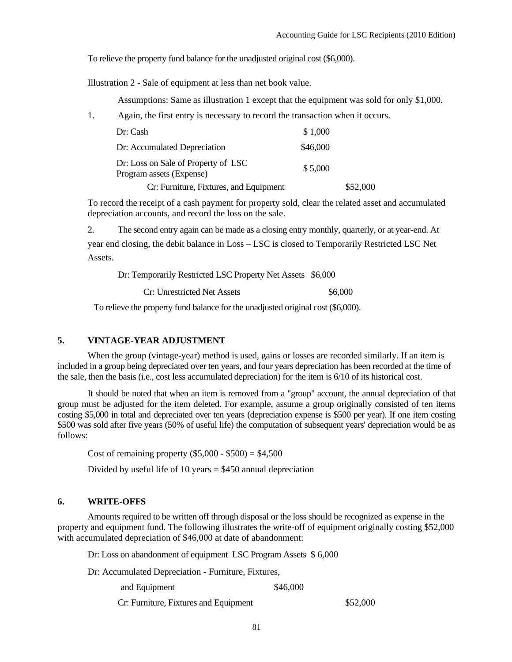To relieve the property fund balance for the unadjusted original cost (\$6,000).

Illustration 2 - Sale of equipment at less than net book value.

Assumptions: Same as illustration 1 except that the equipment was sold for only \$1,000.

1. Again, the first entry is necessary to record the transaction when it occurs.

| Dr: Cash                                                        | \$1,000  |          |
|-----------------------------------------------------------------|----------|----------|
| Dr: Accumulated Depreciation                                    | \$46,000 |          |
| Dr: Loss on Sale of Property of LSC<br>Program assets (Expense) | \$5,000  |          |
| Cr: Furniture, Fixtures, and Equipment                          |          | \$52,000 |

To record the receipt of a cash payment for property sold, clear the related asset and accumulated depreciation accounts, and record the loss on the sale.

2. The second entry again can be made as a closing entry monthly, quarterly, or at year-end. At year end closing, the debit balance in Loss – LSC is closed to Temporarily Restricted LSC Net Assets.

Dr: Temporarily Restricted LSC Property Net Assets \$6,000

Cr: Unrestricted Net Assets \$6,000

To relieve the property fund balance for the unadjusted original cost (\$6,000).

### **5. VINTAGE-YEAR ADJUSTMENT**

When the group (vintage-year) method is used, gains or losses are recorded similarly. If an item is included in a group being depreciated over ten years, and four years depreciation has been recorded at the time of the sale, then the basis (i.e., cost less accumulated depreciation) for the item is 6/10 of its historical cost.

It should be noted that when an item is removed from a "group" account, the annual depreciation of that group must be adjusted for the item deleted. For example, assume a group originally consisted of ten items costing \$5,000 in total and depreciated over ten years (depreciation expense is \$500 per year). If one item costing \$500 was sold after five years (50% of useful life) the computation of subsequent years' depreciation would be as follows:

Cost of remaining property  $(\$5,000 - \$500) = \$4,500$ 

Divided by useful life of 10 years  $= $450$  annual depreciation

### **6. WRITE-OFFS**

Amounts required to be written off through disposal or the loss should be recognized as expense in the property and equipment fund. The following illustrates the write-off of equipment originally costing \$52,000 with accumulated depreciation of \$46,000 at date of abandonment:

Dr: Loss on abandonment of equipment LSC Program Assets \$ 6,000

Dr: Accumulated Depreciation - Furniture, Fixtures,

and Equipment \$46,000

Cr: Furniture, Fixtures and Equipment  $$52,000$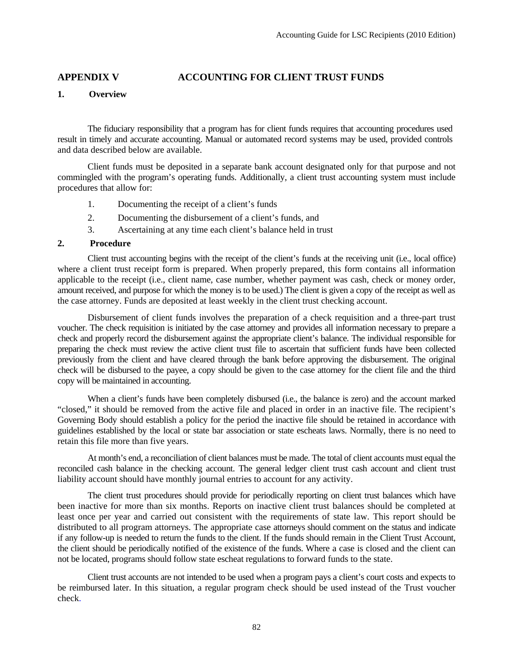### **APPENDIX V ACCOUNTING FOR CLIENT TRUST FUNDS**

#### **1. Overview**

The fiduciary responsibility that a program has for client funds requires that accounting procedures used result in timely and accurate accounting. Manual or automated record systems may be used, provided controls and data described below are available.

Client funds must be deposited in a separate bank account designated only for that purpose and not commingled with the program's operating funds. Additionally, a client trust accounting system must include procedures that allow for:

- 1. Documenting the receipt of a client's funds
- 2. Documenting the disbursement of a client's funds, and
- 3. Ascertaining at any time each client's balance held in trust

#### **2. Procedure**

Client trust accounting begins with the receipt of the client's funds at the receiving unit (i.e., local office) where a client trust receipt form is prepared. When properly prepared, this form contains all information applicable to the receipt (i.e., client name, case number, whether payment was cash, check or money order, amount received, and purpose for which the money is to be used.) The client is given a copy of the receipt as well as the case attorney. Funds are deposited at least weekly in the client trust checking account.

Disbursement of client funds involves the preparation of a check requisition and a three-part trust voucher. The check requisition is initiated by the case attorney and provides all information necessary to prepare a check and properly record the disbursement against the appropriate client's balance. The individual responsible for preparing the check must review the active client trust file to ascertain that sufficient funds have been collected previously from the client and have cleared through the bank before approving the disbursement. The original check will be disbursed to the payee, a copy should be given to the case attorney for the client file and the third copy will be maintained in accounting.

When a client's funds have been completely disbursed (i.e., the balance is zero) and the account marked "closed," it should be removed from the active file and placed in order in an inactive file. The recipient's Governing Body should establish a policy for the period the inactive file should be retained in accordance with guidelines established by the local or state bar association or state escheats laws. Normally, there is no need to retain this file more than five years.

At month's end, a reconciliation of client balances must be made. The total of client accounts must equal the reconciled cash balance in the checking account. The general ledger client trust cash account and client trust liability account should have monthly journal entries to account for any activity.

The client trust procedures should provide for periodically reporting on client trust balances which have been inactive for more than six months. Reports on inactive client trust balances should be completed at least once per year and carried out consistent with the requirements of state law. This report should be distributed to all program attorneys. The appropriate case attorneys should comment on the status and indicate if any follow-up is needed to return the funds to the client. If the funds should remain in the Client Trust Account, the client should be periodically notified of the existence of the funds. Where a case is closed and the client can not be located, programs should follow state escheat regulations to forward funds to the state.

Client trust accounts are not intended to be used when a program pays a client's court costs and expects to be reimbursed later. In this situation, a regular program check should be used instead of the Trust voucher check.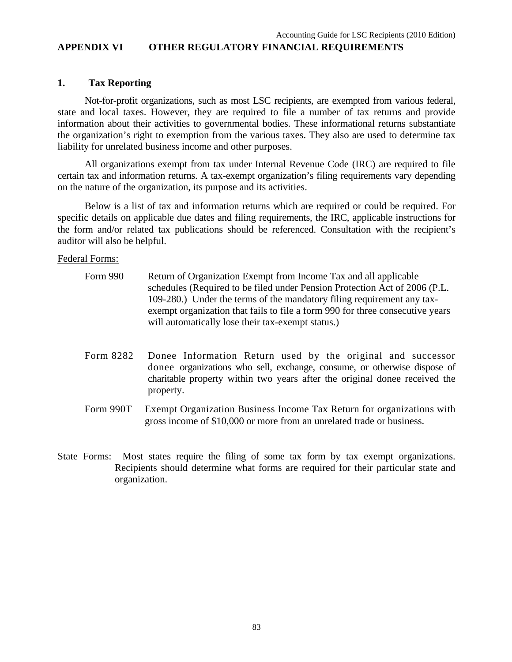### Accounting Guide for LSC Recipients (2010 Edition) **APPENDIX VI OTHER REGULATORY FINANCIAL REQUIREMENTS**

### **1. Tax Reporting**

Not-for-profit organizations, such as most LSC recipients, are exempted from various federal, state and local taxes. However, they are required to file a number of tax returns and provide information about their activities to governmental bodies. These informational returns substantiate the organization's right to exemption from the various taxes. They also are used to determine tax liability for unrelated business income and other purposes.

All organizations exempt from tax under Internal Revenue Code (IRC) are required to file certain tax and information returns. A tax-exempt organization's filing requirements vary depending on the nature of the organization, its purpose and its activities.

Below is a list of tax and information returns which are required or could be required. For specific details on applicable due dates and filing requirements, the IRC, applicable instructions for the form and/or related tax publications should be referenced. Consultation with the recipient's auditor will also be helpful.

Federal Forms:

| <b>Form 990</b> | Return of Organization Exempt from Income Tax and all applicable<br>schedules (Required to be filed under Pension Protection Act of 2006 (P.L.<br>109-280.) Under the terms of the mandatory filing requirement any tax-<br>exempt organization that fails to file a form 990 for three consecutive years<br>will automatically lose their tax-exempt status.) |
|-----------------|----------------------------------------------------------------------------------------------------------------------------------------------------------------------------------------------------------------------------------------------------------------------------------------------------------------------------------------------------------------|
| Form 8282       | Donee Information Return used by the original and successor                                                                                                                                                                                                                                                                                                    |

- donee organizations who sell, exchange, consume, or otherwise dispose of charitable property within two years after the original donee received the property.
- Form 990T Exempt Organization Business Income Tax Return for organizations with gross income of \$10,000 or more from an unrelated trade or business.
- State Forms: Most states require the filing of some tax form by tax exempt organizations. Recipients should determine what forms are required for their particular state and organization.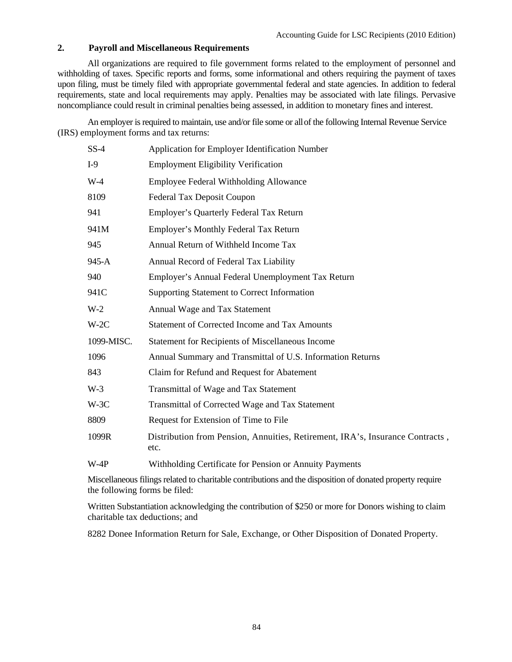### **2. Payroll and Miscellaneous Requirements**

All organizations are required to file government forms related to the employment of personnel and withholding of taxes. Specific reports and forms, some informational and others requiring the payment of taxes upon filing, must be timely filed with appropriate governmental federal and state agencies. In addition to federal requirements, state and local requirements may apply. Penalties may be associated with late filings. Pervasive noncompliance could result in criminal penalties being assessed, in addition to monetary fines and interest.

An employer is required to maintain, use and/or file some or allof the following Internal Revenue Service (IRS) employment forms and tax returns:

| $SS-4$     | Application for Employer Identification Number                                        |
|------------|---------------------------------------------------------------------------------------|
| $I-9$      | <b>Employment Eligibility Verification</b>                                            |
| $W-4$      | Employee Federal Withholding Allowance                                                |
| 8109       | Federal Tax Deposit Coupon                                                            |
| 941        | <b>Employer's Quarterly Federal Tax Return</b>                                        |
| 941M       | <b>Employer's Monthly Federal Tax Return</b>                                          |
| 945        | Annual Return of Withheld Income Tax                                                  |
| $945-A$    | Annual Record of Federal Tax Liability                                                |
| 940        | Employer's Annual Federal Unemployment Tax Return                                     |
| 941C       | Supporting Statement to Correct Information                                           |
| $W-2$      | Annual Wage and Tax Statement                                                         |
| $W-2C$     | <b>Statement of Corrected Income and Tax Amounts</b>                                  |
| 1099-MISC. | Statement for Recipients of Miscellaneous Income                                      |
| 1096       | Annual Summary and Transmittal of U.S. Information Returns                            |
| 843        | Claim for Refund and Request for Abatement                                            |
| $W-3$      | Transmittal of Wage and Tax Statement                                                 |
| $W-3C$     | Transmittal of Corrected Wage and Tax Statement                                       |
| 8809       | Request for Extension of Time to File                                                 |
| 1099R      | Distribution from Pension, Annuities, Retirement, IRA's, Insurance Contracts,<br>etc. |
| W-4P       | Withholding Certificate for Pension or Annuity Payments                               |

Miscellaneous filings related to charitable contributions and the disposition of donated property require the following forms be filed:

Written Substantiation acknowledging the contribution of \$250 or more for Donors wishing to claim charitable tax deductions; and

8282 Donee Information Return for Sale, Exchange, or Other Disposition of Donated Property.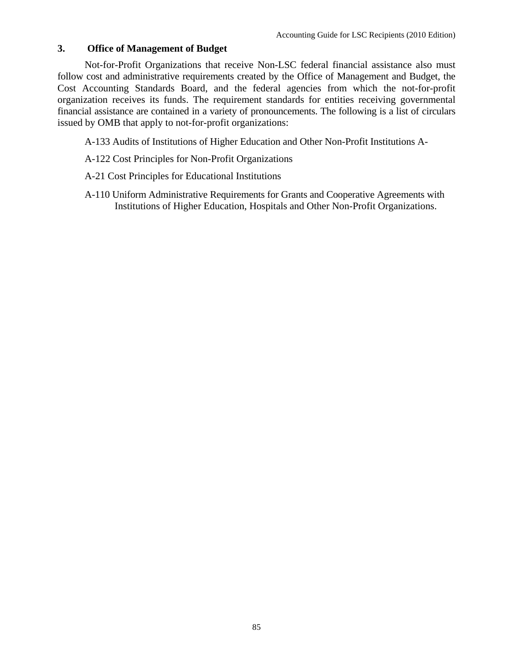## **3. Office of Management of Budget**

Not-for-Profit Organizations that receive Non-LSC federal financial assistance also must follow cost and administrative requirements created by the Office of Management and Budget, the Cost Accounting Standards Board, and the federal agencies from which the not-for-profit organization receives its funds. The requirement standards for entities receiving governmental financial assistance are contained in a variety of pronouncements. The following is a list of circulars issued by OMB that apply to not-for-profit organizations:

A-133 Audits of Institutions of Higher Education and Other Non-Profit Institutions A-

- A-122 Cost Principles for Non-Profit Organizations
- A-21 Cost Principles for Educational Institutions
- A-110 Uniform Administrative Requirements for Grants and Cooperative Agreements with Institutions of Higher Education, Hospitals and Other Non-Profit Organizations.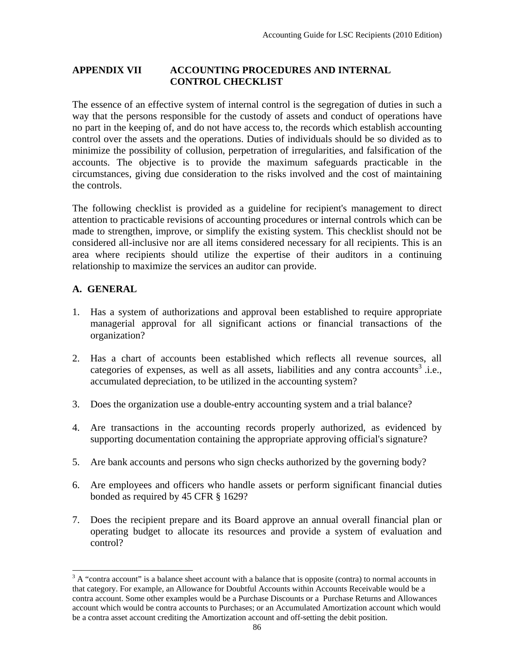## **APPENDIX VII ACCOUNTING PROCEDURES AND INTERNAL CONTROL CHECKLIST**

The essence of an effective system of internal control is the segregation of duties in such a way that the persons responsible for the custody of assets and conduct of operations have no part in the keeping of, and do not have access to, the records which establish accounting control over the assets and the operations. Duties of individuals should be so divided as to minimize the possibility of collusion, perpetration of irregularities, and falsification of the accounts. The objective is to provide the maximum safeguards practicable in the circumstances, giving due consideration to the risks involved and the cost of maintaining the controls.

The following checklist is provided as a guideline for recipient's management to direct attention to practicable revisions of accounting procedures or internal controls which can be made to strengthen, improve, or simplify the existing system. This checklist should not be considered all-inclusive nor are all items considered necessary for all recipients. This is an area where recipients should utilize the expertise of their auditors in a continuing relationship to maximize the services an auditor can provide.

## **A. GENERAL**

 $\overline{a}$ 

- 1. Has a system of authorizations and approval been established to require appropriate managerial approval for all significant actions or financial transactions of the organization?
- 2. Has a chart of accounts been established which reflects all revenue sources, all categories of expenses, as well as all assets, liabilities and any contra accounts<sup>3</sup> .i.e., accumulated depreciation, to be utilized in the accounting system?
- 3. Does the organization use a double-entry accounting system and a trial balance?
- 4. Are transactions in the accounting records properly authorized, as evidenced by supporting documentation containing the appropriate approving official's signature?
- 5. Are bank accounts and persons who sign checks authorized by the governing body?
- 6. Are employees and officers who handle assets or perform significant financial duties bonded as required by 45 CFR § 1629?
- 7. Does the recipient prepare and its Board approve an annual overall financial plan or operating budget to allocate its resources and provide a system of evaluation and control?

 $3 A$  "contra account" is a balance sheet account with a balance that is opposite (contra) to normal accounts in that category. For example, an Allowance for Doubtful Accounts within Accounts Receivable would be a contra account. Some other examples would be a Purchase Discounts or a Purchase Returns and Allowances account which would be contra accounts to Purchases; or an Accumulated Amortization account which would be a contra asset account crediting the Amortization account and off-setting the debit position.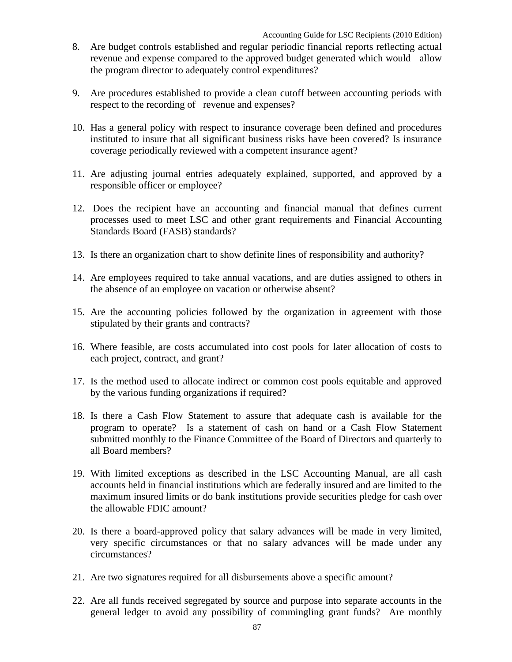- 8. Are budget controls established and regular periodic financial reports reflecting actual revenue and expense compared to the approved budget generated which would allow the program director to adequately control expenditures?
- 9. Are procedures established to provide a clean cutoff between accounting periods with respect to the recording of revenue and expenses?
- 10. Has a general policy with respect to insurance coverage been defined and procedures instituted to insure that all significant business risks have been covered? Is insurance coverage periodically reviewed with a competent insurance agent?
- 11. Are adjusting journal entries adequately explained, supported, and approved by a responsible officer or employee?
- 12. Does the recipient have an accounting and financial manual that defines current processes used to meet LSC and other grant requirements and Financial Accounting Standards Board (FASB) standards?
- 13. Is there an organization chart to show definite lines of responsibility and authority?
- 14. Are employees required to take annual vacations, and are duties assigned to others in the absence of an employee on vacation or otherwise absent?
- 15. Are the accounting policies followed by the organization in agreement with those stipulated by their grants and contracts?
- 16. Where feasible, are costs accumulated into cost pools for later allocation of costs to each project, contract, and grant?
- 17. Is the method used to allocate indirect or common cost pools equitable and approved by the various funding organizations if required?
- 18. Is there a Cash Flow Statement to assure that adequate cash is available for the program to operate? Is a statement of cash on hand or a Cash Flow Statement submitted monthly to the Finance Committee of the Board of Directors and quarterly to all Board members?
- 19. With limited exceptions as described in the LSC Accounting Manual, are all cash accounts held in financial institutions which are federally insured and are limited to the maximum insured limits or do bank institutions provide securities pledge for cash over the allowable FDIC amount?
- 20. Is there a board-approved policy that salary advances will be made in very limited, very specific circumstances or that no salary advances will be made under any circumstances?
- 21. Are two signatures required for all disbursements above a specific amount?
- 22. Are all funds received segregated by source and purpose into separate accounts in the general ledger to avoid any possibility of commingling grant funds? Are monthly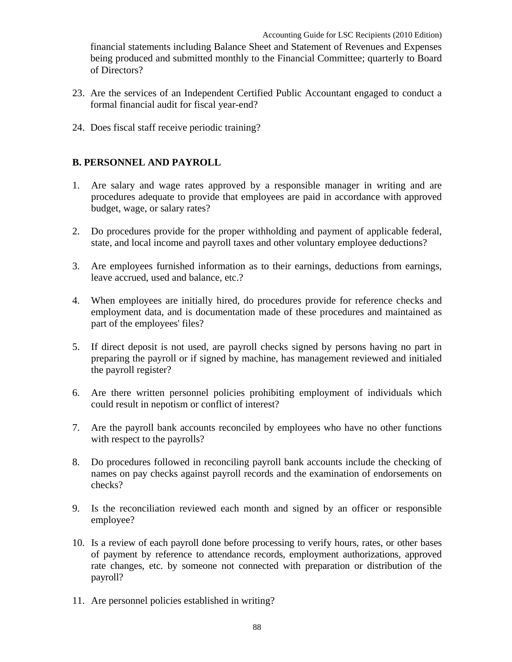financial statements including Balance Sheet and Statement of Revenues and Expenses being produced and submitted monthly to the Financial Committee; quarterly to Board of Directors?

- 23. Are the services of an Independent Certified Public Accountant engaged to conduct a formal financial audit for fiscal year-end?
- 24. Does fiscal staff receive periodic training?

### **B. PERSONNEL AND PAYROLL**

- 1. Are salary and wage rates approved by a responsible manager in writing and are procedures adequate to provide that employees are paid in accordance with approved budget, wage, or salary rates?
- 2. Do procedures provide for the proper withholding and payment of applicable federal, state, and local income and payroll taxes and other voluntary employee deductions?
- 3. Are employees furnished information as to their earnings, deductions from earnings, leave accrued, used and balance, etc.?
- 4. When employees are initially hired, do procedures provide for reference checks and employment data, and is documentation made of these procedures and maintained as part of the employees' files?
- 5. If direct deposit is not used, are payroll checks signed by persons having no part in preparing the payroll or if signed by machine, has management reviewed and initialed the payroll register?
- 6. Are there written personnel policies prohibiting employment of individuals which could result in nepotism or conflict of interest?
- 7. Are the payroll bank accounts reconciled by employees who have no other functions with respect to the payrolls?
- 8. Do procedures followed in reconciling payroll bank accounts include the checking of names on pay checks against payroll records and the examination of endorsements on checks?
- 9. Is the reconciliation reviewed each month and signed by an officer or responsible employee?
- 10. Is a review of each payroll done before processing to verify hours, rates, or other bases of payment by reference to attendance records, employment authorizations, approved rate changes, etc. by someone not connected with preparation or distribution of the payroll?
- 11. Are personnel policies established in writing?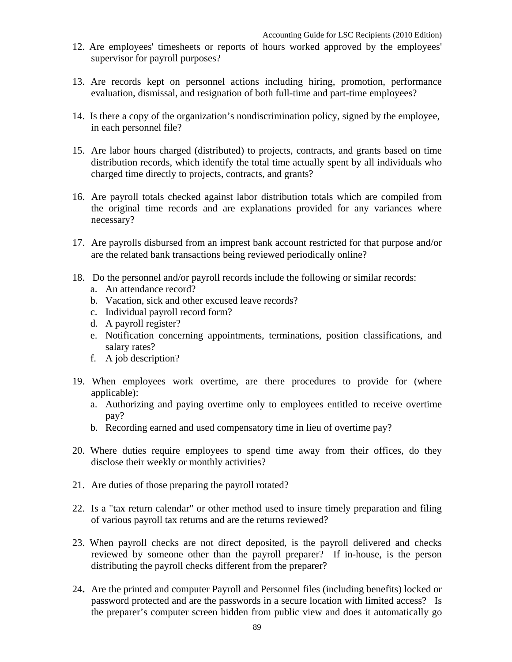- 12. Are employees' timesheets or reports of hours worked approved by the employees' supervisor for payroll purposes?
- 13. Are records kept on personnel actions including hiring, promotion, performance evaluation, dismissal, and resignation of both full-time and part-time employees?
- 14. Is there a copy of the organization's nondiscrimination policy, signed by the employee, in each personnel file?
- 15. Are labor hours charged (distributed) to projects, contracts, and grants based on time distribution records, which identify the total time actually spent by all individuals who charged time directly to projects, contracts, and grants?
- 16. Are payroll totals checked against labor distribution totals which are compiled from the original time records and are explanations provided for any variances where necessary?
- 17. Are payrolls disbursed from an imprest bank account restricted for that purpose and/or are the related bank transactions being reviewed periodically online?
- 18. Do the personnel and/or payroll records include the following or similar records:
	- a. An attendance record?
	- b. Vacation, sick and other excused leave records?
	- c. Individual payroll record form?
	- d. A payroll register?
	- e. Notification concerning appointments, terminations, position classifications, and salary rates?
	- f. A job description?
- 19. When employees work overtime, are there procedures to provide for (where applicable):
	- a. Authorizing and paying overtime only to employees entitled to receive overtime pay?
	- b. Recording earned and used compensatory time in lieu of overtime pay?
- 20. Where duties require employees to spend time away from their offices, do they disclose their weekly or monthly activities?
- 21. Are duties of those preparing the payroll rotated?
- 22. Is a "tax return calendar" or other method used to insure timely preparation and filing of various payroll tax returns and are the returns reviewed?
- 23. When payroll checks are not direct deposited, is the payroll delivered and checks reviewed by someone other than the payroll preparer? If in-house, is the person distributing the payroll checks different from the preparer?
- 24**.** Are the printed and computer Payroll and Personnel files (including benefits) locked or password protected and are the passwords in a secure location with limited access? Is the preparer's computer screen hidden from public view and does it automatically go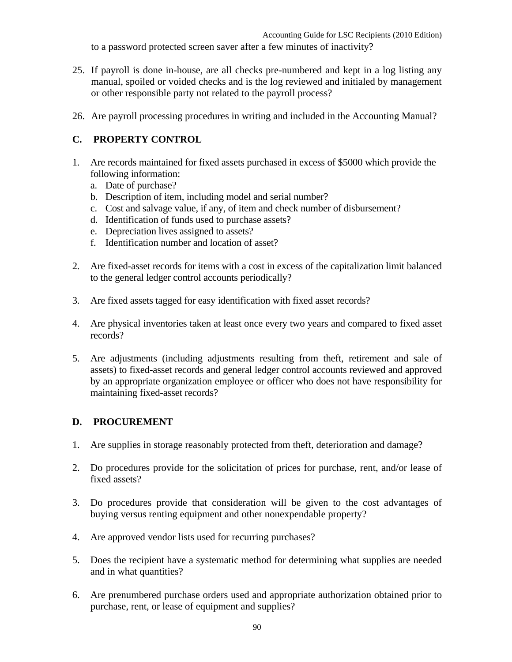to a password protected screen saver after a few minutes of inactivity?

- 25. If payroll is done in-house, are all checks pre-numbered and kept in a log listing any manual, spoiled or voided checks and is the log reviewed and initialed by management or other responsible party not related to the payroll process?
- 26. Are payroll processing procedures in writing and included in the Accounting Manual?

# **C. PROPERTY CONTROL**

- 1. Are records maintained for fixed assets purchased in excess of \$5000 which provide the following information:
	- a. Date of purchase?
	- b. Description of item, including model and serial number?
	- c. Cost and salvage value, if any, of item and check number of disbursement?
	- d. Identification of funds used to purchase assets?
	- e. Depreciation lives assigned to assets?
	- f. Identification number and location of asset?
- 2. Are fixed-asset records for items with a cost in excess of the capitalization limit balanced to the general ledger control accounts periodically?
- 3. Are fixed assets tagged for easy identification with fixed asset records?
- 4. Are physical inventories taken at least once every two years and compared to fixed asset records?
- 5. Are adjustments (including adjustments resulting from theft, retirement and sale of assets) to fixed-asset records and general ledger control accounts reviewed and approved by an appropriate organization employee or officer who does not have responsibility for maintaining fixed-asset records?

## **D. PROCUREMENT**

- 1. Are supplies in storage reasonably protected from theft, deterioration and damage?
- 2. Do procedures provide for the solicitation of prices for purchase, rent, and/or lease of fixed assets?
- 3. Do procedures provide that consideration will be given to the cost advantages of buying versus renting equipment and other nonexpendable property?
- 4. Are approved vendor lists used for recurring purchases?
- 5. Does the recipient have a systematic method for determining what supplies are needed and in what quantities?
- 6. Are prenumbered purchase orders used and appropriate authorization obtained prior to purchase, rent, or lease of equipment and supplies?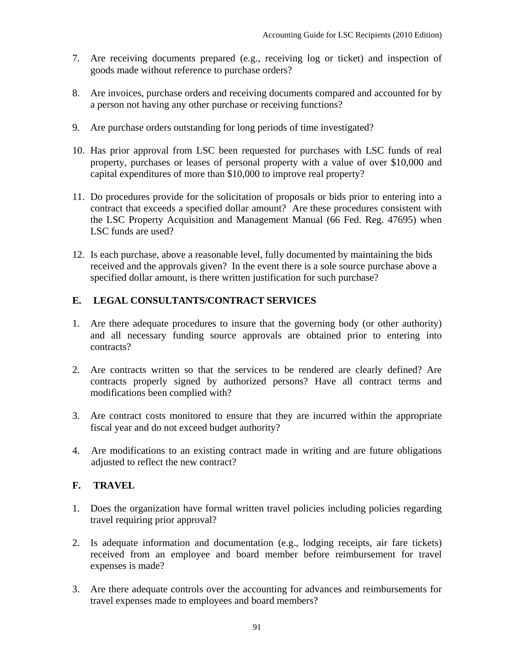- 7. Are receiving documents prepared (e.g., receiving log or ticket) and inspection of goods made without reference to purchase orders?
- 8. Are invoices, purchase orders and receiving documents compared and accounted for by a person not having any other purchase or receiving functions?
- 9. Are purchase orders outstanding for long periods of time investigated?
- 10. Has prior approval from LSC been requested for purchases with LSC funds of real property, purchases or leases of personal property with a value of over \$10,000 and capital expenditures of more than \$10,000 to improve real property?
- 11. Do procedures provide for the solicitation of proposals or bids prior to entering into a contract that exceeds a specified dollar amount? Are these procedures consistent with the LSC Property Acquisition and Management Manual (66 Fed. Reg. 47695) when LSC funds are used?
- 12. Is each purchase, above a reasonable level, fully documented by maintaining the bids received and the approvals given? In the event there is a sole source purchase above a specified dollar amount, is there written justification for such purchase?

## **E. LEGAL CONSULTANTS/CONTRACT SERVICES**

- 1. Are there adequate procedures to insure that the governing body (or other authority) and all necessary funding source approvals are obtained prior to entering into contracts?
- 2. Are contracts written so that the services to be rendered are clearly defined? Are contracts properly signed by authorized persons? Have all contract terms and modifications been complied with?
- 3. Are contract costs monitored to ensure that they are incurred within the appropriate fiscal year and do not exceed budget authority?
- 4. Are modifications to an existing contract made in writing and are future obligations adjusted to reflect the new contract?

## **F. TRAVEL**

- 1. Does the organization have formal written travel policies including policies regarding travel requiring prior approval?
- 2. Is adequate information and documentation (e.g., lodging receipts, air fare tickets) received from an employee and board member before reimbursement for travel expenses is made?
- 3. Are there adequate controls over the accounting for advances and reimbursements for travel expenses made to employees and board members?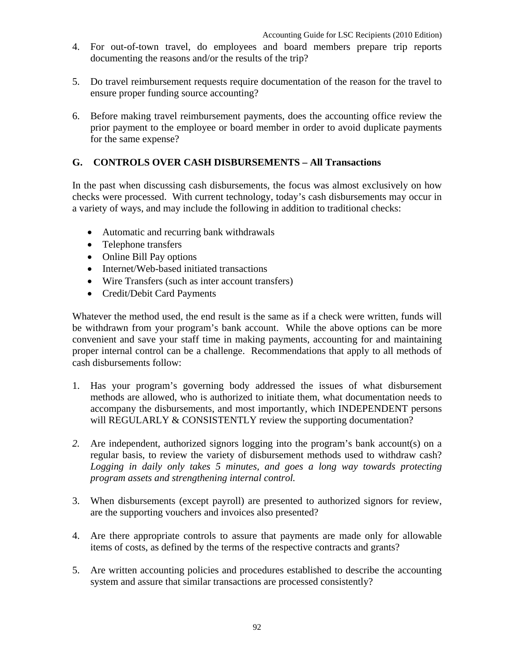- 4. For out-of-town travel, do employees and board members prepare trip reports documenting the reasons and/or the results of the trip?
- 5. Do travel reimbursement requests require documentation of the reason for the travel to ensure proper funding source accounting?
- 6. Before making travel reimbursement payments, does the accounting office review the prior payment to the employee or board member in order to avoid duplicate payments for the same expense?

## **G. CONTROLS OVER CASH DISBURSEMENTS – All Transactions**

In the past when discussing cash disbursements, the focus was almost exclusively on how checks were processed. With current technology, today's cash disbursements may occur in a variety of ways, and may include the following in addition to traditional checks:

- Automatic and recurring bank withdrawals
- Telephone transfers
- Online Bill Pay options
- Internet/Web-based initiated transactions
- Wire Transfers (such as inter account transfers)
- Credit/Debit Card Payments

Whatever the method used, the end result is the same as if a check were written, funds will be withdrawn from your program's bank account. While the above options can be more convenient and save your staff time in making payments, accounting for and maintaining proper internal control can be a challenge. Recommendations that apply to all methods of cash disbursements follow:

- 1. Has your program's governing body addressed the issues of what disbursement methods are allowed, who is authorized to initiate them, what documentation needs to accompany the disbursements, and most importantly, which INDEPENDENT persons will REGULARLY & CONSISTENTLY review the supporting documentation?
- *2.* Are independent, authorized signors logging into the program's bank account(s) on a regular basis, to review the variety of disbursement methods used to withdraw cash? *Logging in daily only takes 5 minutes, and goes a long way towards protecting program assets and strengthening internal control.*
- 3. When disbursements (except payroll) are presented to authorized signors for review, are the supporting vouchers and invoices also presented?
- 4. Are there appropriate controls to assure that payments are made only for allowable items of costs, as defined by the terms of the respective contracts and grants?
- 5. Are written accounting policies and procedures established to describe the accounting system and assure that similar transactions are processed consistently?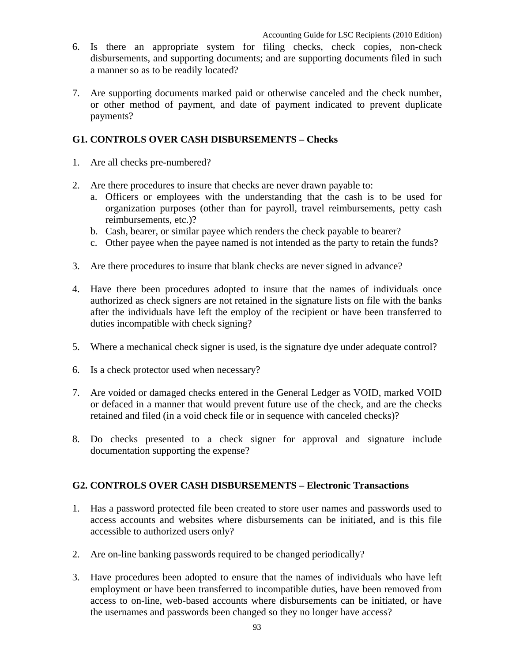- 6. Is there an appropriate system for filing checks, check copies, non-check disbursements, and supporting documents; and are supporting documents filed in such a manner so as to be readily located?
- 7. Are supporting documents marked paid or otherwise canceled and the check number, or other method of payment, and date of payment indicated to prevent duplicate payments?

## **G1. CONTROLS OVER CASH DISBURSEMENTS – Checks**

- 1. Are all checks pre-numbered?
- 2. Are there procedures to insure that checks are never drawn payable to:
	- a. Officers or employees with the understanding that the cash is to be used for organization purposes (other than for payroll, travel reimbursements, petty cash reimbursements, etc.)?
	- b. Cash, bearer, or similar payee which renders the check payable to bearer?
	- c. Other payee when the payee named is not intended as the party to retain the funds?
- 3. Are there procedures to insure that blank checks are never signed in advance?
- 4. Have there been procedures adopted to insure that the names of individuals once authorized as check signers are not retained in the signature lists on file with the banks after the individuals have left the employ of the recipient or have been transferred to duties incompatible with check signing?
- 5. Where a mechanical check signer is used, is the signature dye under adequate control?
- 6. Is a check protector used when necessary?
- 7. Are voided or damaged checks entered in the General Ledger as VOID, marked VOID or defaced in a manner that would prevent future use of the check, and are the checks retained and filed (in a void check file or in sequence with canceled checks)?
- 8. Do checks presented to a check signer for approval and signature include documentation supporting the expense?

## **G2. CONTROLS OVER CASH DISBURSEMENTS – Electronic Transactions**

- 1. Has a password protected file been created to store user names and passwords used to access accounts and websites where disbursements can be initiated, and is this file accessible to authorized users only?
- 2. Are on-line banking passwords required to be changed periodically?
- 3. Have procedures been adopted to ensure that the names of individuals who have left employment or have been transferred to incompatible duties, have been removed from access to on-line, web-based accounts where disbursements can be initiated, or have the usernames and passwords been changed so they no longer have access?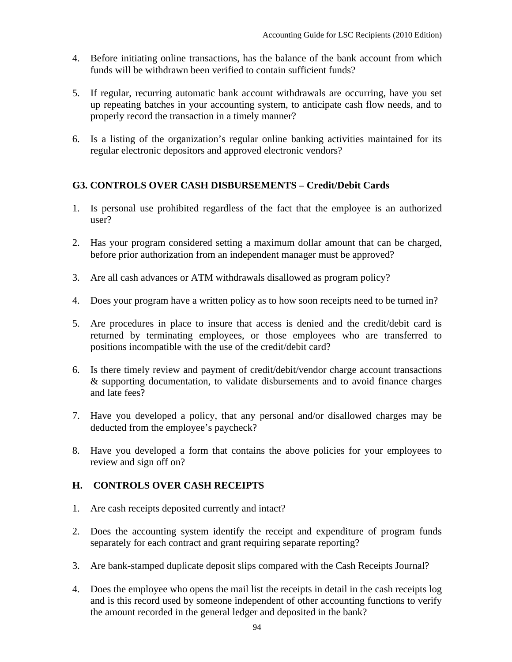- 4. Before initiating online transactions, has the balance of the bank account from which funds will be withdrawn been verified to contain sufficient funds?
- 5. If regular, recurring automatic bank account withdrawals are occurring, have you set up repeating batches in your accounting system, to anticipate cash flow needs, and to properly record the transaction in a timely manner?
- 6. Is a listing of the organization's regular online banking activities maintained for its regular electronic depositors and approved electronic vendors?

## **G3. CONTROLS OVER CASH DISBURSEMENTS – Credit/Debit Cards**

- 1. Is personal use prohibited regardless of the fact that the employee is an authorized user?
- 2. Has your program considered setting a maximum dollar amount that can be charged, before prior authorization from an independent manager must be approved?
- 3. Are all cash advances or ATM withdrawals disallowed as program policy?
- 4. Does your program have a written policy as to how soon receipts need to be turned in?
- 5. Are procedures in place to insure that access is denied and the credit/debit card is returned by terminating employees, or those employees who are transferred to positions incompatible with the use of the credit/debit card?
- 6. Is there timely review and payment of credit/debit/vendor charge account transactions & supporting documentation, to validate disbursements and to avoid finance charges and late fees?
- 7. Have you developed a policy, that any personal and/or disallowed charges may be deducted from the employee's paycheck?
- 8. Have you developed a form that contains the above policies for your employees to review and sign off on?

## **H. CONTROLS OVER CASH RECEIPTS**

- 1. Are cash receipts deposited currently and intact?
- 2. Does the accounting system identify the receipt and expenditure of program funds separately for each contract and grant requiring separate reporting?
- 3. Are bank-stamped duplicate deposit slips compared with the Cash Receipts Journal?
- 4. Does the employee who opens the mail list the receipts in detail in the cash receipts log and is this record used by someone independent of other accounting functions to verify the amount recorded in the general ledger and deposited in the bank?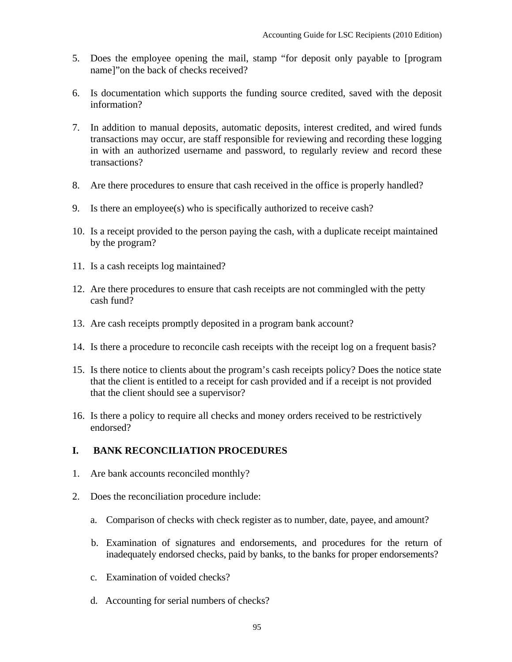- 5. Does the employee opening the mail, stamp "for deposit only payable to [program name]"on the back of checks received?
- 6. Is documentation which supports the funding source credited, saved with the deposit information?
- 7. In addition to manual deposits, automatic deposits, interest credited, and wired funds transactions may occur, are staff responsible for reviewing and recording these logging in with an authorized username and password, to regularly review and record these transactions?
- 8. Are there procedures to ensure that cash received in the office is properly handled?
- 9. Is there an employee(s) who is specifically authorized to receive cash?
- 10. Is a receipt provided to the person paying the cash, with a duplicate receipt maintained by the program?
- 11. Is a cash receipts log maintained?
- 12. Are there procedures to ensure that cash receipts are not commingled with the petty cash fund?
- 13. Are cash receipts promptly deposited in a program bank account?
- 14. Is there a procedure to reconcile cash receipts with the receipt log on a frequent basis?
- 15. Is there notice to clients about the program's cash receipts policy? Does the notice state that the client is entitled to a receipt for cash provided and if a receipt is not provided that the client should see a supervisor?
- 16. Is there a policy to require all checks and money orders received to be restrictively endorsed?

## **I. BANK RECONCILIATION PROCEDURES**

- 1. Are bank accounts reconciled monthly?
- 2. Does the reconciliation procedure include:
	- a. Comparison of checks with check register as to number, date, payee, and amount?
	- b. Examination of signatures and endorsements, and procedures for the return of inadequately endorsed checks, paid by banks, to the banks for proper endorsements?
	- c. Examination of voided checks?
	- d. Accounting for serial numbers of checks?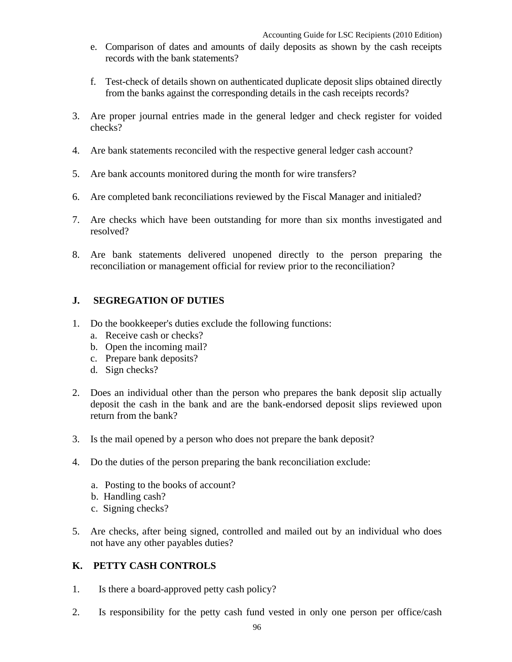- e. Comparison of dates and amounts of daily deposits as shown by the cash receipts records with the bank statements?
- f. Test-check of details shown on authenticated duplicate deposit slips obtained directly from the banks against the corresponding details in the cash receipts records?
- 3. Are proper journal entries made in the general ledger and check register for voided checks?
- 4. Are bank statements reconciled with the respective general ledger cash account?
- 5. Are bank accounts monitored during the month for wire transfers?
- 6. Are completed bank reconciliations reviewed by the Fiscal Manager and initialed?
- 7. Are checks which have been outstanding for more than six months investigated and resolved?
- 8. Are bank statements delivered unopened directly to the person preparing the reconciliation or management official for review prior to the reconciliation?

## **J. SEGREGATION OF DUTIES**

- 1. Do the bookkeeper's duties exclude the following functions:
	- a. Receive cash or checks?
	- b. Open the incoming mail?
	- c. Prepare bank deposits?
	- d. Sign checks?
- 2. Does an individual other than the person who prepares the bank deposit slip actually deposit the cash in the bank and are the bank-endorsed deposit slips reviewed upon return from the bank?
- 3. Is the mail opened by a person who does not prepare the bank deposit?
- 4. Do the duties of the person preparing the bank reconciliation exclude:
	- a. Posting to the books of account?
	- b. Handling cash?
	- c. Signing checks?
- 5. Are checks, after being signed, controlled and mailed out by an individual who does not have any other payables duties?

### **K. PETTY CASH CONTROLS**

- 1. Is there a board-approved petty cash policy?
- 2. Is responsibility for the petty cash fund vested in only one person per office/cash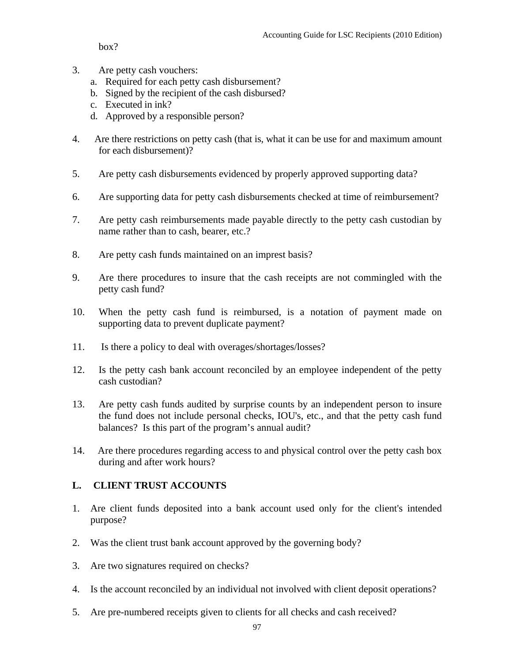box?

- 3. Are petty cash vouchers:
	- a. Required for each petty cash disbursement?
	- b. Signed by the recipient of the cash disbursed?
	- c. Executed in ink?
	- d. Approved by a responsible person?
- 4. Are there restrictions on petty cash (that is, what it can be use for and maximum amount for each disbursement)?
- 5. Are petty cash disbursements evidenced by properly approved supporting data?
- 6. Are supporting data for petty cash disbursements checked at time of reimbursement?
- 7. Are petty cash reimbursements made payable directly to the petty cash custodian by name rather than to cash, bearer, etc.?
- 8. Are petty cash funds maintained on an imprest basis?
- 9. Are there procedures to insure that the cash receipts are not commingled with the petty cash fund?
- 10. When the petty cash fund is reimbursed, is a notation of payment made on supporting data to prevent duplicate payment?
- 11. Is there a policy to deal with overages/shortages/losses?
- 12. Is the petty cash bank account reconciled by an employee independent of the petty cash custodian?
- 13. Are petty cash funds audited by surprise counts by an independent person to insure the fund does not include personal checks, IOU's, etc., and that the petty cash fund balances? Is this part of the program's annual audit?
- 14. Are there procedures regarding access to and physical control over the petty cash box during and after work hours?

## **L. CLIENT TRUST ACCOUNTS**

- 1. Are client funds deposited into a bank account used only for the client's intended purpose?
- 2. Was the client trust bank account approved by the governing body?
- 3. Are two signatures required on checks?
- 4. Is the account reconciled by an individual not involved with client deposit operations?
- 5. Are pre-numbered receipts given to clients for all checks and cash received?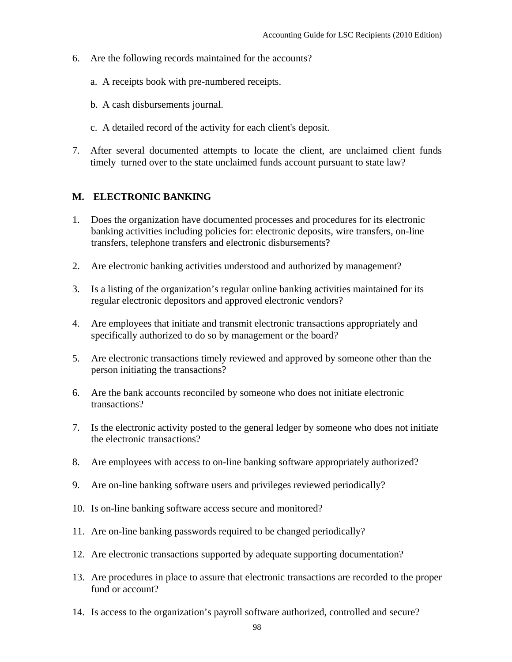- 6. Are the following records maintained for the accounts?
	- a. A receipts book with pre-numbered receipts.
	- b. A cash disbursements journal.
	- c. A detailed record of the activity for each client's deposit.
- 7. After several documented attempts to locate the client, are unclaimed client funds timely turned over to the state unclaimed funds account pursuant to state law?

### **M. ELECTRONIC BANKING**

- 1. Does the organization have documented processes and procedures for its electronic banking activities including policies for: electronic deposits, wire transfers, on-line transfers, telephone transfers and electronic disbursements?
- 2. Are electronic banking activities understood and authorized by management?
- 3. Is a listing of the organization's regular online banking activities maintained for its regular electronic depositors and approved electronic vendors?
- 4. Are employees that initiate and transmit electronic transactions appropriately and specifically authorized to do so by management or the board?
- 5. Are electronic transactions timely reviewed and approved by someone other than the person initiating the transactions?
- 6. Are the bank accounts reconciled by someone who does not initiate electronic transactions?
- 7. Is the electronic activity posted to the general ledger by someone who does not initiate the electronic transactions?
- 8. Are employees with access to on-line banking software appropriately authorized?
- 9. Are on-line banking software users and privileges reviewed periodically?
- 10. Is on-line banking software access secure and monitored?
- 11. Are on-line banking passwords required to be changed periodically?
- 12. Are electronic transactions supported by adequate supporting documentation?
- 13. Are procedures in place to assure that electronic transactions are recorded to the proper fund or account?
- 14. Is access to the organization's payroll software authorized, controlled and secure?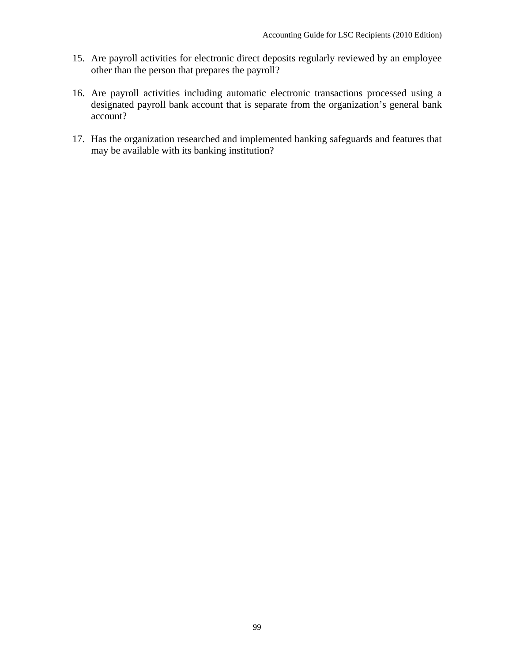- 15. Are payroll activities for electronic direct deposits regularly reviewed by an employee other than the person that prepares the payroll?
- 16. Are payroll activities including automatic electronic transactions processed using a designated payroll bank account that is separate from the organization's general bank account?
- 17. Has the organization researched and implemented banking safeguards and features that may be available with its banking institution?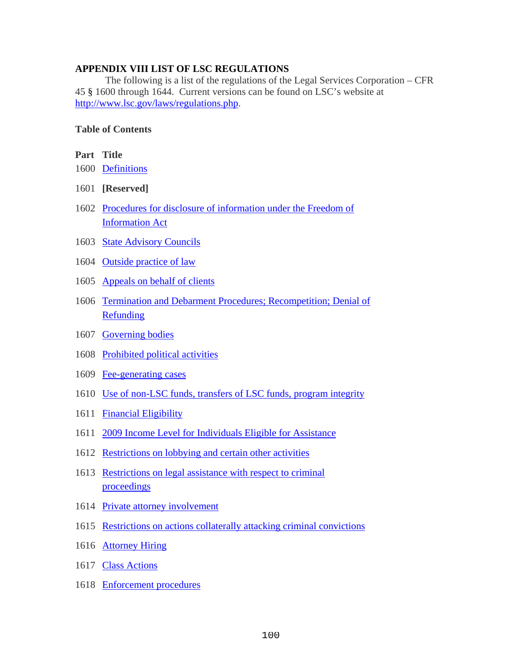### **APPENDIX VIII LIST OF LSC REGULATIONS**

The following is a list of the regulations of the Legal Services Corporation – CFR 45 § 1600 through 1644. Current versions can be found on LSC's website at [http://www.lsc.gov/laws/regulations.php.](http://www.lsc.gov/laws/regulations.php)

### **Table of Contents**

- **Part Title**
- [Definitions](http://www.lsc.gov/lscgov4/45cfr1600.PDF)
- **[Reserved]**
- [Procedures for disclosure of information under the Freedom of](http://www.lsc.gov/lscgov4/45cfr1602.PDF)  [Information Act](http://www.lsc.gov/lscgov4/45cfr1602.PDF)
- [State Advisory Councils](http://www.lsc.gov/lscgov4/45cfr1603.PDF)
- [Outside practice of law](http://www.lsc.gov/lscgov4/45cfr1604.PDF)
- [Appeals on behalf of clients](http://www.lsc.gov/lscgov4/45cfr1605.PDF)
- [Termination and Debarment Procedures; Recompetition; Denial of](http://www.lsc.gov/lscgov4/45cfr1606.PDF)  [Refunding](http://www.lsc.gov/lscgov4/45cfr1606.PDF)
- [Governing bodies](http://www.lsc.gov/lscgov4/45cfr1607.PDF)
- [Prohibited political activities](http://www.lsc.gov/lscgov4/45cfr1608.PDF)
- [Fee-generating cases](http://www.lsc.gov/lscgov4/45cfr1609.PDF)
- [Use of non-LSC funds, transfers of LSC funds, program integrity](http://www.lsc.gov/lscgov4/45cfr1610.PDF)
- [Financial Eligibility](http://www.lsc.gov/lscgov4/45cfr1611.PDF)
- [2009 Income Level for Individuals Eligible for Assistance](http://www.lsc.gov/lscgov4/2009Part1611IncomeGuidelines.pdf)
- [Restrictions on lobbying and certain other activities](http://www.lsc.gov/lscgov4/45cfr1612.PDF)
- 1613 Restrictions on legal assistance with respect to criminal [proceedings](http://www.lsc.gov/lscgov4/45cfr1613.PDF)
- [Private attorney involvement](http://www.lsc.gov/lscgov4/45cfr1614.PDF)
- [Restrictions on actions collaterally attacking criminal](http://www.lsc.gov/lscgov4/45cfr1615.PDF) convictions
- **[Attorney Hiring](http://www.lsc.gov/lscgov4/45cfr1616.PDF)**
- [Class Actions](http://www.lsc.gov/lscgov4/45cfr1617.PDF)
- [Enforcement procedures](http://www.lsc.gov/lscgov4/45cfr1618.PDF)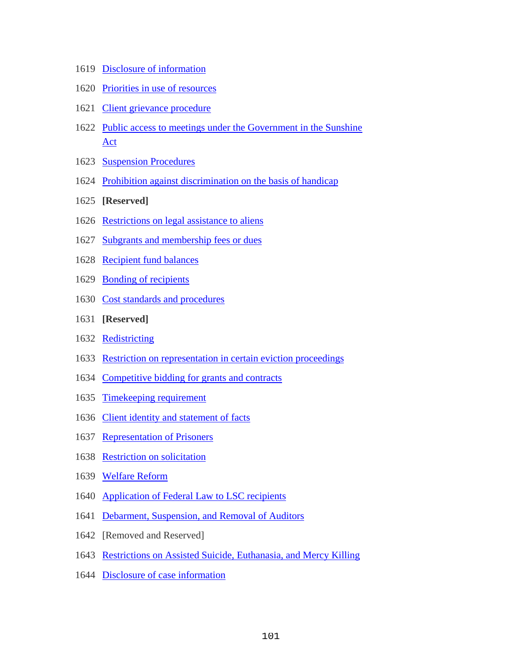- [Disclosure of information](http://www.lsc.gov/lscgov4/45cfr1619.PDF)
- [Priorities in use of resources](http://www.lsc.gov/lscgov4/45cfr1620.PDF)
- [Client grievance procedure](http://www.lsc.gov/lscgov4/45cfr1621.PDF)
- [Public access to meetings under the Government in the Sunshine](http://www.lsc.gov/lscgov4/45cfr1622.PDF)  [Act](http://www.lsc.gov/lscgov4/45cfr1622.PDF)
- [Suspension Procedures](http://www.lsc.gov/lscgov4/45cfr1623.PDF)
- [Prohibition against discrimination on the basis of handicap](http://www.lsc.gov/lscgov4/45cfr1624.PDF)
- **[Reserved]**
- [Restrictions on legal assistance to aliens](http://www.lsc.gov/lscgov4/45cfr1626.PDF)
- [Subgrants and membership fees or dues](http://www.lsc.gov/lscgov4/45cfr1627.PDF)
- [Recipient fund balances](http://www.lsc.gov/lscgov4/45cfr1628.PDF)
- [Bonding of recipients](http://www.lsc.gov/lscgov4/45cfr1629.PDF)
- [Cost standards and procedures](http://www.lsc.gov/lscgov4/45cfr1630.PDF)
- **[Reserved]**
- [Redistricting](http://www.lsc.gov/lscgov4/45cfr1632.PDF)
- [Restriction on representation in certain eviction proceedings](http://www.lsc.gov/lscgov4/45cfr1633.PDF)
- [Competitive bidding for grants and contracts](http://www.lsc.gov/lscgov4/45cfr1634.PDF)
- [Timekeeping requirement](http://www.lsc.gov/lscgov4/45cfr1635.PDF)
- [Client identity and statement of facts](http://www.lsc.gov/lscgov4/45cfr1636.PDF)
- [Representation of Prisoners](http://www.lsc.gov/lscgov4/45cfr1637.PDF)
- [Restriction on solicitation](http://www.lsc.gov/lscgov4/45cfr1638.PDF)
- [Welfare Reform](http://www.lsc.gov/lscgov4/45cfr1639.PDF)
- [Application of Federal Law to LSC recipients](http://www.lsc.gov/lscgov4/45cfr1640.PDF)
- [Debarment, Suspension, and Removal of Auditors](http://www.lsc.gov/lscgov4/45cfr1641.PDF)
- [Removed and Reserved]
- [Restrictions on Assisted Suicide, Euthanasia, and Mercy Killing](http://www.lsc.gov/lscgov4/45cfr1643.PDF)
- [Disclosure of case information](http://www.lsc.gov/lscgov4/45cfr1644.PDF)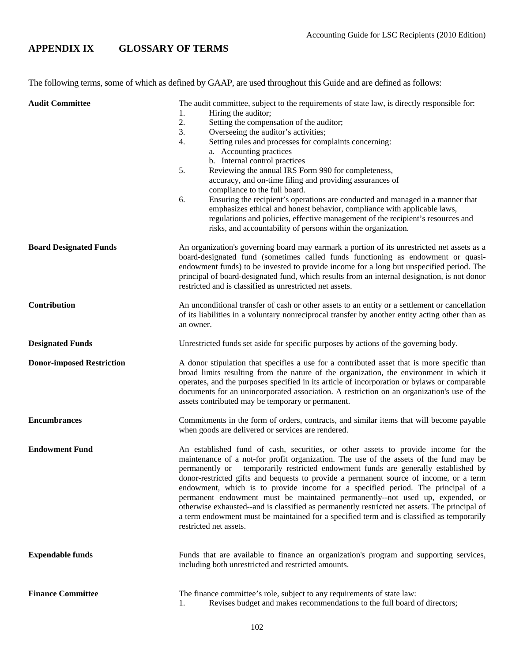# **APPENDIX IX GLOSSARY OF TERMS**

The following terms, some of which as defined by GAAP, are used throughout this Guide and are defined as follows:

| <b>Audit Committee</b>           | The audit committee, subject to the requirements of state law, is directly responsible for:<br>Hiring the auditor;<br>1.<br>2.<br>Setting the compensation of the auditor;<br>Overseeing the auditor's activities;<br>3.<br>Setting rules and processes for complaints concerning:<br>4.<br>a. Accounting practices<br>b. Internal control practices<br>Reviewing the annual IRS Form 990 for completeness,<br>5.<br>accuracy, and on-time filing and providing assurances of<br>compliance to the full board.<br>6.<br>Ensuring the recipient's operations are conducted and managed in a manner that<br>emphasizes ethical and honest behavior, compliance with applicable laws,<br>regulations and policies, effective management of the recipient's resources and<br>risks, and accountability of persons within the organization. |
|----------------------------------|----------------------------------------------------------------------------------------------------------------------------------------------------------------------------------------------------------------------------------------------------------------------------------------------------------------------------------------------------------------------------------------------------------------------------------------------------------------------------------------------------------------------------------------------------------------------------------------------------------------------------------------------------------------------------------------------------------------------------------------------------------------------------------------------------------------------------------------|
| <b>Board Designated Funds</b>    | An organization's governing board may earmark a portion of its unrestricted net assets as a<br>board-designated fund (sometimes called funds functioning as endowment or quasi-<br>endowment funds) to be invested to provide income for a long but unspecified period. The<br>principal of board-designated fund, which results from an internal designation, is not donor<br>restricted and is classified as unrestricted net assets.                                                                                                                                                                                                                                                                                                                                                                                                |
| Contribution                     | An unconditional transfer of cash or other assets to an entity or a settlement or cancellation<br>of its liabilities in a voluntary nonreciprocal transfer by another entity acting other than as<br>an owner.                                                                                                                                                                                                                                                                                                                                                                                                                                                                                                                                                                                                                         |
| <b>Designated Funds</b>          | Unrestricted funds set aside for specific purposes by actions of the governing body.                                                                                                                                                                                                                                                                                                                                                                                                                                                                                                                                                                                                                                                                                                                                                   |
| <b>Donor-imposed Restriction</b> | A donor stipulation that specifies a use for a contributed asset that is more specific than<br>broad limits resulting from the nature of the organization, the environment in which it<br>operates, and the purposes specified in its article of incorporation or bylaws or comparable<br>documents for an unincorporated association. A restriction on an organization's use of the<br>assets contributed may be temporary or permanent.                                                                                                                                                                                                                                                                                                                                                                                              |
| <b>Encumbrances</b>              | Commitments in the form of orders, contracts, and similar items that will become payable<br>when goods are delivered or services are rendered.                                                                                                                                                                                                                                                                                                                                                                                                                                                                                                                                                                                                                                                                                         |
| <b>Endowment Fund</b>            | An established fund of cash, securities, or other assets to provide income for the<br>maintenance of a not-for profit organization. The use of the assets of the fund may be<br>permanently or temporarily restricted endowment funds are generally established by<br>donor-restricted gifts and bequests to provide a permanent source of income, or a term<br>endowment, which is to provide income for a specified period. The principal of a<br>permanent endowment must be maintained permanently--not used up, expended, or<br>otherwise exhausted--and is classified as permanently restricted net assets. The principal of<br>a term endowment must be maintained for a specified term and is classified as temporarily<br>restricted net assets.                                                                              |
| <b>Expendable funds</b>          | Funds that are available to finance an organization's program and supporting services,<br>including both unrestricted and restricted amounts.                                                                                                                                                                                                                                                                                                                                                                                                                                                                                                                                                                                                                                                                                          |
| <b>Finance Committee</b>         | The finance committee's role, subject to any requirements of state law:<br>Revises budget and makes recommendations to the full board of directors;<br>1.                                                                                                                                                                                                                                                                                                                                                                                                                                                                                                                                                                                                                                                                              |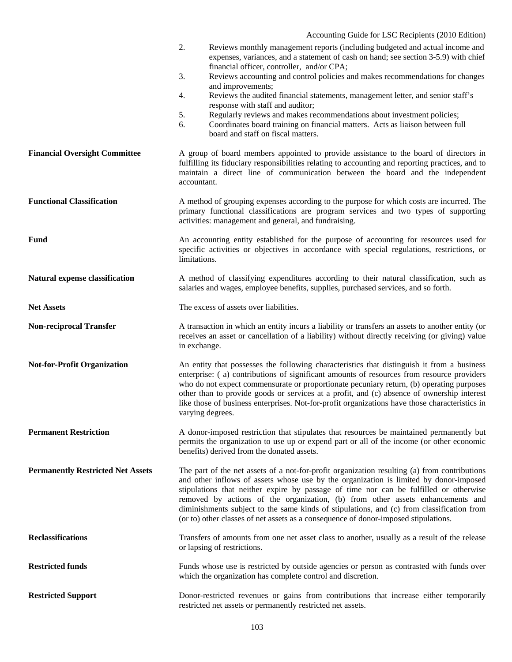|                                          | 2.<br>Reviews monthly management reports (including budgeted and actual income and<br>expenses, variances, and a statement of cash on hand; see section 3-5.9) with chief<br>financial officer, controller, and/or CPA;                                                                                                                                                                                                                                                                                                                              |
|------------------------------------------|------------------------------------------------------------------------------------------------------------------------------------------------------------------------------------------------------------------------------------------------------------------------------------------------------------------------------------------------------------------------------------------------------------------------------------------------------------------------------------------------------------------------------------------------------|
|                                          | 3.<br>Reviews accounting and control policies and makes recommendations for changes                                                                                                                                                                                                                                                                                                                                                                                                                                                                  |
|                                          | and improvements;<br>Reviews the audited financial statements, management letter, and senior staff's<br>4.                                                                                                                                                                                                                                                                                                                                                                                                                                           |
|                                          | response with staff and auditor;<br>5.<br>Regularly reviews and makes recommendations about investment policies;                                                                                                                                                                                                                                                                                                                                                                                                                                     |
|                                          | 6.<br>Coordinates board training on financial matters. Acts as liaison between full<br>board and staff on fiscal matters.                                                                                                                                                                                                                                                                                                                                                                                                                            |
| <b>Financial Oversight Committee</b>     | A group of board members appointed to provide assistance to the board of directors in<br>fulfilling its fiduciary responsibilities relating to accounting and reporting practices, and to<br>maintain a direct line of communication between the board and the independent<br>accountant.                                                                                                                                                                                                                                                            |
| <b>Functional Classification</b>         | A method of grouping expenses according to the purpose for which costs are incurred. The<br>primary functional classifications are program services and two types of supporting<br>activities: management and general, and fundraising.                                                                                                                                                                                                                                                                                                              |
| <b>Fund</b>                              | An accounting entity established for the purpose of accounting for resources used for<br>specific activities or objectives in accordance with special regulations, restrictions, or<br>limitations.                                                                                                                                                                                                                                                                                                                                                  |
| Natural expense classification           | A method of classifying expenditures according to their natural classification, such as<br>salaries and wages, employee benefits, supplies, purchased services, and so forth.                                                                                                                                                                                                                                                                                                                                                                        |
| <b>Net Assets</b>                        | The excess of assets over liabilities.                                                                                                                                                                                                                                                                                                                                                                                                                                                                                                               |
| <b>Non-reciprocal Transfer</b>           | A transaction in which an entity incurs a liability or transfers an assets to another entity (or<br>receives an asset or cancellation of a liability) without directly receiving (or giving) value<br>in exchange.                                                                                                                                                                                                                                                                                                                                   |
| <b>Not-for-Profit Organization</b>       | An entity that possesses the following characteristics that distinguish it from a business<br>enterprise: (a) contributions of significant amounts of resources from resource providers<br>who do not expect commensurate or proportionate pecuniary return, (b) operating purposes<br>other than to provide goods or services at a profit, and (c) absence of ownership interest<br>like those of business enterprises. Not-for-profit organizations have those characteristics in<br>varying degrees.                                              |
| <b>Permanent Restriction</b>             | A donor-imposed restriction that stipulates that resources be maintained permanently but<br>permits the organization to use up or expend part or all of the income (or other economic<br>benefits) derived from the donated assets.                                                                                                                                                                                                                                                                                                                  |
| <b>Permanently Restricted Net Assets</b> | The part of the net assets of a not-for-profit organization resulting (a) from contributions<br>and other inflows of assets whose use by the organization is limited by donor-imposed<br>stipulations that neither expire by passage of time nor can be fulfilled or otherwise<br>removed by actions of the organization, (b) from other assets enhancements and<br>diminishments subject to the same kinds of stipulations, and (c) from classification from<br>(or to) other classes of net assets as a consequence of donor-imposed stipulations. |
| <b>Reclassifications</b>                 | Transfers of amounts from one net asset class to another, usually as a result of the release<br>or lapsing of restrictions.                                                                                                                                                                                                                                                                                                                                                                                                                          |
| <b>Restricted funds</b>                  | Funds whose use is restricted by outside agencies or person as contrasted with funds over<br>which the organization has complete control and discretion.                                                                                                                                                                                                                                                                                                                                                                                             |
| <b>Restricted Support</b>                | Donor-restricted revenues or gains from contributions that increase either temporarily<br>restricted net assets or permanently restricted net assets.                                                                                                                                                                                                                                                                                                                                                                                                |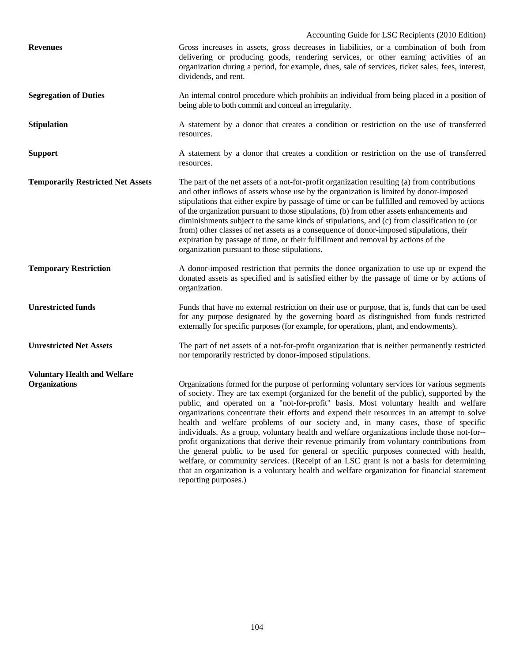|                                                             | Accounting Guide for LSC Recipients (2010 Edition)                                                                                                                                                                                                                                                                                                                                                                                                                                                                                                                                                                                                                                                                                                                                                                                                                                                                                                                        |
|-------------------------------------------------------------|---------------------------------------------------------------------------------------------------------------------------------------------------------------------------------------------------------------------------------------------------------------------------------------------------------------------------------------------------------------------------------------------------------------------------------------------------------------------------------------------------------------------------------------------------------------------------------------------------------------------------------------------------------------------------------------------------------------------------------------------------------------------------------------------------------------------------------------------------------------------------------------------------------------------------------------------------------------------------|
| <b>Revenues</b>                                             | Gross increases in assets, gross decreases in liabilities, or a combination of both from<br>delivering or producing goods, rendering services, or other earning activities of an<br>organization during a period, for example, dues, sale of services, ticket sales, fees, interest,<br>dividends, and rent.                                                                                                                                                                                                                                                                                                                                                                                                                                                                                                                                                                                                                                                              |
| <b>Segregation of Duties</b>                                | An internal control procedure which prohibits an individual from being placed in a position of<br>being able to both commit and conceal an irregularity.                                                                                                                                                                                                                                                                                                                                                                                                                                                                                                                                                                                                                                                                                                                                                                                                                  |
| <b>Stipulation</b>                                          | A statement by a donor that creates a condition or restriction on the use of transferred<br>resources.                                                                                                                                                                                                                                                                                                                                                                                                                                                                                                                                                                                                                                                                                                                                                                                                                                                                    |
| <b>Support</b>                                              | A statement by a donor that creates a condition or restriction on the use of transferred<br>resources.                                                                                                                                                                                                                                                                                                                                                                                                                                                                                                                                                                                                                                                                                                                                                                                                                                                                    |
| <b>Temporarily Restricted Net Assets</b>                    | The part of the net assets of a not-for-profit organization resulting (a) from contributions<br>and other inflows of assets whose use by the organization is limited by donor-imposed<br>stipulations that either expire by passage of time or can be fulfilled and removed by actions<br>of the organization pursuant to those stipulations, (b) from other assets enhancements and<br>diminishments subject to the same kinds of stipulations, and (c) from classification to (or<br>from) other classes of net assets as a consequence of donor-imposed stipulations, their<br>expiration by passage of time, or their fulfillment and removal by actions of the<br>organization pursuant to those stipulations.                                                                                                                                                                                                                                                       |
| <b>Temporary Restriction</b>                                | A donor-imposed restriction that permits the donee organization to use up or expend the<br>donated assets as specified and is satisfied either by the passage of time or by actions of<br>organization.                                                                                                                                                                                                                                                                                                                                                                                                                                                                                                                                                                                                                                                                                                                                                                   |
| <b>Unrestricted funds</b>                                   | Funds that have no external restriction on their use or purpose, that is, funds that can be used<br>for any purpose designated by the governing board as distinguished from funds restricted<br>externally for specific purposes (for example, for operations, plant, and endowments).                                                                                                                                                                                                                                                                                                                                                                                                                                                                                                                                                                                                                                                                                    |
| <b>Unrestricted Net Assets</b>                              | The part of net assets of a not-for-profit organization that is neither permanently restricted<br>nor temporarily restricted by donor-imposed stipulations.                                                                                                                                                                                                                                                                                                                                                                                                                                                                                                                                                                                                                                                                                                                                                                                                               |
| <b>Voluntary Health and Welfare</b><br><b>Organizations</b> | Organizations formed for the purpose of performing voluntary services for various segments<br>of society. They are tax exempt (organized for the benefit of the public), supported by the<br>public, and operated on a "not-for-profit" basis. Most voluntary health and welfare<br>organizations concentrate their efforts and expend their resources in an attempt to solve<br>health and welfare problems of our society and, in many cases, those of specific<br>individuals. As a group, voluntary health and welfare organizations include those not-for--<br>profit organizations that derive their revenue primarily from voluntary contributions from<br>the general public to be used for general or specific purposes connected with health,<br>welfare, or community services. (Receipt of an LSC grant is not a basis for determining<br>that an organization is a voluntary health and welfare organization for financial statement<br>reporting purposes.) |